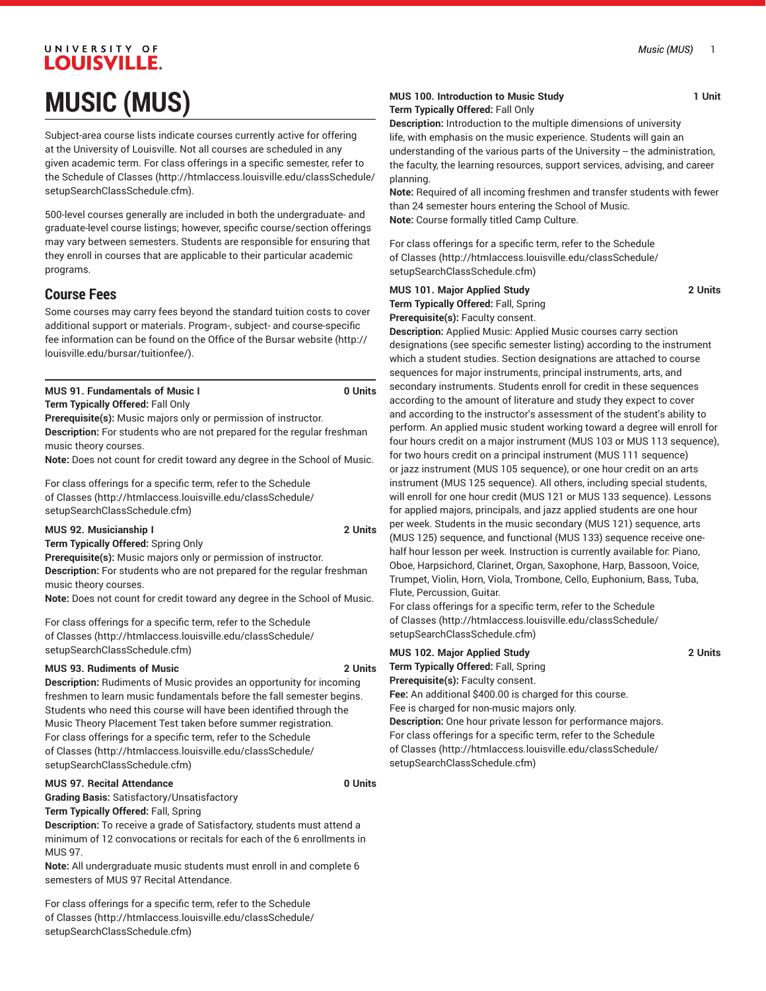# UNIVERSITY OF LOUISVILLE. **MUSIC (MUS)**

Subject-area course lists indicate courses currently active for offering at the University of Louisville. Not all courses are scheduled in any given academic term. For class offerings in a specific semester, refer to the [Schedule of Classes](http://htmlaccess.louisville.edu/classSchedule/setupSearchClassSchedule.cfm) ([http://htmlaccess.louisville.edu/classSchedule/](http://htmlaccess.louisville.edu/classSchedule/setupSearchClassSchedule.cfm) [setupSearchClassSchedule.cfm\)](http://htmlaccess.louisville.edu/classSchedule/setupSearchClassSchedule.cfm).

500-level courses generally are included in both the undergraduate- and graduate-level course listings; however, specific course/section offerings may vary between semesters. Students are responsible for ensuring that they enroll in courses that are applicable to their particular academic programs.

# **Course Fees**

Some courses may carry fees beyond the standard tuition costs to cover additional support or materials. Program-, subject- and course-specific fee information can be found on the [Office of the Bursar website](http://louisville.edu/bursar/tuitionfee/) ([http://](http://louisville.edu/bursar/tuitionfee/) [louisville.edu/bursar/tuitionfee/](http://louisville.edu/bursar/tuitionfee/)).

|  | <b>MUS 91. Fundamentals of Music I</b> |  |  | 0 Units |
|--|----------------------------------------|--|--|---------|
|  |                                        |  |  |         |

**Term Typically Offered:** Fall Only

**Prerequisite(s):** Music majors only or permission of instructor. **Description:** For students who are not prepared for the regular freshman music theory courses.

**Note:** Does not count for credit toward any degree in the School of Music.

For class offerings for a specific term, refer to the [Schedule](http://htmlaccess.louisville.edu/classSchedule/setupSearchClassSchedule.cfm) [of Classes \(http://htmlaccess.louisville.edu/classSchedule/](http://htmlaccess.louisville.edu/classSchedule/setupSearchClassSchedule.cfm) [setupSearchClassSchedule.cfm\)](http://htmlaccess.louisville.edu/classSchedule/setupSearchClassSchedule.cfm)

**MUS 92. Musicianship I 2 Units**

**Term Typically Offered:** Spring Only

**Prerequisite(s):** Music majors only or permission of instructor. **Description:** For students who are not prepared for the regular freshman music theory courses.

**Note:** Does not count for credit toward any degree in the School of Music.

For class offerings for a specific term, refer to the [Schedule](http://htmlaccess.louisville.edu/classSchedule/setupSearchClassSchedule.cfm) [of Classes \(http://htmlaccess.louisville.edu/classSchedule/](http://htmlaccess.louisville.edu/classSchedule/setupSearchClassSchedule.cfm) [setupSearchClassSchedule.cfm\)](http://htmlaccess.louisville.edu/classSchedule/setupSearchClassSchedule.cfm)

# **MUS 93. Rudiments of Music 2 Units**

**Description:** Rudiments of Music provides an opportunity for incoming freshmen to learn music fundamentals before the fall semester begins. Students who need this course will have been identified through the Music Theory Placement Test taken before summer registration. For class offerings for a specific term, refer to the [Schedule](http://htmlaccess.louisville.edu/classSchedule/setupSearchClassSchedule.cfm) [of Classes \(http://htmlaccess.louisville.edu/classSchedule/](http://htmlaccess.louisville.edu/classSchedule/setupSearchClassSchedule.cfm) [setupSearchClassSchedule.cfm\)](http://htmlaccess.louisville.edu/classSchedule/setupSearchClassSchedule.cfm)

# **MUS 97. Recital Attendance 0 Units**

**Grading Basis:** Satisfactory/Unsatisfactory

**Term Typically Offered:** Fall, Spring

**Description:** To receive a grade of Satisfactory, students must attend a minimum of 12 convocations or recitals for each of the 6 enrollments in MUS 97.

**Note:** All undergraduate music students must enroll in and complete 6 semesters of MUS 97 Recital Attendance.

For class offerings for a specific term, refer to the [Schedule](http://htmlaccess.louisville.edu/classSchedule/setupSearchClassSchedule.cfm) [of Classes \(http://htmlaccess.louisville.edu/classSchedule/](http://htmlaccess.louisville.edu/classSchedule/setupSearchClassSchedule.cfm) [setupSearchClassSchedule.cfm\)](http://htmlaccess.louisville.edu/classSchedule/setupSearchClassSchedule.cfm)

### **MUS 100. Introduction to Music Study 1 Unit Term Typically Offered:** Fall Only

**Description:** Introduction to the multiple dimensions of university life, with emphasis on the music experience. Students will gain an understanding of the various parts of the University -- the administration, the faculty, the learning resources, support services, advising, and career planning.

**Note:** Required of all incoming freshmen and transfer students with fewer than 24 semester hours entering the School of Music. **Note:** Course formally titled Camp Culture.

For class offerings for a specific term, refer to the [Schedule](http://htmlaccess.louisville.edu/classSchedule/setupSearchClassSchedule.cfm) [of Classes](http://htmlaccess.louisville.edu/classSchedule/setupSearchClassSchedule.cfm) ([http://htmlaccess.louisville.edu/classSchedule/](http://htmlaccess.louisville.edu/classSchedule/setupSearchClassSchedule.cfm) [setupSearchClassSchedule.cfm\)](http://htmlaccess.louisville.edu/classSchedule/setupSearchClassSchedule.cfm)

# **MUS 101. Major Applied Study 2 Units**

**Term Typically Offered:** Fall, Spring **Prerequisite(s):** Faculty consent.

**Description:** Applied Music: Applied Music courses carry section designations (see specific semester listing) according to the instrument which a student studies. Section designations are attached to course sequences for major instruments, principal instruments, arts, and secondary instruments. Students enroll for credit in these sequences according to the amount of literature and study they expect to cover and according to the instructor's assessment of the student's ability to perform. An applied music student working toward a degree will enroll for four hours credit on a major instrument (MUS 103 or MUS 113 sequence), for two hours credit on a principal instrument (MUS 111 sequence) or jazz instrument (MUS 105 sequence), or one hour credit on an arts instrument (MUS 125 sequence). All others, including special students, will enroll for one hour credit (MUS 121 or MUS 133 sequence). Lessons for applied majors, principals, and jazz applied students are one hour per week. Students in the music secondary (MUS 121) sequence, arts (MUS 125) sequence, and functional (MUS 133) sequence receive onehalf hour lesson per week. Instruction is currently available for: Piano, Oboe, Harpsichord, Clarinet, Organ, Saxophone, Harp, Bassoon, Voice, Trumpet, Violin, Horn, Viola, Trombone, Cello, Euphonium, Bass, Tuba, Flute, Percussion, Guitar.

For class offerings for a specific term, refer to the [Schedule](http://htmlaccess.louisville.edu/classSchedule/setupSearchClassSchedule.cfm) [of Classes](http://htmlaccess.louisville.edu/classSchedule/setupSearchClassSchedule.cfm) ([http://htmlaccess.louisville.edu/classSchedule/](http://htmlaccess.louisville.edu/classSchedule/setupSearchClassSchedule.cfm) [setupSearchClassSchedule.cfm\)](http://htmlaccess.louisville.edu/classSchedule/setupSearchClassSchedule.cfm)

**MUS 102. Major Applied Study 2 Units Term Typically Offered:** Fall, Spring **Prerequisite(s):** Faculty consent. **Fee:** An additional \$400.00 is charged for this course.

Fee is charged for non-music majors only. **Description:** One hour private lesson for performance majors. For class offerings for a specific term, refer to the [Schedule](http://htmlaccess.louisville.edu/classSchedule/setupSearchClassSchedule.cfm) [of Classes](http://htmlaccess.louisville.edu/classSchedule/setupSearchClassSchedule.cfm) ([http://htmlaccess.louisville.edu/classSchedule/](http://htmlaccess.louisville.edu/classSchedule/setupSearchClassSchedule.cfm) [setupSearchClassSchedule.cfm\)](http://htmlaccess.louisville.edu/classSchedule/setupSearchClassSchedule.cfm)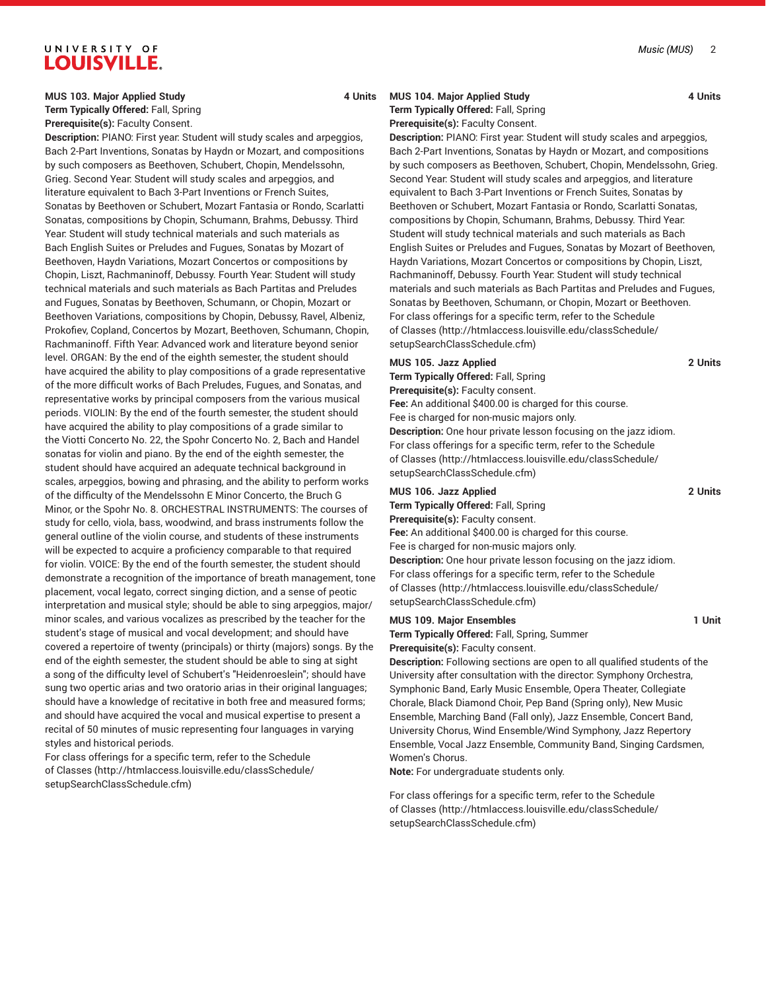#### **MUS 103. Major Applied Study 4 Units**

**Term Typically Offered:** Fall, Spring **Prerequisite(s):** Faculty Consent.

**Description:** PIANO: First year: Student will study scales and arpeggios, Bach 2-Part Inventions, Sonatas by Haydn or Mozart, and compositions by such composers as Beethoven, Schubert, Chopin, Mendelssohn, Grieg. Second Year: Student will study scales and arpeggios, and literature equivalent to Bach 3-Part Inventions or French Suites, Sonatas by Beethoven or Schubert, Mozart Fantasia or Rondo, Scarlatti Sonatas, compositions by Chopin, Schumann, Brahms, Debussy. Third Year: Student will study technical materials and such materials as Bach English Suites or Preludes and Fugues, Sonatas by Mozart of Beethoven, Haydn Variations, Mozart Concertos or compositions by Chopin, Liszt, Rachmaninoff, Debussy. Fourth Year: Student will study technical materials and such materials as Bach Partitas and Preludes and Fugues, Sonatas by Beethoven, Schumann, or Chopin, Mozart or Beethoven Variations, compositions by Chopin, Debussy, Ravel, Albeniz, Prokofiev, Copland, Concertos by Mozart, Beethoven, Schumann, Chopin, Rachmaninoff. Fifth Year: Advanced work and literature beyond senior level. ORGAN: By the end of the eighth semester, the student should have acquired the ability to play compositions of a grade representative of the more difficult works of Bach Preludes, Fugues, and Sonatas, and representative works by principal composers from the various musical periods. VIOLIN: By the end of the fourth semester, the student should have acquired the ability to play compositions of a grade similar to the Viotti Concerto No. 22, the Spohr Concerto No. 2, Bach and Handel sonatas for violin and piano. By the end of the eighth semester, the student should have acquired an adequate technical background in scales, arpeggios, bowing and phrasing, and the ability to perform works of the difficulty of the Mendelssohn E Minor Concerto, the Bruch G Minor, or the Spohr No. 8. ORCHESTRAL INSTRUMENTS: The courses of study for cello, viola, bass, woodwind, and brass instruments follow the general outline of the violin course, and students of these instruments will be expected to acquire a proficiency comparable to that required for violin. VOICE: By the end of the fourth semester, the student should demonstrate a recognition of the importance of breath management, tone placement, vocal legato, correct singing diction, and a sense of peotic interpretation and musical style; should be able to sing arpeggios, major/ minor scales, and various vocalizes as prescribed by the teacher for the student's stage of musical and vocal development; and should have covered a repertoire of twenty (principals) or thirty (majors) songs. By the end of the eighth semester, the student should be able to sing at sight a song of the difficulty level of Schubert's "Heidenroeslein"; should have sung two opertic arias and two oratorio arias in their original languages; should have a knowledge of recitative in both free and measured forms; and should have acquired the vocal and musical expertise to present a recital of 50 minutes of music representing four languages in varying styles and historical periods.

For class offerings for a specific term, refer to the [Schedule](http://htmlaccess.louisville.edu/classSchedule/setupSearchClassSchedule.cfm) [of Classes \(http://htmlaccess.louisville.edu/classSchedule/](http://htmlaccess.louisville.edu/classSchedule/setupSearchClassSchedule.cfm) [setupSearchClassSchedule.cfm\)](http://htmlaccess.louisville.edu/classSchedule/setupSearchClassSchedule.cfm)

### **MUS 104. Major Applied Study 4 Units Term Typically Offered:** Fall, Spring

**Prerequisite(s):** Faculty Consent.

**Description:** PIANO: First year: Student will study scales and arpeggios, Bach 2-Part Inventions, Sonatas by Haydn or Mozart, and compositions by such composers as Beethoven, Schubert, Chopin, Mendelssohn, Grieg. Second Year: Student will study scales and arpeggios, and literature equivalent to Bach 3-Part Inventions or French Suites, Sonatas by Beethoven or Schubert, Mozart Fantasia or Rondo, Scarlatti Sonatas, compositions by Chopin, Schumann, Brahms, Debussy. Third Year: Student will study technical materials and such materials as Bach English Suites or Preludes and Fugues, Sonatas by Mozart of Beethoven, Haydn Variations, Mozart Concertos or compositions by Chopin, Liszt, Rachmaninoff, Debussy. Fourth Year: Student will study technical materials and such materials as Bach Partitas and Preludes and Fugues, Sonatas by Beethoven, Schumann, or Chopin, Mozart or Beethoven. For class offerings for a specific term, refer to the [Schedule](http://htmlaccess.louisville.edu/classSchedule/setupSearchClassSchedule.cfm) [of Classes](http://htmlaccess.louisville.edu/classSchedule/setupSearchClassSchedule.cfm) ([http://htmlaccess.louisville.edu/classSchedule/](http://htmlaccess.louisville.edu/classSchedule/setupSearchClassSchedule.cfm) [setupSearchClassSchedule.cfm\)](http://htmlaccess.louisville.edu/classSchedule/setupSearchClassSchedule.cfm)

# **MUS 105. Jazz Applied 2 Units Term Typically Offered:** Fall, Spring **Prerequisite(s):** Faculty consent. **Fee:** An additional \$400.00 is charged for this course. Fee is charged for non-music majors only. **Description:** One hour private lesson focusing on the jazz idiom. For class offerings for a specific term, refer to the [Schedule](http://htmlaccess.louisville.edu/classSchedule/setupSearchClassSchedule.cfm) [of Classes](http://htmlaccess.louisville.edu/classSchedule/setupSearchClassSchedule.cfm) ([http://htmlaccess.louisville.edu/classSchedule/](http://htmlaccess.louisville.edu/classSchedule/setupSearchClassSchedule.cfm) [setupSearchClassSchedule.cfm\)](http://htmlaccess.louisville.edu/classSchedule/setupSearchClassSchedule.cfm)

## **MUS 106. Jazz Applied 2 Units**

**Term Typically Offered:** Fall, Spring

**Prerequisite(s):** Faculty consent.

**Fee:** An additional \$400.00 is charged for this course.

Fee is charged for non-music majors only. **Description:** One hour private lesson focusing on the jazz idiom. For class offerings for a specific term, refer to the [Schedule](http://htmlaccess.louisville.edu/classSchedule/setupSearchClassSchedule.cfm) [of Classes](http://htmlaccess.louisville.edu/classSchedule/setupSearchClassSchedule.cfm) ([http://htmlaccess.louisville.edu/classSchedule/](http://htmlaccess.louisville.edu/classSchedule/setupSearchClassSchedule.cfm) [setupSearchClassSchedule.cfm\)](http://htmlaccess.louisville.edu/classSchedule/setupSearchClassSchedule.cfm)

# **MUS 109. Major Ensembles 1 Unit**

**Term Typically Offered:** Fall, Spring, Summer **Prerequisite(s):** Faculty consent.

**Description:** Following sections are open to all qualified students of the University after consultation with the director: Symphony Orchestra, Symphonic Band, Early Music Ensemble, Opera Theater, Collegiate Chorale, Black Diamond Choir, Pep Band (Spring only), New Music Ensemble, Marching Band (Fall only), Jazz Ensemble, Concert Band, University Chorus, Wind Ensemble/Wind Symphony, Jazz Repertory Ensemble, Vocal Jazz Ensemble, Community Band, Singing Cardsmen, Women's Chorus.

**Note:** For undergraduate students only.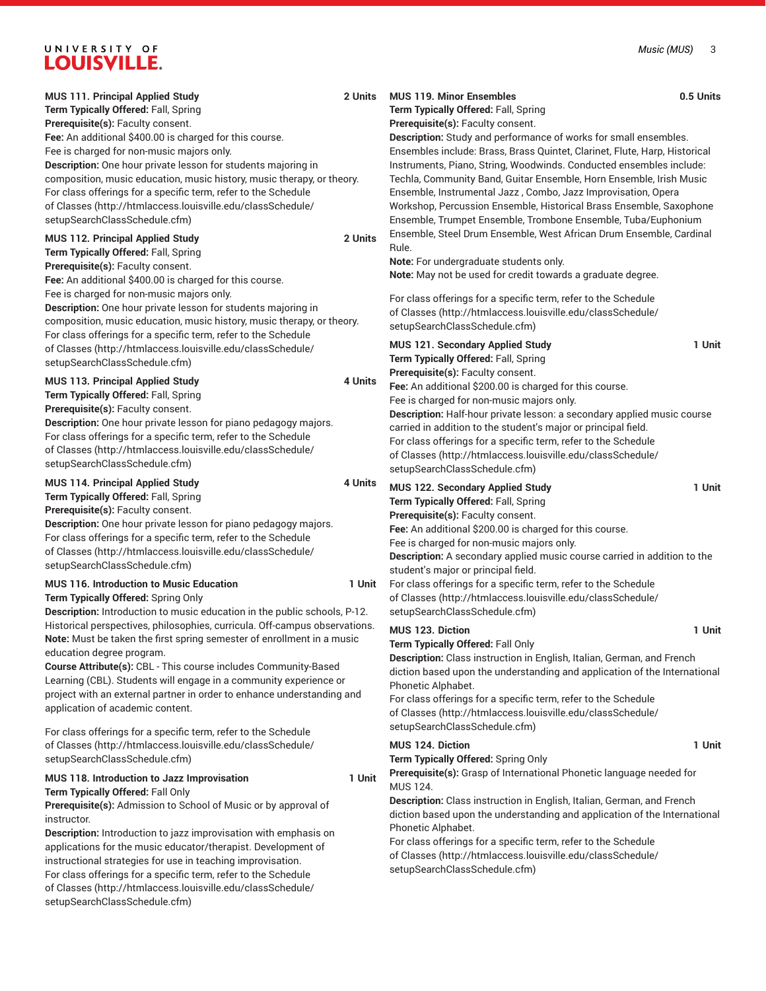| <b>MUS 111. Principal Applied Study</b><br>Term Typically Offered: Fall, Spring<br>Prerequisite(s): Faculty consent.<br>Fee: An additional \$400.00 is charged for this course.<br>Fee is charged for non-music majors only.<br>Description: One hour private lesson for students majoring in<br>composition, music education, music history, music therapy, or theory.<br>For class offerings for a specific term, refer to the Schedule<br>of Classes (http://htmlaccess.louisville.edu/classSchedule/<br>setupSearchClassSchedule.cfm) | 2 Units | <b>MUS 119. Minor Ensembles</b><br>Term Typically Offered: Fall, Spring<br>Prerequisite(s): Faculty consent.<br>Description: Study and performance of works for small ensembles.<br>Ensembles include: Brass, Brass Quintet, Clarinet, Flute, Harp, Historical<br>Instruments, Piano, String, Woodwinds. Conducted ensembles include:<br>Techla, Community Band, Guitar Ensemble, Horn Ensemble, Irish Music<br>Ensemble, Instrumental Jazz, Combo, Jazz Improvisation, Opera<br>Workshop, Percussion Ensemble, Historical Brass Ensemble, Saxophone<br>Ensemble, Trumpet Ensemble, Trombone Ensemble, Tuba/Euphonium | 0.5 Units |
|-------------------------------------------------------------------------------------------------------------------------------------------------------------------------------------------------------------------------------------------------------------------------------------------------------------------------------------------------------------------------------------------------------------------------------------------------------------------------------------------------------------------------------------------|---------|-----------------------------------------------------------------------------------------------------------------------------------------------------------------------------------------------------------------------------------------------------------------------------------------------------------------------------------------------------------------------------------------------------------------------------------------------------------------------------------------------------------------------------------------------------------------------------------------------------------------------|-----------|
| MUS 112. Principal Applied Study<br>Term Typically Offered: Fall, Spring<br>Prerequisite(s): Faculty consent.<br>Fee: An additional \$400.00 is charged for this course.<br>Fee is charged for non-music majors only.<br>Description: One hour private lesson for students majoring in<br>composition, music education, music history, music therapy, or theory.<br>For class offerings for a specific term, refer to the Schedule                                                                                                        | 2 Units | Ensemble, Steel Drum Ensemble, West African Drum Ensemble, Cardinal<br>Rule.<br>Note: For undergraduate students only.<br>Note: May not be used for credit towards a graduate degree.<br>For class offerings for a specific term, refer to the Schedule<br>of Classes (http://htmlaccess.louisville.edu/classSchedule/<br>setupSearchClassSchedule.cfm)                                                                                                                                                                                                                                                               |           |
| of Classes (http://htmlaccess.louisville.edu/classSchedule/<br>setupSearchClassSchedule.cfm)<br>MUS 113. Principal Applied Study<br>Term Typically Offered: Fall, Spring<br>Prerequisite(s): Faculty consent.<br>Description: One hour private lesson for piano pedagogy majors.<br>For class offerings for a specific term, refer to the Schedule<br>of Classes (http://htmlaccess.louisville.edu/classSchedule/<br>setupSearchClassSchedule.cfm)                                                                                        | 4 Units | MUS 121. Secondary Applied Study<br>Term Typically Offered: Fall, Spring<br>Prerequisite(s): Faculty consent.<br>Fee: An additional \$200.00 is charged for this course.<br>Fee is charged for non-music majors only.<br>Description: Half-hour private lesson: a secondary applied music course<br>carried in addition to the student's major or principal field.<br>For class offerings for a specific term, refer to the Schedule<br>of Classes (http://htmlaccess.louisville.edu/classSchedule/<br>setupSearchClassSchedule.cfm)                                                                                  | 1 Unit    |
| <b>MUS 114. Principal Applied Study</b><br>Term Typically Offered: Fall, Spring<br>Prerequisite(s): Faculty consent.<br>Description: One hour private lesson for piano pedagogy majors.<br>For class offerings for a specific term, refer to the Schedule<br>of Classes (http://htmlaccess.louisville.edu/classSchedule/<br>setupSearchClassSchedule.cfm)                                                                                                                                                                                 | 4 Units | MUS 122. Secondary Applied Study<br>Term Typically Offered: Fall, Spring<br>Prerequisite(s): Faculty consent.<br>Fee: An additional \$200.00 is charged for this course.<br>Fee is charged for non-music majors only.<br>Description: A secondary applied music course carried in addition to the                                                                                                                                                                                                                                                                                                                     | 1 Unit    |
| <b>MUS 116. Introduction to Music Education</b><br>Term Typically Offered: Spring Only<br>Description: Introduction to music education in the public schools, P-12.<br>Historical perspectives, philosophies, curricula. Off-campus observations.                                                                                                                                                                                                                                                                                         | 1 Unit  | student's major or principal field.<br>For class offerings for a specific term, refer to the Schedule<br>of Classes (http://htmlaccess.louisville.edu/classSchedule/<br>setupSearchClassSchedule.cfm)                                                                                                                                                                                                                                                                                                                                                                                                                 |           |
| Note: Must be taken the first spring semester of enrollment in a music<br>education degree program.<br>Course Attribute(s): CBL - This course includes Community-Based<br>Learning (CBL). Students will engage in a community experience or<br>project with an external partner in order to enhance understanding and<br>application of academic content.                                                                                                                                                                                 |         | <b>MUS 123. Diction</b><br>Term Typically Offered: Fall Only<br>Description: Class instruction in English, Italian, German, and French<br>diction based upon the understanding and application of the International<br>Phonetic Alphabet.<br>For class offerings for a specific term, refer to the Schedule<br>of Classes (http://htmlaccess.louisville.edu/classSchedule/<br>setupSearchClassSchedule.cfm)                                                                                                                                                                                                           | 1 Unit    |
| For class offerings for a specific term, refer to the Schedule<br>of Classes (http://htmlaccess.louisville.edu/classSchedule/<br>setupSearchClassSchedule.cfm)                                                                                                                                                                                                                                                                                                                                                                            |         | <b>MUS 124. Diction</b><br>Term Typically Offered: Spring Only                                                                                                                                                                                                                                                                                                                                                                                                                                                                                                                                                        | 1 Unit    |
| MUS 118. Introduction to Jazz Improvisation<br>Term Typically Offered: Fall Only<br>Prerequisite(s): Admission to School of Music or by approval of<br>instructor.<br>Description: Introduction to jazz improvisation with emphasis on<br>applications for the music educator/therapist. Development of<br>instructional strategies for use in teaching improvisation.<br>For class offerings for a specific term, refer to the Schedule<br>of Classes (http://htmlaccess.louisville.edu/classSchedule/                                   | 1 Unit  | Prerequisite(s): Grasp of International Phonetic language needed for<br><b>MUS 124.</b><br>Description: Class instruction in English, Italian, German, and French<br>diction based upon the understanding and application of the International<br>Phonetic Alphabet.<br>For class offerings for a specific term, refer to the Schedule<br>of Classes (http://htmlaccess.louisville.edu/classSchedule/<br>setupSearchClassSchedule.cfm)                                                                                                                                                                                |           |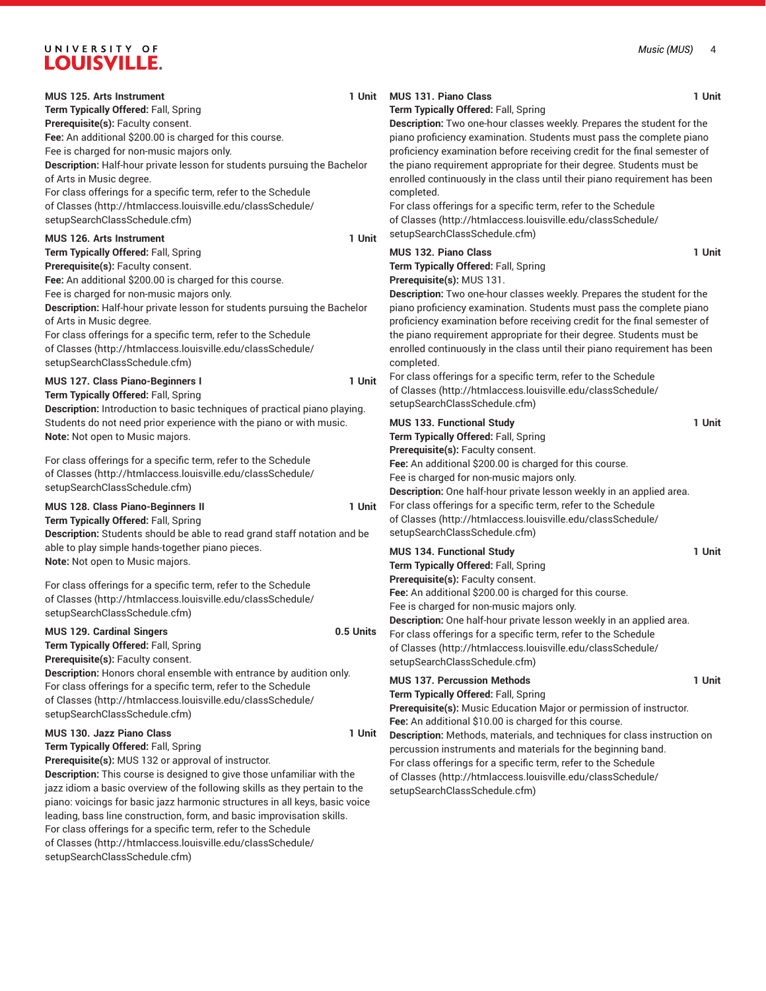| <b>MUS 125. Arts Instrument</b>                                                                                               | 1 Unit    | <b>MUS 131. Piano Class</b>                                                                                                            | 1 Unit |
|-------------------------------------------------------------------------------------------------------------------------------|-----------|----------------------------------------------------------------------------------------------------------------------------------------|--------|
| Term Typically Offered: Fall, Spring                                                                                          |           | Term Typically Offered: Fall, Spring                                                                                                   |        |
| Prerequisite(s): Faculty consent.                                                                                             |           | Description: Two one-hour classes weekly. Prepares the student for the                                                                 |        |
| Fee: An additional \$200.00 is charged for this course.                                                                       |           | piano proficiency examination. Students must pass the complete piano                                                                   |        |
| Fee is charged for non-music majors only.                                                                                     |           | proficiency examination before receiving credit for the final semester of                                                              |        |
| Description: Half-hour private lesson for students pursuing the Bachelor                                                      |           | the piano requirement appropriate for their degree. Students must be                                                                   |        |
| of Arts in Music degree.                                                                                                      |           | enrolled continuously in the class until their piano requirement has been                                                              |        |
| For class offerings for a specific term, refer to the Schedule                                                                |           | completed.                                                                                                                             |        |
| of Classes (http://htmlaccess.louisville.edu/classSchedule/                                                                   |           | For class offerings for a specific term, refer to the Schedule                                                                         |        |
| setupSearchClassSchedule.cfm)                                                                                                 |           | of Classes (http://htmlaccess.louisville.edu/classSchedule/                                                                            |        |
| <b>MUS 126. Arts Instrument</b>                                                                                               | 1 Unit    | setupSearchClassSchedule.cfm)                                                                                                          |        |
| Term Typically Offered: Fall, Spring                                                                                          |           | <b>MUS 132. Piano Class</b>                                                                                                            | 1 Unit |
| Prerequisite(s): Faculty consent.                                                                                             |           | Term Typically Offered: Fall, Spring                                                                                                   |        |
| Fee: An additional \$200.00 is charged for this course.                                                                       |           | Prerequisite(s): MUS 131.                                                                                                              |        |
| Fee is charged for non-music majors only.                                                                                     |           | Description: Two one-hour classes weekly. Prepares the student for the                                                                 |        |
| Description: Half-hour private lesson for students pursuing the Bachelor                                                      |           | piano proficiency examination. Students must pass the complete piano                                                                   |        |
| of Arts in Music degree.                                                                                                      |           | proficiency examination before receiving credit for the final semester of                                                              |        |
| For class offerings for a specific term, refer to the Schedule                                                                |           | the piano requirement appropriate for their degree. Students must be                                                                   |        |
| of Classes (http://htmlaccess.louisville.edu/classSchedule/                                                                   |           | enrolled continuously in the class until their piano requirement has been                                                              |        |
| setupSearchClassSchedule.cfm)                                                                                                 |           | completed.                                                                                                                             |        |
|                                                                                                                               |           | For class offerings for a specific term, refer to the Schedule                                                                         |        |
| MUS 127. Class Piano-Beginners I                                                                                              | 1 Unit    | of Classes (http://htmlaccess.louisville.edu/classSchedule/                                                                            |        |
| Term Typically Offered: Fall, Spring                                                                                          |           | setupSearchClassSchedule.cfm)                                                                                                          |        |
| Description: Introduction to basic techniques of practical piano playing.                                                     |           |                                                                                                                                        |        |
| Students do not need prior experience with the piano or with music.                                                           |           | MUS 133. Functional Study                                                                                                              | 1 Unit |
| Note: Not open to Music majors.                                                                                               |           | Term Typically Offered: Fall, Spring                                                                                                   |        |
| For class offerings for a specific term, refer to the Schedule                                                                |           | Prerequisite(s): Faculty consent.                                                                                                      |        |
| of Classes (http://htmlaccess.louisville.edu/classSchedule/                                                                   |           | Fee: An additional \$200.00 is charged for this course.                                                                                |        |
| setupSearchClassSchedule.cfm)                                                                                                 |           | Fee is charged for non-music majors only.                                                                                              |        |
|                                                                                                                               |           | Description: One half-hour private lesson weekly in an applied area.<br>For class offerings for a specific term, refer to the Schedule |        |
| MUS 128. Class Piano-Beginners II                                                                                             | 1 Unit    | of Classes (http://htmlaccess.louisville.edu/classSchedule/                                                                            |        |
| Term Typically Offered: Fall, Spring<br>Description: Students should be able to read grand staff notation and be              |           | setupSearchClassSchedule.cfm)                                                                                                          |        |
|                                                                                                                               |           |                                                                                                                                        |        |
| able to play simple hands-together piano pieces.                                                                              |           | <b>MUS 134. Functional Study</b>                                                                                                       | 1 Unit |
| Note: Not open to Music majors.                                                                                               |           | Term Typically Offered: Fall, Spring                                                                                                   |        |
| For class offerings for a specific term, refer to the Schedule                                                                |           | Prerequisite(s): Faculty consent.                                                                                                      |        |
| of Classes (http://htmlaccess.louisville.edu/classSchedule/                                                                   |           | Fee: An additional \$200.00 is charged for this course.                                                                                |        |
| setupSearchClassSchedule.cfm)                                                                                                 |           | Fee is charged for non-music majors only.                                                                                              |        |
|                                                                                                                               |           | Description: One half-hour private lesson weekly in an applied area.                                                                   |        |
| MUS 129. Cardinal Singers                                                                                                     | 0.5 Units | For class offerings for a specific term, refer to the Schedule                                                                         |        |
| Term Typically Offered: Fall, Spring                                                                                          |           | of Classes (http://htmlaccess.louisville.edu/classSchedule/                                                                            |        |
| Prerequisite(s): Faculty consent.                                                                                             |           | setupSearchClassSchedule.cfm)                                                                                                          |        |
| Description: Honors choral ensemble with entrance by audition only.                                                           |           | <b>MUS 137. Percussion Methods</b>                                                                                                     | 1 Unit |
| For class offerings for a specific term, refer to the Schedule<br>of Classes (http://htmlaccess.louisville.edu/classSchedule/ |           | Term Typically Offered: Fall, Spring                                                                                                   |        |
| setupSearchClassSchedule.cfm)                                                                                                 |           | Prerequisite(s): Music Education Major or permission of instructor.                                                                    |        |
|                                                                                                                               |           | Fee: An additional \$10.00 is charged for this course.                                                                                 |        |
| MUS 130. Jazz Piano Class                                                                                                     | 1 Unit    | Description: Methods, materials, and techniques for class instruction on                                                               |        |
| Term Typically Offered: Fall, Spring                                                                                          |           | percussion instruments and materials for the beginning band.                                                                           |        |
| Prerequisite(s): MUS 132 or approval of instructor.                                                                           |           | For class offerings for a specific term, refer to the Schedule                                                                         |        |
| <b>Description:</b> This course is designed to give those unfamiliar with the                                                 |           | of Classes (http://htmlaccess.louisville.edu/classSchedule/                                                                            |        |
| jazz idiom a basic overview of the following skills as they pertain to the                                                    |           | setupSearchClassSchedule.cfm)                                                                                                          |        |
| piano: voicings for basic jazz harmonic structures in all keys, basic voice                                                   |           |                                                                                                                                        |        |
| leading, bass line construction, form, and basic improvisation skills.                                                        |           |                                                                                                                                        |        |
| For class offerings for a specific term, refer to the Schedule                                                                |           |                                                                                                                                        |        |
| of Classes (http://htmlaccess.louisville.edu/classSchedule/                                                                   |           |                                                                                                                                        |        |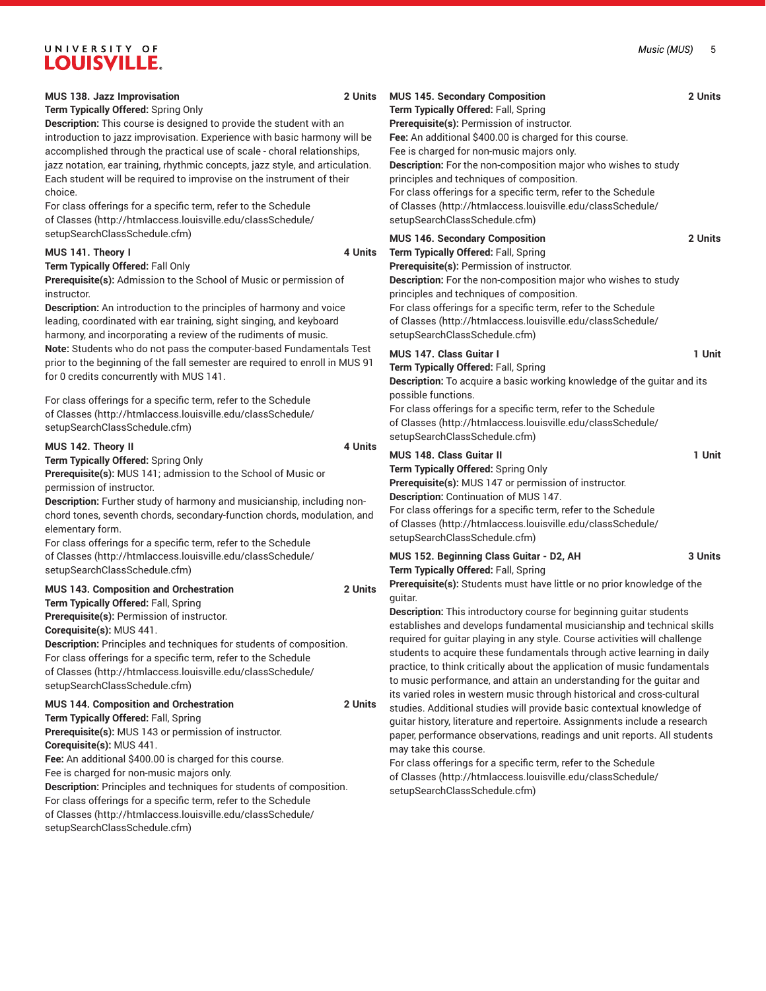### *Music (MUS)* 5

# UNIVERSITY OF **LOUISVILLE.**

| MUS 138. Jazz Improvisation<br>Term Typically Offered: Spring Only<br>Description: This course is designed to provide the student with an<br>introduction to jazz improvisation. Experience with basic harmony will be<br>accomplished through the practical use of scale - choral relationships,<br>jazz notation, ear training, rhythmic concepts, jazz style, and articulation.<br>Each student will be required to improvise on the instrument of their<br>choice.<br>For class offerings for a specific term, refer to the Schedule<br>of Classes (http://htmlaccess.louisville.edu/classSchedule/<br>setupSearchClassSchedule.cfm) | 2 Units | MUS 145. Secondary Composition<br>Term Typically Offered: Fall, Spring<br>Prerequisite(s): Permission of instructor.<br>Fee: An additional \$400.00 is charged for this course.<br>Fee is charged for non-music majors only.<br>Description: For the non-composition major who wishes to study<br>principles and techniques of composition.<br>For class offerings for a specific term, refer to the Schedule<br>of Classes (http://htmlaccess.louisville.edu/classSchedule/<br>setupSearchClassSchedule.cfm)                                            | 2 Units |
|------------------------------------------------------------------------------------------------------------------------------------------------------------------------------------------------------------------------------------------------------------------------------------------------------------------------------------------------------------------------------------------------------------------------------------------------------------------------------------------------------------------------------------------------------------------------------------------------------------------------------------------|---------|----------------------------------------------------------------------------------------------------------------------------------------------------------------------------------------------------------------------------------------------------------------------------------------------------------------------------------------------------------------------------------------------------------------------------------------------------------------------------------------------------------------------------------------------------------|---------|
| MUS 141. Theory I<br>Term Typically Offered: Fall Only<br>Prerequisite(s): Admission to the School of Music or permission of<br>instructor.<br>Description: An introduction to the principles of harmony and voice<br>leading, coordinated with ear training, sight singing, and keyboard<br>harmony, and incorporating a review of the rudiments of music.                                                                                                                                                                                                                                                                              | 4 Units | MUS 146. Secondary Composition<br>Term Typically Offered: Fall, Spring<br>Prerequisite(s): Permission of instructor.<br>Description: For the non-composition major who wishes to study<br>principles and techniques of composition.<br>For class offerings for a specific term, refer to the Schedule<br>of Classes (http://htmlaccess.louisville.edu/classSchedule/<br>setupSearchClassSchedule.cfm)                                                                                                                                                    | 2 Units |
| Note: Students who do not pass the computer-based Fundamentals Test<br>prior to the beginning of the fall semester are required to enroll in MUS 91<br>for 0 credits concurrently with MUS 141.<br>For class offerings for a specific term, refer to the Schedule<br>of Classes (http://htmlaccess.louisville.edu/classSchedule/<br>setupSearchClassSchedule.cfm)                                                                                                                                                                                                                                                                        |         | MUS 147. Class Guitar I<br>Term Typically Offered: Fall, Spring<br>Description: To acquire a basic working knowledge of the guitar and its<br>possible functions.<br>For class offerings for a specific term, refer to the Schedule<br>of Classes (http://htmlaccess.louisville.edu/classSchedule/<br>setupSearchClassSchedule.cfm)                                                                                                                                                                                                                      | 1 Unit  |
| MUS 142. Theory II<br>Term Typically Offered: Spring Only<br>Prerequisite(s): MUS 141; admission to the School of Music or<br>permission of instructor.<br>Description: Further study of harmony and musicianship, including non-<br>chord tones, seventh chords, secondary-function chords, modulation, and<br>elementary form.<br>For class offerings for a specific term, refer to the Schedule                                                                                                                                                                                                                                       | 4 Units | <b>MUS 148. Class Guitar II</b><br>Term Typically Offered: Spring Only<br>Prerequisite(s): MUS 147 or permission of instructor.<br>Description: Continuation of MUS 147.<br>For class offerings for a specific term, refer to the Schedule<br>of Classes (http://htmlaccess.louisville.edu/classSchedule/<br>setupSearchClassSchedule.cfm)                                                                                                                                                                                                               | 1 Unit  |
| of Classes (http://htmlaccess.louisville.edu/classSchedule/<br>setupSearchClassSchedule.cfm)                                                                                                                                                                                                                                                                                                                                                                                                                                                                                                                                             |         | MUS 152. Beginning Class Guitar - D2, AH<br>Term Typically Offered: Fall, Spring                                                                                                                                                                                                                                                                                                                                                                                                                                                                         | 3 Units |
| MUS 143. Composition and Orchestration<br>Term Typically Offered: Fall, Spring<br>Prerequisite(s): Permission of instructor.<br>Corequisite(s): MUS 441.<br>Description: Principles and techniques for students of composition.<br>For class offerings for a specific term, refer to the Schedule<br>of Classes (http://htmlaccess.louisville.edu/classSchedule/<br>setupSearchClassSchedule.cfm)                                                                                                                                                                                                                                        | 2 Units | Prerequisite(s): Students must have little or no prior knowledge of the<br>guitar.<br><b>Description:</b> This introductory course for beginning guitar students<br>establishes and develops fundamental musicianship and technical skills<br>required for guitar playing in any style. Course activities will challenge<br>students to acquire these fundamentals through active learning in daily<br>practice, to think critically about the application of music fundamentals<br>to music performance, and attain an understanding for the guitar and |         |
| MUS 144. Composition and Orchestration<br>Term Typically Offered: Fall, Spring<br>Prerequisite(s): MUS 143 or permission of instructor.<br>Corequisite(s): MUS 441.<br>Fee: An additional \$400.00 is charged for this course.<br>Fee is charged for non-music majors only.<br>Description: Principles and techniques for students of composition.<br>For class offerings for a specific term, refer to the Schedule<br>of Classes (http://htmlaccess.louisville.edu/classSchedule/<br>setupSearchClassSchedule.cfm)                                                                                                                     | 2 Units | its varied roles in western music through historical and cross-cultural<br>studies. Additional studies will provide basic contextual knowledge of<br>guitar history, literature and repertoire. Assignments include a research<br>paper, performance observations, readings and unit reports. All students<br>may take this course.<br>For class offerings for a specific term, refer to the Schedule<br>of Classes (http://htmlaccess.louisville.edu/classSchedule/<br>setupSearchClassSchedule.cfm)                                                    |         |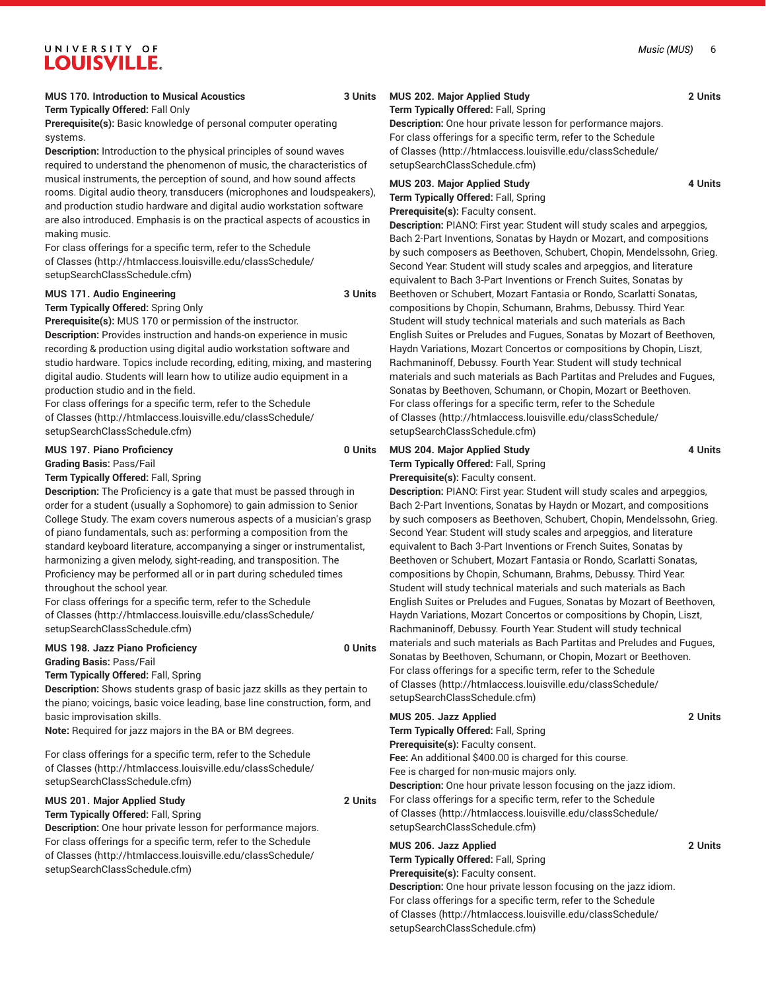# **MUS 170. Introduction to Musical Acoustics 3 Units**

# **Term Typically Offered:** Fall Only

**Prerequisite(s):** Basic knowledge of personal computer operating systems.

**Description:** Introduction to the physical principles of sound waves required to understand the phenomenon of music, the characteristics of musical instruments, the perception of sound, and how sound affects rooms. Digital audio theory, transducers (microphones and loudspeakers), and production studio hardware and digital audio workstation software are also introduced. Emphasis is on the practical aspects of acoustics in making music.

For class offerings for a specific term, refer to the [Schedule](http://htmlaccess.louisville.edu/classSchedule/setupSearchClassSchedule.cfm) [of Classes \(http://htmlaccess.louisville.edu/classSchedule/](http://htmlaccess.louisville.edu/classSchedule/setupSearchClassSchedule.cfm) [setupSearchClassSchedule.cfm\)](http://htmlaccess.louisville.edu/classSchedule/setupSearchClassSchedule.cfm)

# **MUS 171. Audio Engineering 3 Units**

# **Term Typically Offered:** Spring Only

**Prerequisite(s):** MUS 170 or permission of the instructor. **Description:** Provides instruction and hands-on experience in music recording & production using digital audio workstation software and studio hardware. Topics include recording, editing, mixing, and mastering digital audio. Students will learn how to utilize audio equipment in a production studio and in the field.

For class offerings for a specific term, refer to the [Schedule](http://htmlaccess.louisville.edu/classSchedule/setupSearchClassSchedule.cfm) [of Classes \(http://htmlaccess.louisville.edu/classSchedule/](http://htmlaccess.louisville.edu/classSchedule/setupSearchClassSchedule.cfm) [setupSearchClassSchedule.cfm\)](http://htmlaccess.louisville.edu/classSchedule/setupSearchClassSchedule.cfm)

# **MUS 197. Piano Proficiency 0 Units**

**Grading Basis:** Pass/Fail **Term Typically Offered:** Fall, Spring

**Description:** The Proficiency is a gate that must be passed through in

order for a student (usually a Sophomore) to gain admission to Senior College Study. The exam covers numerous aspects of a musician's grasp of piano fundamentals, such as: performing a composition from the standard keyboard literature, accompanying a singer or instrumentalist, harmonizing a given melody, sight-reading, and transposition. The Proficiency may be performed all or in part during scheduled times throughout the school year.

For class offerings for a specific term, refer to the [Schedule](http://htmlaccess.louisville.edu/classSchedule/setupSearchClassSchedule.cfm) [of Classes \(http://htmlaccess.louisville.edu/classSchedule/](http://htmlaccess.louisville.edu/classSchedule/setupSearchClassSchedule.cfm) [setupSearchClassSchedule.cfm\)](http://htmlaccess.louisville.edu/classSchedule/setupSearchClassSchedule.cfm)

# **MUS 198. Jazz Piano Proficiency 0 Units**

**Grading Basis:** Pass/Fail

**Term Typically Offered:** Fall, Spring

**Description:** Shows students grasp of basic jazz skills as they pertain to the piano; voicings, basic voice leading, base line construction, form, and basic improvisation skills.

**Note:** Required for jazz majors in the BA or BM degrees.

For class offerings for a specific term, refer to the [Schedule](http://htmlaccess.louisville.edu/classSchedule/setupSearchClassSchedule.cfm) [of Classes \(http://htmlaccess.louisville.edu/classSchedule/](http://htmlaccess.louisville.edu/classSchedule/setupSearchClassSchedule.cfm) [setupSearchClassSchedule.cfm\)](http://htmlaccess.louisville.edu/classSchedule/setupSearchClassSchedule.cfm)

# **MUS 201. Major Applied Study 2 Units**

**Term Typically Offered:** Fall, Spring **Description:** One hour private lesson for performance majors. For class offerings for a specific term, refer to the [Schedule](http://htmlaccess.louisville.edu/classSchedule/setupSearchClassSchedule.cfm) [of Classes \(http://htmlaccess.louisville.edu/classSchedule/](http://htmlaccess.louisville.edu/classSchedule/setupSearchClassSchedule.cfm) [setupSearchClassSchedule.cfm\)](http://htmlaccess.louisville.edu/classSchedule/setupSearchClassSchedule.cfm)

# **MUS 202. Major Applied Study 2 Units**

**Term Typically Offered:** Fall, Spring

**Description:** One hour private lesson for performance majors. For class offerings for a specific term, refer to the [Schedule](http://htmlaccess.louisville.edu/classSchedule/setupSearchClassSchedule.cfm) [of Classes](http://htmlaccess.louisville.edu/classSchedule/setupSearchClassSchedule.cfm) ([http://htmlaccess.louisville.edu/classSchedule/](http://htmlaccess.louisville.edu/classSchedule/setupSearchClassSchedule.cfm) [setupSearchClassSchedule.cfm\)](http://htmlaccess.louisville.edu/classSchedule/setupSearchClassSchedule.cfm)

# MUS 203. Major Applied Study **4 Units**

**Term Typically Offered:** Fall, Spring

**Prerequisite(s):** Faculty consent.

**Description:** PIANO: First year: Student will study scales and arpeggios, Bach 2-Part Inventions, Sonatas by Haydn or Mozart, and compositions by such composers as Beethoven, Schubert, Chopin, Mendelssohn, Grieg. Second Year: Student will study scales and arpeggios, and literature equivalent to Bach 3-Part Inventions or French Suites, Sonatas by Beethoven or Schubert, Mozart Fantasia or Rondo, Scarlatti Sonatas, compositions by Chopin, Schumann, Brahms, Debussy. Third Year: Student will study technical materials and such materials as Bach English Suites or Preludes and Fugues, Sonatas by Mozart of Beethoven, Haydn Variations, Mozart Concertos or compositions by Chopin, Liszt, Rachmaninoff, Debussy. Fourth Year: Student will study technical materials and such materials as Bach Partitas and Preludes and Fugues, Sonatas by Beethoven, Schumann, or Chopin, Mozart or Beethoven. For class offerings for a specific term, refer to the [Schedule](http://htmlaccess.louisville.edu/classSchedule/setupSearchClassSchedule.cfm) [of Classes](http://htmlaccess.louisville.edu/classSchedule/setupSearchClassSchedule.cfm) ([http://htmlaccess.louisville.edu/classSchedule/](http://htmlaccess.louisville.edu/classSchedule/setupSearchClassSchedule.cfm) [setupSearchClassSchedule.cfm\)](http://htmlaccess.louisville.edu/classSchedule/setupSearchClassSchedule.cfm)

# MUS 204. Major Applied Study **4 Units**

**Term Typically Offered:** Fall, Spring **Prerequisite(s):** Faculty consent.

**Description:** PIANO: First year: Student will study scales and arpeggios, Bach 2-Part Inventions, Sonatas by Haydn or Mozart, and compositions by such composers as Beethoven, Schubert, Chopin, Mendelssohn, Grieg. Second Year: Student will study scales and arpeggios, and literature equivalent to Bach 3-Part Inventions or French Suites, Sonatas by Beethoven or Schubert, Mozart Fantasia or Rondo, Scarlatti Sonatas, compositions by Chopin, Schumann, Brahms, Debussy. Third Year: Student will study technical materials and such materials as Bach English Suites or Preludes and Fugues, Sonatas by Mozart of Beethoven, Haydn Variations, Mozart Concertos or compositions by Chopin, Liszt, Rachmaninoff, Debussy. Fourth Year: Student will study technical materials and such materials as Bach Partitas and Preludes and Fugues, Sonatas by Beethoven, Schumann, or Chopin, Mozart or Beethoven. For class offerings for a specific term, refer to the [Schedule](http://htmlaccess.louisville.edu/classSchedule/setupSearchClassSchedule.cfm) [of Classes](http://htmlaccess.louisville.edu/classSchedule/setupSearchClassSchedule.cfm) ([http://htmlaccess.louisville.edu/classSchedule/](http://htmlaccess.louisville.edu/classSchedule/setupSearchClassSchedule.cfm) [setupSearchClassSchedule.cfm\)](http://htmlaccess.louisville.edu/classSchedule/setupSearchClassSchedule.cfm)

**MUS 205. Jazz Applied 2 Units Term Typically Offered:** Fall, Spring **Prerequisite(s):** Faculty consent. **Fee:** An additional \$400.00 is charged for this course. Fee is charged for non-music majors only. **Description:** One hour private lesson focusing on the jazz idiom. For class offerings for a specific term, refer to the [Schedule](http://htmlaccess.louisville.edu/classSchedule/setupSearchClassSchedule.cfm) [of Classes](http://htmlaccess.louisville.edu/classSchedule/setupSearchClassSchedule.cfm) ([http://htmlaccess.louisville.edu/classSchedule/](http://htmlaccess.louisville.edu/classSchedule/setupSearchClassSchedule.cfm) [setupSearchClassSchedule.cfm\)](http://htmlaccess.louisville.edu/classSchedule/setupSearchClassSchedule.cfm) **MUS 206. Jazz Applied 2 Units Term Typically Offered:** Fall, Spring **Prerequisite(s):** Faculty consent. **Description:** One hour private lesson focusing on the jazz idiom. For class offerings for a specific term, refer to the [Schedule](http://htmlaccess.louisville.edu/classSchedule/setupSearchClassSchedule.cfm) [of Classes](http://htmlaccess.louisville.edu/classSchedule/setupSearchClassSchedule.cfm) ([http://htmlaccess.louisville.edu/classSchedule/](http://htmlaccess.louisville.edu/classSchedule/setupSearchClassSchedule.cfm)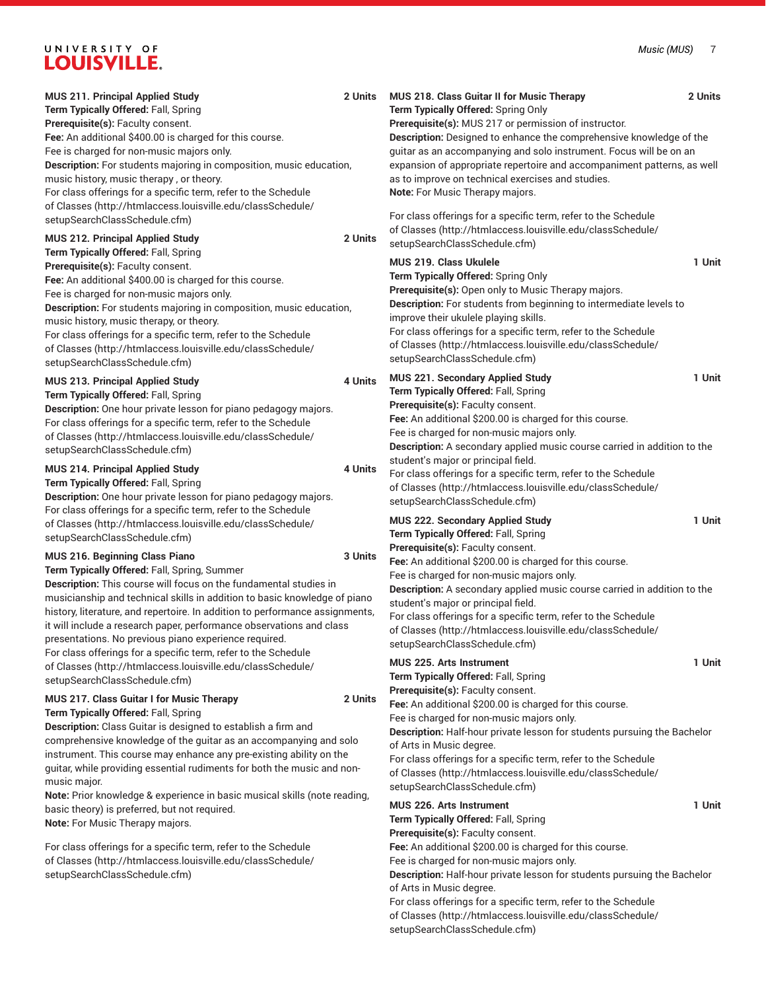| <b>MUS 211. Principal Applied Study</b><br>Term Typically Offered: Fall, Spring<br>Prerequisite(s): Faculty consent.<br>Fee: An additional \$400.00 is charged for this course.<br>Fee is charged for non-music majors only.<br>Description: For students majoring in composition, music education,<br>music history, music therapy, or theory.<br>For class offerings for a specific term, refer to the Schedule<br>of Classes (http://htmlaccess.louisville.edu/classSchedule/                                                                                                                                                                                                      | 2 Units            | MUS 218. Class Guitar II for Music Therapy<br>Term Typically Offered: Spring Only<br>Prerequisite(s): MUS 217 or permission of instructor.<br>Description: Designed to enhance the comprehensive knowledge of the<br>guitar as an accompanying and solo instrument. Focus will be on an<br>expansion of appropriate repertoire and accompaniment patterns, as well<br>as to improve on technical exercises and studies.<br>Note: For Music Therapy majors.                                                                                                                  | 2 Units          |
|---------------------------------------------------------------------------------------------------------------------------------------------------------------------------------------------------------------------------------------------------------------------------------------------------------------------------------------------------------------------------------------------------------------------------------------------------------------------------------------------------------------------------------------------------------------------------------------------------------------------------------------------------------------------------------------|--------------------|-----------------------------------------------------------------------------------------------------------------------------------------------------------------------------------------------------------------------------------------------------------------------------------------------------------------------------------------------------------------------------------------------------------------------------------------------------------------------------------------------------------------------------------------------------------------------------|------------------|
| setupSearchClassSchedule.cfm)<br><b>MUS 212. Principal Applied Study</b><br>Term Typically Offered: Fall, Spring<br>Prerequisite(s): Faculty consent.<br>Fee: An additional \$400.00 is charged for this course.<br>Fee is charged for non-music majors only.<br>Description: For students majoring in composition, music education,<br>music history, music therapy, or theory.<br>For class offerings for a specific term, refer to the Schedule<br>of Classes (http://htmlaccess.louisville.edu/classSchedule/<br>setupSearchClassSchedule.cfm)                                                                                                                                    | 2 Units            | For class offerings for a specific term, refer to the Schedule<br>of Classes (http://htmlaccess.louisville.edu/classSchedule/<br>setupSearchClassSchedule.cfm)<br>MUS 219. Class Ukulele<br>Term Typically Offered: Spring Only<br>Prerequisite(s): Open only to Music Therapy majors.<br>Description: For students from beginning to intermediate levels to<br>improve their ukulele playing skills.<br>For class offerings for a specific term, refer to the Schedule<br>of Classes (http://htmlaccess.louisville.edu/classSchedule/<br>setupSearchClassSchedule.cfm)     | 1 Unit           |
| MUS 213. Principal Applied Study<br>Term Typically Offered: Fall, Spring<br>Description: One hour private lesson for piano pedagogy majors.<br>For class offerings for a specific term, refer to the Schedule<br>of Classes (http://htmlaccess.louisville.edu/classSchedule/<br>setupSearchClassSchedule.cfm)<br>MUS 214. Principal Applied Study<br>Term Typically Offered: Fall, Spring<br>Description: One hour private lesson for piano pedagogy majors.                                                                                                                                                                                                                          | 4 Units<br>4 Units | MUS 221. Secondary Applied Study<br>Term Typically Offered: Fall, Spring<br>Prerequisite(s): Faculty consent.<br>Fee: An additional \$200.00 is charged for this course.<br>Fee is charged for non-music majors only.<br><b>Description:</b> A secondary applied music course carried in addition to the<br>student's major or principal field.<br>For class offerings for a specific term, refer to the Schedule<br>of Classes (http://htmlaccess.louisville.edu/classSchedule/<br>setupSearchClassSchedule.cfm)                                                           | 1 Unit           |
| For class offerings for a specific term, refer to the Schedule<br>of Classes (http://htmlaccess.louisville.edu/classSchedule/<br>setupSearchClassSchedule.cfm)<br>MUS 216. Beginning Class Piano<br>Term Typically Offered: Fall, Spring, Summer<br>Description: This course will focus on the fundamental studies in<br>musicianship and technical skills in addition to basic knowledge of piano<br>history, literature, and repertoire. In addition to performance assignments,<br>it will include a research paper, performance observations and class<br>presentations. No previous piano experience required.<br>For class offerings for a specific term, refer to the Schedule | 3 Units            | MUS 222. Secondary Applied Study<br>Term Typically Offered: Fall, Spring<br>Prerequisite(s): Faculty consent.<br>Fee: An additional \$200.00 is charged for this course.<br>Fee is charged for non-music majors only.<br>Description: A secondary applied music course carried in addition to the<br>student's major or principal field.<br>For class offerings for a specific term, refer to the Schedule<br>of Classes (http://htmlaccess.louisville.edu/classSchedule/<br>setupSearchClassSchedule.cfm)<br><b>MUS 225. Arts Instrument</b>                               | 1 Unit<br>1 Unit |
| of Classes (http://htmlaccess.louisville.edu/classSchedule/<br>setupSearchClassSchedule.cfm)<br>MUS 217. Class Guitar I for Music Therapy<br>Term Typically Offered: Fall, Spring<br>Description: Class Guitar is designed to establish a firm and<br>comprehensive knowledge of the guitar as an accompanying and solo<br>instrument. This course may enhance any pre-existing ability on the<br>guitar, while providing essential rudiments for both the music and non-<br>music major.<br>Note: Prior knowledge & experience in basic musical skills (note reading,<br>basic theory) is preferred, but not required.<br>Note: For Music Therapy majors.                            | 2 Units            | Term Typically Offered: Fall, Spring<br>Prerequisite(s): Faculty consent.<br>Fee: An additional \$200.00 is charged for this course.<br>Fee is charged for non-music majors only.<br>Description: Half-hour private lesson for students pursuing the Bachelor<br>of Arts in Music degree.<br>For class offerings for a specific term, refer to the Schedule<br>of Classes (http://htmlaccess.louisville.edu/classSchedule/<br>setupSearchClassSchedule.cfm)<br><b>MUS 226. Arts Instrument</b><br>Term Typically Offered: Fall, Spring<br>Prerequisite(s): Faculty consent. | 1 Unit           |
| For class offerings for a specific term, refer to the Schedule<br>of Classes (http://htmlaccess.louisville.edu/classSchedule/<br>setupSearchClassSchedule.cfm)                                                                                                                                                                                                                                                                                                                                                                                                                                                                                                                        |                    | Fee: An additional \$200.00 is charged for this course.<br>Fee is charged for non-music majors only.<br>Description: Half-hour private lesson for students pursuing the Bachelor<br>of Arts in Music degree.<br>For class offerings for a specific term, refer to the Schedule<br>of Classes (http://htmlaccess.louisville.edu/classSchedule/                                                                                                                                                                                                                               |                  |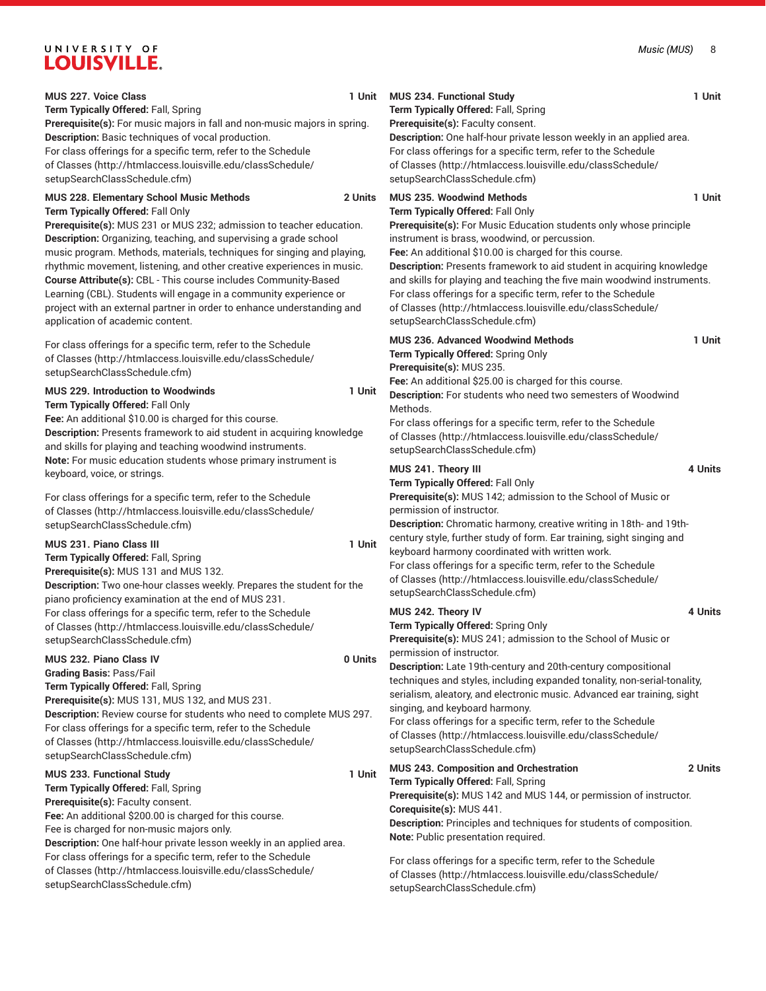| $\sim$ $\sim$ $\sqrt{ }$<br>____                                                                                                                                                                                                                                                                                                                                                                                                                                                                                                                                                                                                     |         |                                                                                                                                                                                                                                                                                                                                                                           |
|--------------------------------------------------------------------------------------------------------------------------------------------------------------------------------------------------------------------------------------------------------------------------------------------------------------------------------------------------------------------------------------------------------------------------------------------------------------------------------------------------------------------------------------------------------------------------------------------------------------------------------------|---------|---------------------------------------------------------------------------------------------------------------------------------------------------------------------------------------------------------------------------------------------------------------------------------------------------------------------------------------------------------------------------|
| MUS 227. Voice Class<br>Term Typically Offered: Fall, Spring<br>Prerequisite(s): For music majors in fall and non-music majors in spring.<br>Description: Basic techniques of vocal production.<br>For class offerings for a specific term, refer to the Schedule<br>of Classes (http://htmlaccess.louisville.edu/classSchedule/<br>setupSearchClassSchedule.cfm)                                                                                                                                                                                                                                                                    | 1 Unit  | MUS 234. Functional Study<br>Term Typically Offered: Fall, Sprir<br>Prerequisite(s): Faculty consent.<br>Description: One half-hour private<br>For class offerings for a specific<br>of Classes (http://htmlaccess.lou<br>setupSearchClassSchedule.cfm)                                                                                                                   |
| MUS 228. Elementary School Music Methods<br>Term Typically Offered: Fall Only<br>Prerequisite(s): MUS 231 or MUS 232; admission to teacher education.<br>Description: Organizing, teaching, and supervising a grade school<br>music program. Methods, materials, techniques for singing and playing,<br>rhythmic movement, listening, and other creative experiences in music.<br>Course Attribute(s): CBL - This course includes Community-Based<br>Learning (CBL). Students will engage in a community experience or<br>project with an external partner in order to enhance understanding and<br>application of academic content. | 2 Units | MUS 235. Woodwind Methods<br>Term Typically Offered: Fall Only<br>Prerequisite(s): For Music Educa<br>instrument is brass, woodwind, o<br>Fee: An additional \$10.00 is chard<br><b>Description: Presents framework</b><br>and skills for playing and teachin<br>For class offerings for a specific<br>of Classes (http://htmlaccess.lou<br>setupSearchClassSchedule.cfm) |
| For class offerings for a specific term, refer to the Schedule<br>of Classes (http://htmlaccess.louisville.edu/classSchedule/<br>setupSearchClassSchedule.cfm)<br><b>MUS 229. Introduction to Woodwinds</b><br>Term Typically Offered: Fall Only<br>Fee: An additional \$10.00 is charged for this course.<br>Description: Presents framework to aid student in acquiring knowledge<br>and skills for playing and teaching woodwind instruments.                                                                                                                                                                                     | 1 Unit  | MUS 236. Advanced Woodwind I<br>Term Typically Offered: Spring Or<br>Prerequisite(s): MUS 235.<br>Fee: An additional \$25.00 is chard<br>Description: For students who ne<br>Methods.<br>For class offerings for a specific<br>of Classes (http://htmlaccess.lou<br>setupSearchClassSchedule.cfm)                                                                         |
| Note: For music education students whose primary instrument is<br>keyboard, voice, or strings.<br>For class offerings for a specific term, refer to the Schedule<br>of Classes (http://htmlaccess.louisville.edu/classSchedule/<br>setupSearchClassSchedule.cfm)<br><b>MUS 231. Piano Class III</b><br>Term Typically Offered: Fall, Spring<br>Prerequisite(s): MUS 131 and MUS 132.<br>Description: Two one-hour classes weekly. Prepares the student for the                                                                                                                                                                       | 1 Unit  | MUS 241. Theory III<br>Term Typically Offered: Fall Only<br>Prerequisite(s): MUS 142; admiss<br>permission of instructor.<br>Description: Chromatic harmony,<br>century style, further study of for<br>keyboard harmony coordinated w<br>For class offerings for a specific<br>of Classes (http://htmlaccess.lou<br>setupSearchClassSchedule.cfm)                         |
| piano proficiency examination at the end of MUS 231.<br>For class offerings for a specific term, refer to the Schedule<br>of Classes (http://htmlaccess.louisville.edu/classSchedule/<br>setupSearchClassSchedule.cfm)                                                                                                                                                                                                                                                                                                                                                                                                               |         | MUS 242. Theory IV<br>Term Typically Offered: Spring Or<br>Prerequisite(s): MUS 241; admiss                                                                                                                                                                                                                                                                               |
| <b>MUS 232. Piano Class IV</b><br><b>Grading Basis: Pass/Fail</b><br>Term Typically Offered: Fall, Spring<br>Prerequisite(s): MUS 131, MUS 132, and MUS 231.<br>Description: Review course for students who need to complete MUS 297.<br>For class offerings for a specific term, refer to the Schedule<br>of Classes (http://htmlaccess.louisville.edu/classSchedule/<br>setupSearchClassSchedule.cfm)                                                                                                                                                                                                                              | 0 Units | permission of instructor.<br>Description: Late 19th-century ar<br>techniques and styles, including<br>serialism, aleatory, and electronic<br>singing, and keyboard harmony.<br>For class offerings for a specific<br>of Classes (http://htmlaccess.lou<br>setupSearchClassSchedule.cfm)                                                                                   |
| MUS 233. Functional Study<br>Term Typically Offered: Fall, Spring<br>Prerequisite(s): Faculty consent.<br>Fee: An additional \$200.00 is charged for this course.<br>Fee is charged for non-music majors only.<br>Description: One half-hour private lesson weekly in an applied area.<br>For class offerings for a specific term, refer to the Schedule                                                                                                                                                                                                                                                                             | 1 Unit  | MUS 243. Composition and Orch<br>Term Typically Offered: Fall, Sprir<br>Prerequisite(s): MUS 142 and MU<br>Corequisite(s): MUS 441.<br>Description: Principles and techn<br>Note: Public presentation require<br>For class offerings for a specific                                                                                                                       |
| of Classes (http://htmlaccess.louisville.edu/classSchedule/                                                                                                                                                                                                                                                                                                                                                                                                                                                                                                                                                                          |         | of Classes (http://htmlaccess.lou                                                                                                                                                                                                                                                                                                                                         |

[setupSearchClassSchedule.cfm\)](http://htmlaccess.louisville.edu/classSchedule/setupSearchClassSchedule.cfm)

**MUS 234. Functional Study 1 Unit Term Typically Offered:** Fall, Spring **Description:** One half-hour private lesson weekly in an applied area. term, refer to the [Schedule](http://htmlaccess.louisville.edu/classSchedule/setupSearchClassSchedule.cfm) uisville.edu/classSchedule/ **MUS 235. Woodwind Methods 1 Unit Prerequisite(s):** For Music Education students only whose principle  $or$  percussion. ged for this course. to aid student in acquiring knowledge ang the five main woodwind instruments. term, refer to the [Schedule](http://htmlaccess.louisville.edu/classSchedule/setupSearchClassSchedule.cfm) uisville.edu/classSchedule/ **MUS 236. Advanced Woodwind Methods 1 Unit Term Typically Offered:** Spring Only **Figure:** The course. **Description:** For students who need two semesters of Woodwind term, refer to the [Schedule](http://htmlaccess.louisville.edu/classSchedule/setupSearchClassSchedule.cfm) uisville.edu/classSchedule/ **MUS 241. Theory III 4 Units Prerequisite(s):** MUS 142; admission to the School of Music or creative writing in 18th- and 19thm. Ear training, sight singing and vith written work. term, refer to the [Schedule](http://htmlaccess.louisville.edu/classSchedule/setupSearchClassSchedule.cfm) uisville.edu/classSchedule/ **MUS 242. Theory IV 4 Units Term Typically Offered:** Spring Only sion to the School of Music or **Description:** Late 19th-century and 20th-century compositional expanded tonality, non-serial-tonality, c music. Advanced ear training, sight term, refer to the [Schedule](http://htmlaccess.louisville.edu/classSchedule/setupSearchClassSchedule.cfm) uisville.edu/classSchedule/ **MUS 243. Composition and Orchestration 2 Units Term Typically Offered:** Fall, Spring US 144, or permission of instructor. **Diques for students of composition. Note:** Public presentation required. term, refer to the [Schedule](http://htmlaccess.louisville.edu/classSchedule/setupSearchClassSchedule.cfm)

[of Classes](http://htmlaccess.louisville.edu/classSchedule/setupSearchClassSchedule.cfm) ([http://htmlaccess.louisville.edu/classSchedule/](http://htmlaccess.louisville.edu/classSchedule/setupSearchClassSchedule.cfm) [setupSearchClassSchedule.cfm\)](http://htmlaccess.louisville.edu/classSchedule/setupSearchClassSchedule.cfm)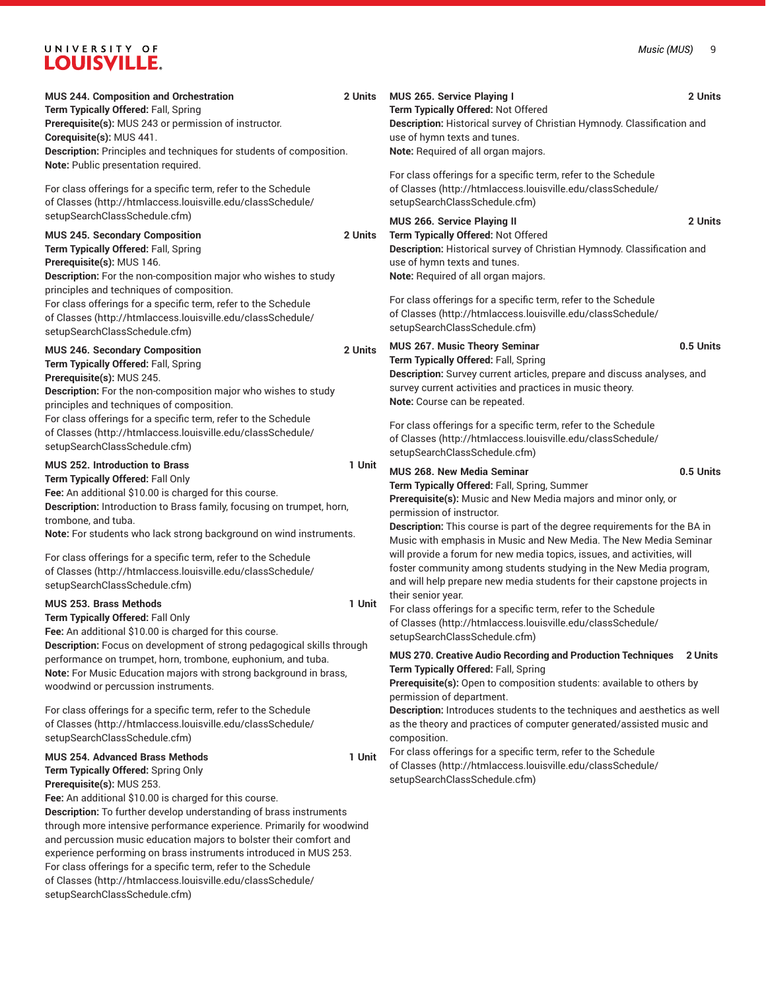| MUS 244. Composition and Orchestration<br>Term Typically Offered: Fall, Spring<br>Prerequisite(s): MUS 243 or permission of instructor.<br>Corequisite(s): MUS 441.<br>Description: Principles and techniques for students of composition.<br>Note: Public presentation required.                                                                                                                                                                                                                                                       | 2 Units | <b>MUS 265. Service Playing I</b><br>Term Typically Offered: Not Offered<br>Description: Historical survey of Christian Hymnody. Classification and<br>use of hymn texts and tunes.<br>Note: Required of all organ majors.                                                                                                                                           | 2 Units   |
|-----------------------------------------------------------------------------------------------------------------------------------------------------------------------------------------------------------------------------------------------------------------------------------------------------------------------------------------------------------------------------------------------------------------------------------------------------------------------------------------------------------------------------------------|---------|----------------------------------------------------------------------------------------------------------------------------------------------------------------------------------------------------------------------------------------------------------------------------------------------------------------------------------------------------------------------|-----------|
| For class offerings for a specific term, refer to the Schedule<br>of Classes (http://htmlaccess.louisville.edu/classSchedule/                                                                                                                                                                                                                                                                                                                                                                                                           |         | For class offerings for a specific term, refer to the Schedule<br>of Classes (http://htmlaccess.louisville.edu/classSchedule/<br>setupSearchClassSchedule.cfm)                                                                                                                                                                                                       |           |
| setupSearchClassSchedule.cfm)<br><b>MUS 245. Secondary Composition</b><br>Term Typically Offered: Fall, Spring<br>Prerequisite(s): MUS 146.<br>Description: For the non-composition major who wishes to study<br>principles and techniques of composition.<br>For class offerings for a specific term, refer to the Schedule                                                                                                                                                                                                            | 2 Units | MUS 266. Service Playing II<br>Term Typically Offered: Not Offered<br>Description: Historical survey of Christian Hymnody. Classification and<br>use of hymn texts and tunes.<br>Note: Required of all organ majors.<br>For class offerings for a specific term, refer to the Schedule<br>of Classes (http://htmlaccess.louisville.edu/classSchedule/                | 2 Units   |
| of Classes (http://htmlaccess.louisville.edu/classSchedule/<br>setupSearchClassSchedule.cfm)                                                                                                                                                                                                                                                                                                                                                                                                                                            |         | setupSearchClassSchedule.cfm)                                                                                                                                                                                                                                                                                                                                        |           |
| <b>MUS 246. Secondary Composition</b><br>Term Typically Offered: Fall, Spring<br>Prerequisite(s): MUS 245.<br>Description: For the non-composition major who wishes to study<br>principles and techniques of composition.<br>For class offerings for a specific term, refer to the Schedule<br>of Classes (http://htmlaccess.louisville.edu/classSchedule/                                                                                                                                                                              | 2 Units | MUS 267. Music Theory Seminar<br>Term Typically Offered: Fall, Spring<br>Description: Survey current articles, prepare and discuss analyses, and<br>survey current activities and practices in music theory.<br>Note: Course can be repeated.<br>For class offerings for a specific term, refer to the Schedule                                                      | 0.5 Units |
| setupSearchClassSchedule.cfm)                                                                                                                                                                                                                                                                                                                                                                                                                                                                                                           |         | of Classes (http://htmlaccess.louisville.edu/classSchedule/<br>setupSearchClassSchedule.cfm)                                                                                                                                                                                                                                                                         |           |
| <b>MUS 252. Introduction to Brass</b><br>Term Typically Offered: Fall Only<br>Fee: An additional \$10.00 is charged for this course.<br>Description: Introduction to Brass family, focusing on trumpet, horn,<br>trombone, and tuba.<br>Note: For students who lack strong background on wind instruments.                                                                                                                                                                                                                              | 1 Unit  | MUS 268. New Media Seminar<br>Term Typically Offered: Fall, Spring, Summer<br>Prerequisite(s): Music and New Media majors and minor only, or<br>permission of instructor.<br>Description: This course is part of the degree requirements for the BA in<br>Music with emphasis in Music and New Media. The New Media Seminar                                          | 0.5 Units |
| For class offerings for a specific term, refer to the Schedule<br>of Classes (http://htmlaccess.louisville.edu/classSchedule/<br>setupSearchClassSchedule.cfm)                                                                                                                                                                                                                                                                                                                                                                          |         | will provide a forum for new media topics, issues, and activities, will<br>foster community among students studying in the New Media program,<br>and will help prepare new media students for their capstone projects in                                                                                                                                             |           |
| <b>MUS 253. Brass Methods</b><br>Term Typically Offered: Fall Only<br>Fee: An additional \$10.00 is charged for this course.<br>Description: Focus on development of strong pedagogical skills through<br>performance on trumpet, horn, trombone, euphonium, and tuba.<br>Note: For Music Education majors with strong background in brass,                                                                                                                                                                                             | 1 Unit  | their senior year.<br>For class offerings for a specific term, refer to the Schedule<br>of Classes (http://htmlaccess.louisville.edu/classSchedule/<br>setupSearchClassSchedule.cfm)<br>MUS 270. Creative Audio Recording and Production Techniques<br>Term Typically Offered: Fall, Spring<br>Prerequisite(s): Open to composition students: available to others by | 2 Units   |
| woodwind or percussion instruments.<br>For class offerings for a specific term, refer to the Schedule<br>of Classes (http://htmlaccess.louisville.edu/classSchedule/<br>setupSearchClassSchedule.cfm)                                                                                                                                                                                                                                                                                                                                   |         | permission of department.<br>Description: Introduces students to the techniques and aesthetics as well<br>as the theory and practices of computer generated/assisted music and<br>composition.                                                                                                                                                                       |           |
| <b>MUS 254. Advanced Brass Methods</b><br>Term Typically Offered: Spring Only<br>Prerequisite(s): MUS 253.<br>Fee: An additional \$10.00 is charged for this course.<br><b>Description:</b> To further develop understanding of brass instruments<br>through more intensive performance experience. Primarily for woodwind<br>and percussion music education majors to bolster their comfort and<br>experience performing on brass instruments introduced in MUS 253.<br>For class offerings for a specific term, refer to the Schedule | 1 Unit  | For class offerings for a specific term, refer to the Schedule<br>of Classes (http://htmlaccess.louisville.edu/classSchedule/<br>setupSearchClassSchedule.cfm)                                                                                                                                                                                                       |           |

[of Classes \(http://htmlaccess.louisville.edu/classSchedule/](http://htmlaccess.louisville.edu/classSchedule/setupSearchClassSchedule.cfm)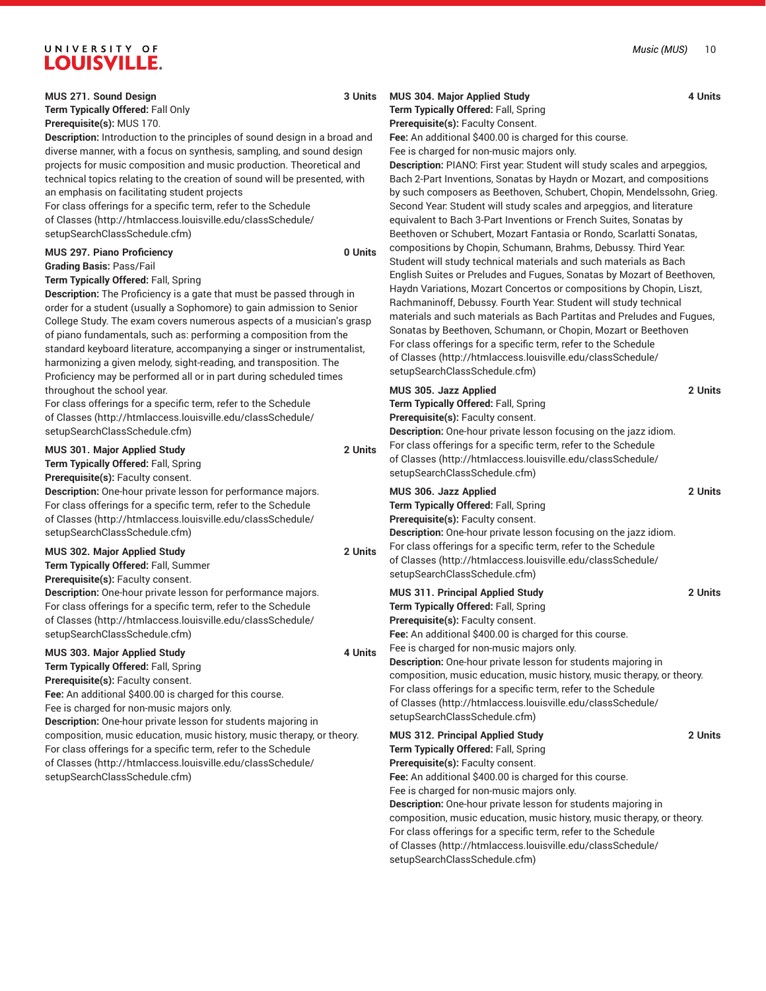#### **MUS 271. Sound Design 3 Units**

**Term Typically Offered:** Fall Only

**Prerequisite(s):** MUS 170.

**Description:** Introduction to the principles of sound design in a broad and diverse manner, with a focus on synthesis, sampling, and sound design projects for music composition and music production. Theoretical and technical topics relating to the creation of sound will be presented, with an emphasis on facilitating student projects

For class offerings for a specific term, refer to the [Schedule](http://htmlaccess.louisville.edu/classSchedule/setupSearchClassSchedule.cfm) [of Classes \(http://htmlaccess.louisville.edu/classSchedule/](http://htmlaccess.louisville.edu/classSchedule/setupSearchClassSchedule.cfm) [setupSearchClassSchedule.cfm\)](http://htmlaccess.louisville.edu/classSchedule/setupSearchClassSchedule.cfm)

| <b>MUS 297. Piano Proficiency</b> | 0 Units |
|-----------------------------------|---------|
| <b>Grading Basis:</b> Pass/Fail   |         |
|                                   |         |

### **Term Typically Offered:** Fall, Spring

**Description:** The Proficiency is a gate that must be passed through in order for a student (usually a Sophomore) to gain admission to Senior College Study. The exam covers numerous aspects of a musician's grasp of piano fundamentals, such as: performing a composition from the standard keyboard literature, accompanying a singer or instrumentalist, harmonizing a given melody, sight-reading, and transposition. The Proficiency may be performed all or in part during scheduled times throughout the school year.

For class offerings for a specific term, refer to the [Schedule](http://htmlaccess.louisville.edu/classSchedule/setupSearchClassSchedule.cfm) [of Classes \(http://htmlaccess.louisville.edu/classSchedule/](http://htmlaccess.louisville.edu/classSchedule/setupSearchClassSchedule.cfm) [setupSearchClassSchedule.cfm\)](http://htmlaccess.louisville.edu/classSchedule/setupSearchClassSchedule.cfm)

| <b>MUS 301. Major Applied Study</b>                                                                                                                                                                                            | 2 Units |
|--------------------------------------------------------------------------------------------------------------------------------------------------------------------------------------------------------------------------------|---------|
| Term Typically Offered: Fall, Spring                                                                                                                                                                                           |         |
| Prerequisite(s): Faculty consent.                                                                                                                                                                                              |         |
| Description: One-hour private lesson for performance majors.<br>For class offerings for a specific term, refer to the Schedule<br>of Classes (http://htmlaccess.louisville.edu/classSchedule/<br>setupSearchClassSchedule.cfm) |         |
| MUS 302. Major Applied Study                                                                                                                                                                                                   | 2 Units |
| Term Typically Offered: Fall, Summer                                                                                                                                                                                           |         |
| <b>Prerequisite(s): Faculty consent.</b>                                                                                                                                                                                       |         |
| <b>Description:</b> One-hour private lesson for performance majors.                                                                                                                                                            |         |
| For class offerings for a specific term, refer to the Schedule                                                                                                                                                                 |         |
| of Classes (http://htmlaccess.louisville.edu/classSchedule/                                                                                                                                                                    |         |
| setupSearchClassSchedule.cfm)                                                                                                                                                                                                  |         |
| MUS 303. Major Applied Study                                                                                                                                                                                                   | 4 Units |
| Term Typically Offered: Fall, Spring                                                                                                                                                                                           |         |
| <b>Prerequisite(s): Faculty consent.</b>                                                                                                                                                                                       |         |
| Fee: An additional \$400.00 is charged for this course.                                                                                                                                                                        |         |
| Fee is charged for non-music majors only.                                                                                                                                                                                      |         |
| <b>Description:</b> One-hour private lesson for students majoring in                                                                                                                                                           |         |
| composition, music education, music history, music therapy, or theory.                                                                                                                                                         |         |
| For class offerings for a specific term, refer to the Schedule                                                                                                                                                                 |         |

[of Classes \(http://htmlaccess.louisville.edu/classSchedule/](http://htmlaccess.louisville.edu/classSchedule/setupSearchClassSchedule.cfm)

[setupSearchClassSchedule.cfm\)](http://htmlaccess.louisville.edu/classSchedule/setupSearchClassSchedule.cfm)

### **MUS 304. Major Applied Study 4 Units Term Typically Offered:** Fall, Spring

**Prerequisite(s):** Faculty Consent.

**Fee:** An additional \$400.00 is charged for this course.

Fee is charged for non-music majors only. **Description:** PIANO: First year: Student will study scales and arpeggios, Bach 2-Part Inventions, Sonatas by Haydn or Mozart, and compositions by such composers as Beethoven, Schubert, Chopin, Mendelssohn, Grieg. Second Year: Student will study scales and arpeggios, and literature equivalent to Bach 3-Part Inventions or French Suites, Sonatas by Beethoven or Schubert, Mozart Fantasia or Rondo, Scarlatti Sonatas, compositions by Chopin, Schumann, Brahms, Debussy. Third Year: Student will study technical materials and such materials as Bach English Suites or Preludes and Fugues, Sonatas by Mozart of Beethoven, Haydn Variations, Mozart Concertos or compositions by Chopin, Liszt, Rachmaninoff, Debussy. Fourth Year: Student will study technical materials and such materials as Bach Partitas and Preludes and Fugues, Sonatas by Beethoven, Schumann, or Chopin, Mozart or Beethoven For class offerings for a specific term, refer to the [Schedule](http://htmlaccess.louisville.edu/classSchedule/setupSearchClassSchedule.cfm) [of Classes](http://htmlaccess.louisville.edu/classSchedule/setupSearchClassSchedule.cfm) ([http://htmlaccess.louisville.edu/classSchedule/](http://htmlaccess.louisville.edu/classSchedule/setupSearchClassSchedule.cfm) [setupSearchClassSchedule.cfm\)](http://htmlaccess.louisville.edu/classSchedule/setupSearchClassSchedule.cfm)

| MUS 305. Jazz Applied                                                                                                                                          | 2 Units |
|----------------------------------------------------------------------------------------------------------------------------------------------------------------|---------|
| Term Typically Offered: Fall, Spring                                                                                                                           |         |
| <b>Prerequisite(s): Faculty consent.</b>                                                                                                                       |         |
| <b>Description:</b> One-hour private lesson focusing on the jazz idiom.                                                                                        |         |
| For class offerings for a specific term, refer to the Schedule<br>of Classes (http://htmlaccess.louisville.edu/classSchedule/<br>setupSearchClassSchedule.cfm) |         |
| MUS 306. Jazz Applied                                                                                                                                          | 2 Units |
| Term Typically Offered: Fall, Spring                                                                                                                           |         |
| <b>Prerequisite(s): Faculty consent.</b>                                                                                                                       |         |
| Description: One-hour private lesson focusing on the jazz idiom.                                                                                               |         |

For class offerings for a specific term, refer to the [Schedule](http://htmlaccess.louisville.edu/classSchedule/setupSearchClassSchedule.cfm) [of Classes](http://htmlaccess.louisville.edu/classSchedule/setupSearchClassSchedule.cfm) ([http://htmlaccess.louisville.edu/classSchedule/](http://htmlaccess.louisville.edu/classSchedule/setupSearchClassSchedule.cfm) [setupSearchClassSchedule.cfm\)](http://htmlaccess.louisville.edu/classSchedule/setupSearchClassSchedule.cfm)

**MUS 311. Principal Applied Study 2 Units Term Typically Offered:** Fall, Spring **Prerequisite(s):** Faculty consent. **Fee:** An additional \$400.00 is charged for this course. Fee is charged for non-music majors only. **Description:** One-hour private lesson for students majoring in composition, music education, music history, music therapy, or theory. For class offerings for a specific term, refer to the [Schedule](http://htmlaccess.louisville.edu/classSchedule/setupSearchClassSchedule.cfm) [of Classes](http://htmlaccess.louisville.edu/classSchedule/setupSearchClassSchedule.cfm) ([http://htmlaccess.louisville.edu/classSchedule/](http://htmlaccess.louisville.edu/classSchedule/setupSearchClassSchedule.cfm) [setupSearchClassSchedule.cfm\)](http://htmlaccess.louisville.edu/classSchedule/setupSearchClassSchedule.cfm) **MUS 312. Principal Applied Study 2 Units Term Typically Offered:** Fall, Spring

**Prerequisite(s):** Faculty consent. **Fee:** An additional \$400.00 is charged for this course.

Fee is charged for non-music majors only.

**Description:** One-hour private lesson for students majoring in composition, music education, music history, music therapy, or theory. For class offerings for a specific term, refer to the [Schedule](http://htmlaccess.louisville.edu/classSchedule/setupSearchClassSchedule.cfm) [of Classes](http://htmlaccess.louisville.edu/classSchedule/setupSearchClassSchedule.cfm) ([http://htmlaccess.louisville.edu/classSchedule/](http://htmlaccess.louisville.edu/classSchedule/setupSearchClassSchedule.cfm) [setupSearchClassSchedule.cfm\)](http://htmlaccess.louisville.edu/classSchedule/setupSearchClassSchedule.cfm)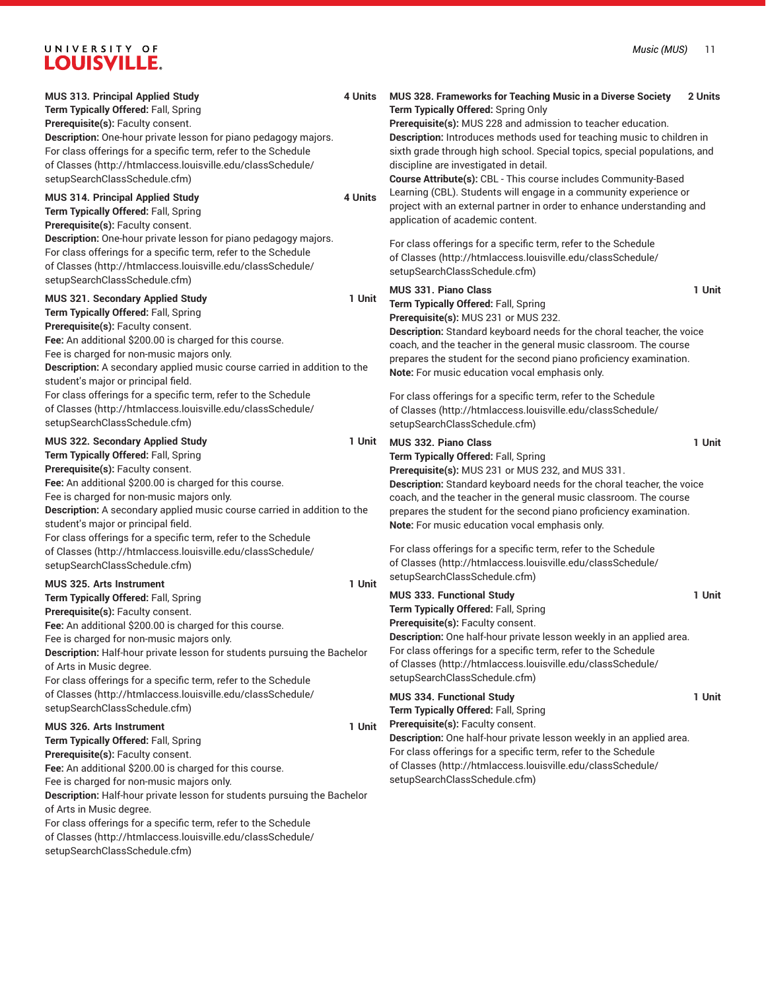| MUS 313. Principal Applied Study<br>Term Typically Offered: Fall, Spring<br>Prerequisite(s): Faculty consent.<br>Description: One-hour private lesson for piano pedagogy majors.<br>For class offerings for a specific term, refer to the Schedule<br>of Classes (http://htmlaccess.louisville.edu/classSchedule/<br>setupSearchClassSchedule.cfm)                                                                                                                                                                                          | 4 Units | MUS 328. Frameworks for Teaching Music in a Diverse Society<br>Term Typically Offered: Spring Only<br>Prerequisite(s): MUS 228 and admission to teacher education.<br>Description: Introduces methods used for teaching music to children in<br>sixth grade through high school. Special topics, special populations, and<br>discipline are investigated in detail.<br>Course Attribute(s): CBL - This course includes Community-Based                                                                                                                     | 2 Units          |
|---------------------------------------------------------------------------------------------------------------------------------------------------------------------------------------------------------------------------------------------------------------------------------------------------------------------------------------------------------------------------------------------------------------------------------------------------------------------------------------------------------------------------------------------|---------|------------------------------------------------------------------------------------------------------------------------------------------------------------------------------------------------------------------------------------------------------------------------------------------------------------------------------------------------------------------------------------------------------------------------------------------------------------------------------------------------------------------------------------------------------------|------------------|
| MUS 314. Principal Applied Study<br>Term Typically Offered: Fall, Spring<br>Prerequisite(s): Faculty consent.<br>Description: One-hour private lesson for piano pedagogy majors.<br>For class offerings for a specific term, refer to the Schedule<br>of Classes (http://htmlaccess.louisville.edu/classSchedule/                                                                                                                                                                                                                           | 4 Units | Learning (CBL). Students will engage in a community experience or<br>project with an external partner in order to enhance understanding and<br>application of academic content.<br>For class offerings for a specific term, refer to the Schedule<br>of Classes (http://htmlaccess.louisville.edu/classSchedule/                                                                                                                                                                                                                                           |                  |
| setupSearchClassSchedule.cfm)<br>MUS 321. Secondary Applied Study<br>Term Typically Offered: Fall, Spring<br>Prerequisite(s): Faculty consent.<br>Fee: An additional \$200.00 is charged for this course.<br>Fee is charged for non-music majors only.<br>Description: A secondary applied music course carried in addition to the<br>student's major or principal field.<br>For class offerings for a specific term, refer to the Schedule<br>of Classes (http://htmlaccess.louisville.edu/classSchedule/                                  | 1 Unit  | setupSearchClassSchedule.cfm)<br>MUS 331. Piano Class<br>Term Typically Offered: Fall, Spring<br>Prerequisite(s): MUS 231 or MUS 232.<br>Description: Standard keyboard needs for the choral teacher, the voice<br>coach, and the teacher in the general music classroom. The course<br>prepares the student for the second piano proficiency examination.<br>Note: For music education vocal emphasis only.<br>For class offerings for a specific term, refer to the Schedule<br>of Classes (http://htmlaccess.louisville.edu/classSchedule/              | 1 Unit           |
| setupSearchClassSchedule.cfm)<br>MUS 322. Secondary Applied Study<br>Term Typically Offered: Fall, Spring<br>Prerequisite(s): Faculty consent.<br>Fee: An additional \$200.00 is charged for this course.<br>Fee is charged for non-music majors only.<br>Description: A secondary applied music course carried in addition to the<br>student's major or principal field.<br>For class offerings for a specific term, refer to the Schedule<br>of Classes (http://htmlaccess.louisville.edu/classSchedule/<br>setupSearchClassSchedule.cfm) | 1 Unit  | setupSearchClassSchedule.cfm)<br>MUS 332. Piano Class<br>Term Typically Offered: Fall, Spring<br>Prerequisite(s): MUS 231 or MUS 232, and MUS 331.<br>Description: Standard keyboard needs for the choral teacher, the voice<br>coach, and the teacher in the general music classroom. The course<br>prepares the student for the second piano proficiency examination.<br>Note: For music education vocal emphasis only.<br>For class offerings for a specific term, refer to the Schedule<br>of Classes (http://htmlaccess.louisville.edu/classSchedule/ | 1 Unit           |
| MUS 325. Arts Instrument<br>Term Typically Offered: Fall, Spring<br>Prerequisite(s): Faculty consent.<br>Fee: An additional \$200.00 is charged for this course.<br>Fee is charged for non-music majors only.<br>Description: Half-hour private lesson for students pursuing the Bachelor<br>of Arts in Music degree.<br>For class offerings for a specific term, refer to the Schedule<br>of Classes (http://htmlaccess.louisville.edu/classSchedule/<br>setupSearchClassSchedule.cfm)                                                     | 1 Unit  | setupSearchClassSchedule.cfm)<br>MUS 333. Functional Study<br>Term Typically Offered: Fall, Spring<br>Prerequisite(s): Faculty consent.<br>Description: One half-hour private lesson weekly in an applied area.<br>For class offerings for a specific term, refer to the Schedule<br>of Classes (http://htmlaccess.louisville.edu/classSchedule/<br>setupSearchClassSchedule.cfm)<br><b>MUS 334. Functional Study</b><br>Term Typically Offered: Fall, Spring                                                                                              | 1 Unit<br>1 Unit |
| <b>MUS 326. Arts Instrument</b><br>Term Typically Offered: Fall, Spring<br>Prerequisite(s): Faculty consent.<br>Fee: An additional \$200.00 is charged for this course.<br>Fee is charged for non-music majors only.<br>Description: Half-hour private lesson for students pursuing the Bachelor<br>of Arts in Music degree.<br>For class offerings for a specific term, refer to the Schedule<br>of Classes (http://htmlaccess.louisville.edu/classSchedule/<br>setupSearchClassSchedule.cfm)                                              | 1 Unit  | Prerequisite(s): Faculty consent.<br>Description: One half-hour private lesson weekly in an applied area.<br>For class offerings for a specific term, refer to the Schedule<br>of Classes (http://htmlaccess.louisville.edu/classSchedule/<br>setupSearchClassSchedule.cfm)                                                                                                                                                                                                                                                                                |                  |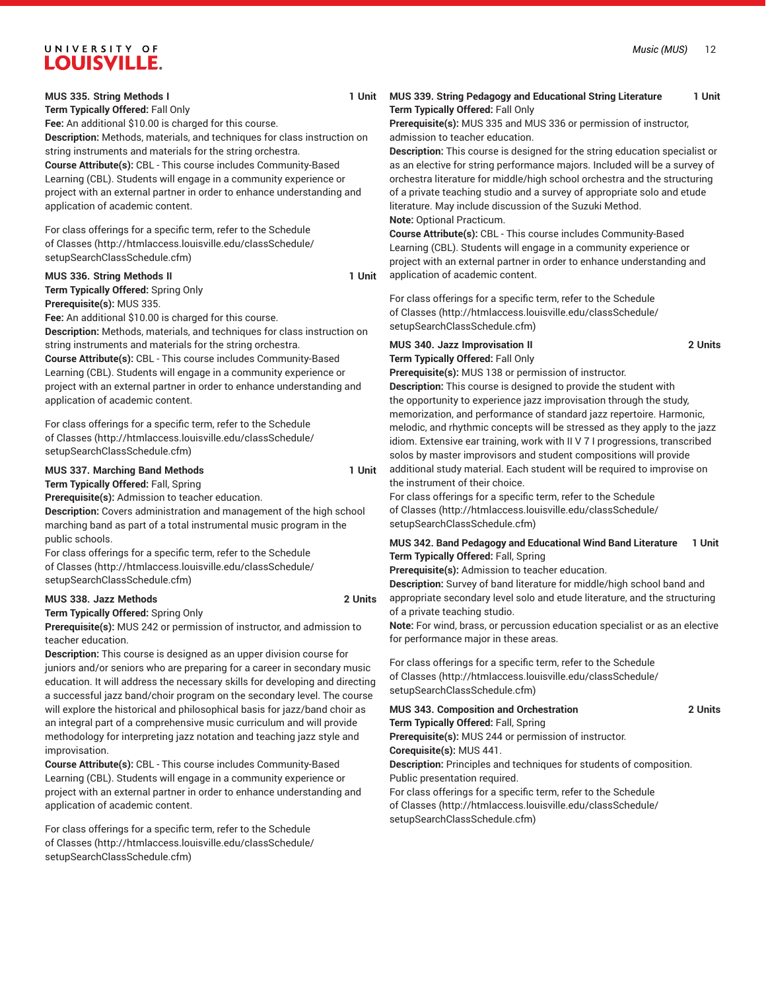#### **MUS 335. String Methods I 1 Unit**

**Term Typically Offered:** Fall Only

**Fee:** An additional \$10.00 is charged for this course. **Description:** Methods, materials, and techniques for class instruction on string instruments and materials for the string orchestra. **Course Attribute(s):** CBL - This course includes Community-Based Learning (CBL). Students will engage in a community experience or project with an external partner in order to enhance understanding and application of academic content.

For class offerings for a specific term, refer to the [Schedule](http://htmlaccess.louisville.edu/classSchedule/setupSearchClassSchedule.cfm) [of Classes \(http://htmlaccess.louisville.edu/classSchedule/](http://htmlaccess.louisville.edu/classSchedule/setupSearchClassSchedule.cfm) [setupSearchClassSchedule.cfm\)](http://htmlaccess.louisville.edu/classSchedule/setupSearchClassSchedule.cfm)

#### **MUS 336. String Methods II 1 Unit**

**Term Typically Offered:** Spring Only **Prerequisite(s):** MUS 335.

**Fee:** An additional \$10.00 is charged for this course.

**Description:** Methods, materials, and techniques for class instruction on string instruments and materials for the string orchestra.

**Course Attribute(s):** CBL - This course includes Community-Based Learning (CBL). Students will engage in a community experience or project with an external partner in order to enhance understanding and application of academic content.

For class offerings for a specific term, refer to the [Schedule](http://htmlaccess.louisville.edu/classSchedule/setupSearchClassSchedule.cfm) [of Classes \(http://htmlaccess.louisville.edu/classSchedule/](http://htmlaccess.louisville.edu/classSchedule/setupSearchClassSchedule.cfm) [setupSearchClassSchedule.cfm\)](http://htmlaccess.louisville.edu/classSchedule/setupSearchClassSchedule.cfm)

### **MUS 337. Marching Band Methods 1 Unit Term Typically Offered:** Fall, Spring

**Prerequisite(s):** Admission to teacher education.

**Description:** Covers administration and management of the high school marching band as part of a total instrumental music program in the public schools.

For class offerings for a specific term, refer to the [Schedule](http://htmlaccess.louisville.edu/classSchedule/setupSearchClassSchedule.cfm) [of Classes \(http://htmlaccess.louisville.edu/classSchedule/](http://htmlaccess.louisville.edu/classSchedule/setupSearchClassSchedule.cfm) [setupSearchClassSchedule.cfm\)](http://htmlaccess.louisville.edu/classSchedule/setupSearchClassSchedule.cfm)

## **MUS 338. Jazz Methods 2 Units**

**Term Typically Offered:** Spring Only

**Prerequisite(s):** MUS 242 or permission of instructor, and admission to teacher education.

**Description:** This course is designed as an upper division course for juniors and/or seniors who are preparing for a career in secondary music education. It will address the necessary skills for developing and directing a successful jazz band/choir program on the secondary level. The course will explore the historical and philosophical basis for jazz/band choir as an integral part of a comprehensive music curriculum and will provide methodology for interpreting jazz notation and teaching jazz style and improvisation.

**Course Attribute(s):** CBL - This course includes Community-Based Learning (CBL). Students will engage in a community experience or project with an external partner in order to enhance understanding and application of academic content.

For class offerings for a specific term, refer to the [Schedule](http://htmlaccess.louisville.edu/classSchedule/setupSearchClassSchedule.cfm) [of Classes \(http://htmlaccess.louisville.edu/classSchedule/](http://htmlaccess.louisville.edu/classSchedule/setupSearchClassSchedule.cfm) [setupSearchClassSchedule.cfm\)](http://htmlaccess.louisville.edu/classSchedule/setupSearchClassSchedule.cfm)

# **MUS 339. String Pedagogy and Educational String Literature 1 Unit Term Typically Offered:** Fall Only

**Prerequisite(s):** MUS 335 and MUS 336 or permission of instructor, admission to teacher education.

**Description:** This course is designed for the string education specialist or as an elective for string performance majors. Included will be a survey of orchestra literature for middle/high school orchestra and the structuring of a private teaching studio and a survey of appropriate solo and etude literature. May include discussion of the Suzuki Method. **Note:** Optional Practicum.

**Course Attribute(s):** CBL - This course includes Community-Based Learning (CBL). Students will engage in a community experience or project with an external partner in order to enhance understanding and application of academic content.

For class offerings for a specific term, refer to the [Schedule](http://htmlaccess.louisville.edu/classSchedule/setupSearchClassSchedule.cfm) [of Classes](http://htmlaccess.louisville.edu/classSchedule/setupSearchClassSchedule.cfm) ([http://htmlaccess.louisville.edu/classSchedule/](http://htmlaccess.louisville.edu/classSchedule/setupSearchClassSchedule.cfm) [setupSearchClassSchedule.cfm\)](http://htmlaccess.louisville.edu/classSchedule/setupSearchClassSchedule.cfm)

# **MUS 340. Jazz Improvisation II 2 Units Term Typically Offered:** Fall Only

**Prerequisite(s):** MUS 138 or permission of instructor.

**Description:** This course is designed to provide the student with the opportunity to experience jazz improvisation through the study, memorization, and performance of standard jazz repertoire. Harmonic, melodic, and rhythmic concepts will be stressed as they apply to the jazz idiom. Extensive ear training, work with II V 7 I progressions, transcribed solos by master improvisors and student compositions will provide additional study material. Each student will be required to improvise on the instrument of their choice.

For class offerings for a specific term, refer to the [Schedule](http://htmlaccess.louisville.edu/classSchedule/setupSearchClassSchedule.cfm) [of Classes](http://htmlaccess.louisville.edu/classSchedule/setupSearchClassSchedule.cfm) ([http://htmlaccess.louisville.edu/classSchedule/](http://htmlaccess.louisville.edu/classSchedule/setupSearchClassSchedule.cfm) [setupSearchClassSchedule.cfm\)](http://htmlaccess.louisville.edu/classSchedule/setupSearchClassSchedule.cfm)

## **MUS 342. Band Pedagogy and Educational Wind Band Literature 1 Unit Term Typically Offered:** Fall, Spring

**Prerequisite(s):** Admission to teacher education.

**Description:** Survey of band literature for middle/high school band and appropriate secondary level solo and etude literature, and the structuring of a private teaching studio.

**Note:** For wind, brass, or percussion education specialist or as an elective for performance major in these areas.

For class offerings for a specific term, refer to the [Schedule](http://htmlaccess.louisville.edu/classSchedule/setupSearchClassSchedule.cfm) [of Classes](http://htmlaccess.louisville.edu/classSchedule/setupSearchClassSchedule.cfm) ([http://htmlaccess.louisville.edu/classSchedule/](http://htmlaccess.louisville.edu/classSchedule/setupSearchClassSchedule.cfm) [setupSearchClassSchedule.cfm\)](http://htmlaccess.louisville.edu/classSchedule/setupSearchClassSchedule.cfm)

# **MUS 343. Composition and Orchestration 2 Units**

**Term Typically Offered:** Fall, Spring **Prerequisite(s):** MUS 244 or permission of instructor.

**Corequisite(s):** MUS 441.

**Description:** Principles and techniques for students of composition. Public presentation required.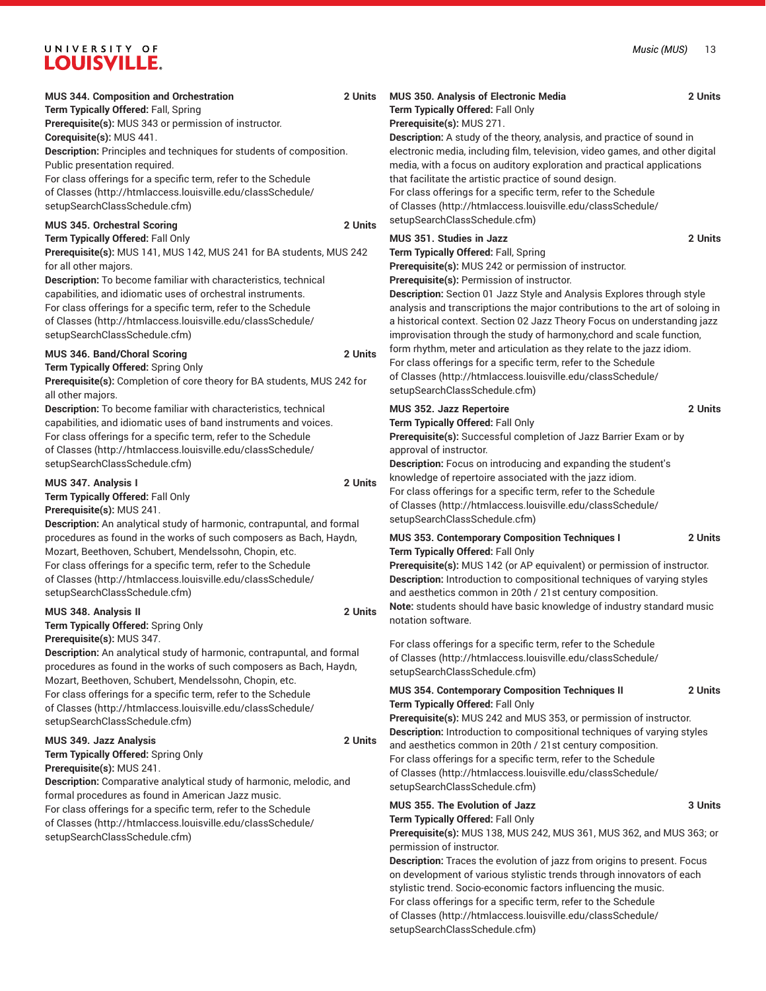| <b>MUS 344. Composition and Orchestration</b><br>Term Typically Offered: Fall, Spring<br>Prerequisite(s): MUS 343 or permission of instructor.<br>Corequisite(s): MUS 441.<br>Description: Principles and techniques for students of composition.<br>Public presentation required.<br>For class offerings for a specific term, refer to the Schedule<br>of Classes (http://htmlaccess.louisville.edu/classSchedule/                                                                                   | 2 Units | <b>MUS 350. Analysis of Electronic Media</b><br>Term Typically Offered: Fall Only<br>Prerequisite(s): MUS 271.<br>Description: A study of the theory, analysis, and practice of sound in<br>electronic media, including film, television, video games, and other digital<br>media, with a focus on auditory exploration and practical applications<br>that facilitate the artistic practice of sound design.<br>For class offerings for a specific term, refer to the Schedule                                                                                                                | 2 Units |
|-------------------------------------------------------------------------------------------------------------------------------------------------------------------------------------------------------------------------------------------------------------------------------------------------------------------------------------------------------------------------------------------------------------------------------------------------------------------------------------------------------|---------|-----------------------------------------------------------------------------------------------------------------------------------------------------------------------------------------------------------------------------------------------------------------------------------------------------------------------------------------------------------------------------------------------------------------------------------------------------------------------------------------------------------------------------------------------------------------------------------------------|---------|
| setupSearchClassSchedule.cfm)<br>MUS 345. Orchestral Scoring<br>Term Typically Offered: Fall Only<br>Prerequisite(s): MUS 141, MUS 142, MUS 241 for BA students, MUS 242<br>for all other majors.<br>Description: To become familiar with characteristics, technical<br>capabilities, and idiomatic uses of orchestral instruments.<br>For class offerings for a specific term, refer to the Schedule<br>of Classes (http://htmlaccess.louisville.edu/classSchedule/<br>setupSearchClassSchedule.cfm) | 2 Units | of Classes (http://htmlaccess.louisville.edu/classSchedule/<br>setupSearchClassSchedule.cfm)<br><b>MUS 351. Studies in Jazz</b><br>Term Typically Offered: Fall, Spring<br>Prerequisite(s): MUS 242 or permission of instructor.<br>Prerequisite(s): Permission of instructor.<br>Description: Section 01 Jazz Style and Analysis Explores through style<br>analysis and transcriptions the major contributions to the art of soloing in<br>a historical context. Section 02 Jazz Theory Focus on understanding jazz<br>improvisation through the study of harmony, chord and scale function, | 2 Units |
| MUS 346. Band/Choral Scoring<br>Term Typically Offered: Spring Only<br>Prerequisite(s): Completion of core theory for BA students, MUS 242 for<br>all other majors.                                                                                                                                                                                                                                                                                                                                   | 2 Units | form rhythm, meter and articulation as they relate to the jazz idiom.<br>For class offerings for a specific term, refer to the Schedule<br>of Classes (http://htmlaccess.louisville.edu/classSchedule/<br>setupSearchClassSchedule.cfm)                                                                                                                                                                                                                                                                                                                                                       |         |
| Description: To become familiar with characteristics, technical<br>capabilities, and idiomatic uses of band instruments and voices.<br>For class offerings for a specific term, refer to the Schedule<br>of Classes (http://htmlaccess.louisville.edu/classSchedule/<br>setupSearchClassSchedule.cfm)<br>MUS 347. Analysis I<br>Term Typically Offered: Fall Only<br>Prerequisite(s): MUS 241.                                                                                                        | 2 Units | MUS 352. Jazz Repertoire<br>Term Typically Offered: Fall Only<br>Prerequisite(s): Successful completion of Jazz Barrier Exam or by<br>approval of instructor.<br>Description: Focus on introducing and expanding the student's<br>knowledge of repertoire associated with the jazz idiom.<br>For class offerings for a specific term, refer to the Schedule<br>of Classes (http://htmlaccess.louisville.edu/classSchedule/<br>setupSearchClassSchedule.cfm)                                                                                                                                   | 2 Units |
| Description: An analytical study of harmonic, contrapuntal, and formal<br>procedures as found in the works of such composers as Bach, Haydn,<br>Mozart, Beethoven, Schubert, Mendelssohn, Chopin, etc.<br>For class offerings for a specific term, refer to the Schedule<br>of Classes (http://htmlaccess.louisville.edu/classSchedule/<br>setupSearchClassSchedule.cfm)                                                                                                                              |         | MUS 353. Contemporary Composition Techniques I<br>Term Typically Offered: Fall Only<br>Prerequisite(s): MUS 142 (or AP equivalent) or permission of instructor.<br>Description: Introduction to compositional techniques of varying styles<br>and aesthetics common in 20th / 21st century composition.                                                                                                                                                                                                                                                                                       | 2 Units |
| MUS 348. Analysis II<br>Term Typically Offered: Spring Only<br>Prerequisite(s): MUS 347.<br>Description: An analytical study of harmonic, contrapuntal, and formal<br>procedures as found in the works of such composers as Bach, Haydn,                                                                                                                                                                                                                                                              | 2 Units | Note: students should have basic knowledge of industry standard music<br>notation software.<br>For class offerings for a specific term, refer to the Schedule<br>of Classes (http://htmlaccess.louisville.edu/classSchedule/                                                                                                                                                                                                                                                                                                                                                                  |         |
| Mozart, Beethoven, Schubert, Mendelssohn, Chopin, etc.<br>For class offerings for a specific term, refer to the Schedule<br>of Classes (http://htmlaccess.louisville.edu/classSchedule/<br>setupSearchClassSchedule.cfm)                                                                                                                                                                                                                                                                              |         | setupSearchClassSchedule.cfm)<br>MUS 354. Contemporary Composition Techniques II<br>Term Typically Offered: Fall Only<br>Prerequisite(s): MUS 242 and MUS 353, or permission of instructor.                                                                                                                                                                                                                                                                                                                                                                                                   | 2 Units |
| MUS 349. Jazz Analysis<br>Term Typically Offered: Spring Only<br>Prerequisite(s): MUS 241.<br>Description: Comparative analytical study of harmonic, melodic, and                                                                                                                                                                                                                                                                                                                                     | 2 Units | Description: Introduction to compositional techniques of varying styles<br>and aesthetics common in 20th / 21st century composition.<br>For class offerings for a specific term, refer to the Schedule<br>of Classes (http://htmlaccess.louisville.edu/classSchedule/<br>setupSearchClassSchedule.cfm)                                                                                                                                                                                                                                                                                        |         |
| formal procedures as found in American Jazz music.<br>For class offerings for a specific term, refer to the Schedule<br>of Classes (http://htmlaccess.louisville.edu/classSchedule/<br>setupSearchClassSchedule.cfm)                                                                                                                                                                                                                                                                                  |         | MUS 355. The Evolution of Jazz<br>Term Typically Offered: Fall Only<br>Prerequisite(s): MUS 138, MUS 242, MUS 361, MUS 362, and MUS 363; or<br>permission of instructor.<br>Description: Traces the evolution of jazz from origins to present. Focus<br>on development of various stylistic trends through innovators of each<br>stylistic trend. Socio-economic factors influencing the music.<br>For class offerings for a specific term, refer to the Schedule                                                                                                                             | 3 Units |

[of Classes](http://htmlaccess.louisville.edu/classSchedule/setupSearchClassSchedule.cfm) ([http://htmlaccess.louisville.edu/classSchedule/](http://htmlaccess.louisville.edu/classSchedule/setupSearchClassSchedule.cfm)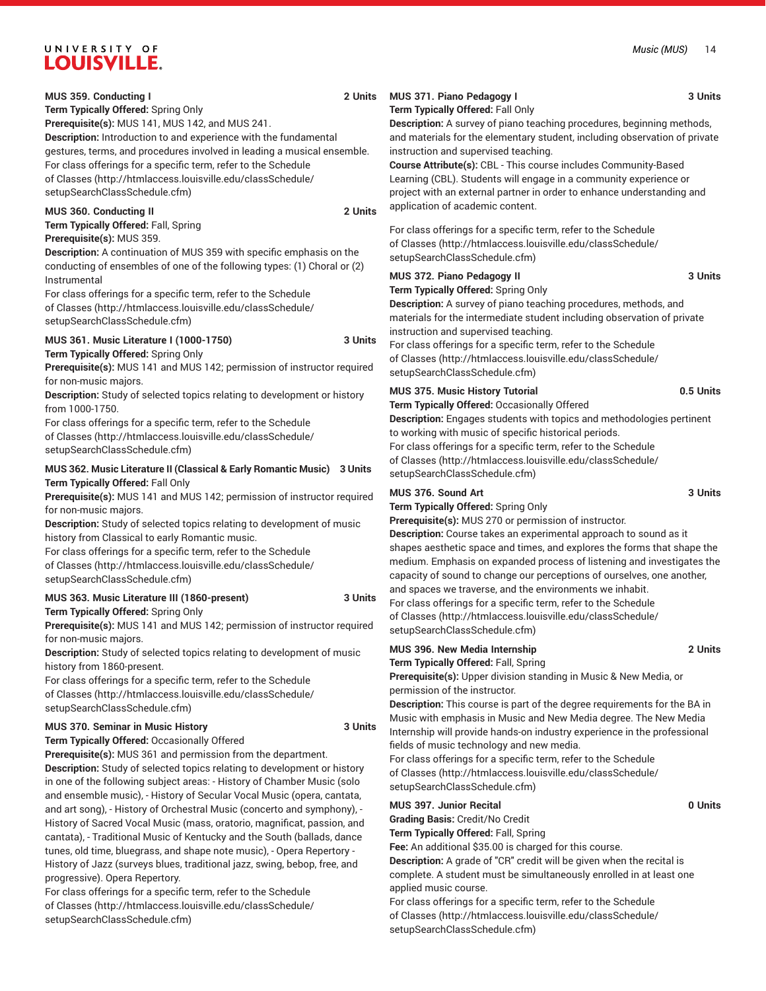**Term Typically Offered:** Spring Only

**Prerequisite(s):** MUS 141, MUS 142, and MUS 241. **Description:** Introduction to and experience with the fundamental gestures, terms, and procedures involved in leading a musical ensemble. For class offerings for a specific term, refer to the [Schedule](http://htmlaccess.louisville.edu/classSchedule/setupSearchClassSchedule.cfm) [of Classes \(http://htmlaccess.louisville.edu/classSchedule/](http://htmlaccess.louisville.edu/classSchedule/setupSearchClassSchedule.cfm) [setupSearchClassSchedule.cfm\)](http://htmlaccess.louisville.edu/classSchedule/setupSearchClassSchedule.cfm)

## **MUS 360. Conducting II 2 Units**

**Term Typically Offered:** Fall, Spring **Prerequisite(s):** MUS 359.

**Description:** A continuation of MUS 359 with specific emphasis on the conducting of ensembles of one of the following types: (1) Choral or (2) Instrumental

For class offerings for a specific term, refer to the [Schedule](http://htmlaccess.louisville.edu/classSchedule/setupSearchClassSchedule.cfm) [of Classes \(http://htmlaccess.louisville.edu/classSchedule/](http://htmlaccess.louisville.edu/classSchedule/setupSearchClassSchedule.cfm) [setupSearchClassSchedule.cfm\)](http://htmlaccess.louisville.edu/classSchedule/setupSearchClassSchedule.cfm)

### **MUS 361. Music Literature I (1000-1750) 3 Units**

**Term Typically Offered:** Spring Only

**Prerequisite(s):** MUS 141 and MUS 142; permission of instructor required for non-music majors.

**Description:** Study of selected topics relating to development or history from 1000-1750.

For class offerings for a specific term, refer to the [Schedule](http://htmlaccess.louisville.edu/classSchedule/setupSearchClassSchedule.cfm) [of Classes \(http://htmlaccess.louisville.edu/classSchedule/](http://htmlaccess.louisville.edu/classSchedule/setupSearchClassSchedule.cfm) [setupSearchClassSchedule.cfm\)](http://htmlaccess.louisville.edu/classSchedule/setupSearchClassSchedule.cfm)

# **MUS 362. Music Literature II (Classical & Early Romantic Music) 3 Units Term Typically Offered:** Fall Only

**Prerequisite(s):** MUS 141 and MUS 142; permission of instructor required for non-music majors.

**Description:** Study of selected topics relating to development of music history from Classical to early Romantic music.

For class offerings for a specific term, refer to the [Schedule](http://htmlaccess.louisville.edu/classSchedule/setupSearchClassSchedule.cfm) [of Classes \(http://htmlaccess.louisville.edu/classSchedule/](http://htmlaccess.louisville.edu/classSchedule/setupSearchClassSchedule.cfm) [setupSearchClassSchedule.cfm\)](http://htmlaccess.louisville.edu/classSchedule/setupSearchClassSchedule.cfm)

# **MUS 363. Music Literature III (1860-present) 3 Units Term Typically Offered:** Spring Only

**Prerequisite(s):** MUS 141 and MUS 142; permission of instructor required for non-music majors.

**Description:** Study of selected topics relating to development of music history from 1860-present.

For class offerings for a specific term, refer to the [Schedule](http://htmlaccess.louisville.edu/classSchedule/setupSearchClassSchedule.cfm) [of Classes \(http://htmlaccess.louisville.edu/classSchedule/](http://htmlaccess.louisville.edu/classSchedule/setupSearchClassSchedule.cfm) [setupSearchClassSchedule.cfm\)](http://htmlaccess.louisville.edu/classSchedule/setupSearchClassSchedule.cfm)

### **MUS 370. Seminar in Music History 3 Units**

**Term Typically Offered:** Occasionally Offered

**Prerequisite(s):** MUS 361 and permission from the department. **Description:** Study of selected topics relating to development or history in one of the following subject areas: - History of Chamber Music (solo and ensemble music), - History of Secular Vocal Music (opera, cantata, and art song), - History of Orchestral Music (concerto and symphony), - History of Sacred Vocal Music (mass, oratorio, magnificat, passion, and cantata), - Traditional Music of Kentucky and the South (ballads, dance tunes, old time, bluegrass, and shape note music), - Opera Repertory - History of Jazz (surveys blues, traditional jazz, swing, bebop, free, and progressive). Opera Repertory.

For class offerings for a specific term, refer to the [Schedule](http://htmlaccess.louisville.edu/classSchedule/setupSearchClassSchedule.cfm) [of Classes \(http://htmlaccess.louisville.edu/classSchedule/](http://htmlaccess.louisville.edu/classSchedule/setupSearchClassSchedule.cfm) [setupSearchClassSchedule.cfm\)](http://htmlaccess.louisville.edu/classSchedule/setupSearchClassSchedule.cfm)

# **MUS 371. Piano Pedagogy I 3 Units**

# **Term Typically Offered:** Fall Only

**Description:** A survey of piano teaching procedures, beginning methods, and materials for the elementary student, including observation of private instruction and supervised teaching.

**Course Attribute(s):** CBL - This course includes Community-Based Learning (CBL). Students will engage in a community experience or project with an external partner in order to enhance understanding and application of academic content.

For class offerings for a specific term, refer to the [Schedule](http://htmlaccess.louisville.edu/classSchedule/setupSearchClassSchedule.cfm) [of Classes](http://htmlaccess.louisville.edu/classSchedule/setupSearchClassSchedule.cfm) ([http://htmlaccess.louisville.edu/classSchedule/](http://htmlaccess.louisville.edu/classSchedule/setupSearchClassSchedule.cfm) [setupSearchClassSchedule.cfm\)](http://htmlaccess.louisville.edu/classSchedule/setupSearchClassSchedule.cfm)

# **MUS 372. Piano Pedagogy II 3 Units**

#### **Term Typically Offered:** Spring Only

**Description:** A survey of piano teaching procedures, methods, and materials for the intermediate student including observation of private instruction and supervised teaching.

For class offerings for a specific term, refer to the [Schedule](http://htmlaccess.louisville.edu/classSchedule/setupSearchClassSchedule.cfm) [of Classes](http://htmlaccess.louisville.edu/classSchedule/setupSearchClassSchedule.cfm) ([http://htmlaccess.louisville.edu/classSchedule/](http://htmlaccess.louisville.edu/classSchedule/setupSearchClassSchedule.cfm) [setupSearchClassSchedule.cfm\)](http://htmlaccess.louisville.edu/classSchedule/setupSearchClassSchedule.cfm)

# **MUS 375. Music History Tutorial 0.5 Units**

**Term Typically Offered:** Occasionally Offered

**Description:** Engages students with topics and methodologies pertinent to working with music of specific historical periods. For class offerings for a specific term, refer to the [Schedule](http://htmlaccess.louisville.edu/classSchedule/setupSearchClassSchedule.cfm) [of Classes](http://htmlaccess.louisville.edu/classSchedule/setupSearchClassSchedule.cfm) ([http://htmlaccess.louisville.edu/classSchedule/](http://htmlaccess.louisville.edu/classSchedule/setupSearchClassSchedule.cfm)

[setupSearchClassSchedule.cfm\)](http://htmlaccess.louisville.edu/classSchedule/setupSearchClassSchedule.cfm) **MUS 376. Sound Art 3 Units**

**Term Typically Offered:** Spring Only **Prerequisite(s):** MUS 270 or permission of instructor.

**Description:** Course takes an experimental approach to sound as it shapes aesthetic space and times, and explores the forms that shape the medium. Emphasis on expanded process of listening and investigates the capacity of sound to change our perceptions of ourselves, one another, and spaces we traverse, and the environments we inhabit.

For class offerings for a specific term, refer to the [Schedule](http://htmlaccess.louisville.edu/classSchedule/setupSearchClassSchedule.cfm) [of Classes](http://htmlaccess.louisville.edu/classSchedule/setupSearchClassSchedule.cfm) ([http://htmlaccess.louisville.edu/classSchedule/](http://htmlaccess.louisville.edu/classSchedule/setupSearchClassSchedule.cfm) [setupSearchClassSchedule.cfm\)](http://htmlaccess.louisville.edu/classSchedule/setupSearchClassSchedule.cfm)

#### **MUS 396. New Media Internship 2 Units Term Typically Offered:** Fall, Spring

**Prerequisite(s):** Upper division standing in Music & New Media, or

permission of the instructor.

**Description:** This course is part of the degree requirements for the BA in Music with emphasis in Music and New Media degree. The New Media Internship will provide hands-on industry experience in the professional fields of music technology and new media.

For class offerings for a specific term, refer to the [Schedule](http://htmlaccess.louisville.edu/classSchedule/setupSearchClassSchedule.cfm) [of Classes](http://htmlaccess.louisville.edu/classSchedule/setupSearchClassSchedule.cfm) ([http://htmlaccess.louisville.edu/classSchedule/](http://htmlaccess.louisville.edu/classSchedule/setupSearchClassSchedule.cfm) [setupSearchClassSchedule.cfm\)](http://htmlaccess.louisville.edu/classSchedule/setupSearchClassSchedule.cfm)

### **MUS 397. Junior Recital CONSERVITY CONSERVANCE OF UNITS**

**Grading Basis:** Credit/No Credit

**Term Typically Offered:** Fall, Spring

**Fee:** An additional \$35.00 is charged for this course.

**Description:** A grade of "CR" credit will be given when the recital is complete. A student must be simultaneously enrolled in at least one applied music course.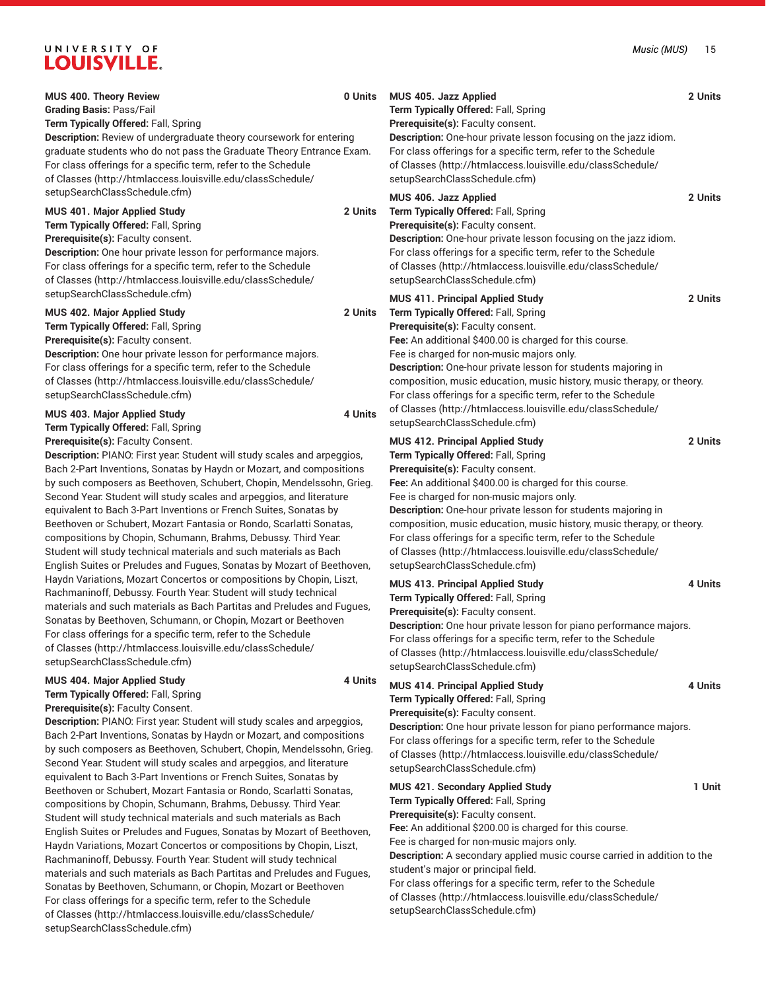| MUS 400. Theory Review<br><b>Grading Basis: Pass/Fail</b>                                                                                                                                                                                                                                                                                                                                                                                                                                                                                                                                                                                                                                                                                                                                                                                                                                                                                                                                                                                                                                                                                                     | 0 Units            | MUS 405. Jazz Applied<br>Term Typically Offered: Fall, Spring                                                                                                                                                                                                                                                                                                                                                                                                                                                                             | 2 Units |
|---------------------------------------------------------------------------------------------------------------------------------------------------------------------------------------------------------------------------------------------------------------------------------------------------------------------------------------------------------------------------------------------------------------------------------------------------------------------------------------------------------------------------------------------------------------------------------------------------------------------------------------------------------------------------------------------------------------------------------------------------------------------------------------------------------------------------------------------------------------------------------------------------------------------------------------------------------------------------------------------------------------------------------------------------------------------------------------------------------------------------------------------------------------|--------------------|-------------------------------------------------------------------------------------------------------------------------------------------------------------------------------------------------------------------------------------------------------------------------------------------------------------------------------------------------------------------------------------------------------------------------------------------------------------------------------------------------------------------------------------------|---------|
| Term Typically Offered: Fall, Spring<br>Description: Review of undergraduate theory coursework for entering<br>graduate students who do not pass the Graduate Theory Entrance Exam.<br>For class offerings for a specific term, refer to the Schedule<br>of Classes (http://htmlaccess.louisville.edu/classSchedule/                                                                                                                                                                                                                                                                                                                                                                                                                                                                                                                                                                                                                                                                                                                                                                                                                                          |                    | Prerequisite(s): Faculty consent.<br>Description: One-hour private lesson focusing on the jazz idiom.<br>For class offerings for a specific term, refer to the Schedule<br>of Classes (http://htmlaccess.louisville.edu/classSchedule/<br>setupSearchClassSchedule.cfm)                                                                                                                                                                                                                                                                   |         |
| setupSearchClassSchedule.cfm)<br>MUS 401. Major Applied Study<br>Term Typically Offered: Fall, Spring<br>Prerequisite(s): Faculty consent.<br>Description: One hour private lesson for performance majors.<br>For class offerings for a specific term, refer to the Schedule<br>of Classes (http://htmlaccess.louisville.edu/classSchedule/                                                                                                                                                                                                                                                                                                                                                                                                                                                                                                                                                                                                                                                                                                                                                                                                                   | 2 Units            | MUS 406. Jazz Applied<br>Term Typically Offered: Fall, Spring<br>Prerequisite(s): Faculty consent.<br>Description: One-hour private lesson focusing on the jazz idiom.<br>For class offerings for a specific term, refer to the Schedule<br>of Classes (http://htmlaccess.louisville.edu/classSchedule/<br>setupSearchClassSchedule.cfm)                                                                                                                                                                                                  | 2 Units |
| setupSearchClassSchedule.cfm)<br>MUS 402. Major Applied Study<br>Term Typically Offered: Fall, Spring<br>Prerequisite(s): Faculty consent.<br>Description: One hour private lesson for performance majors.<br>For class offerings for a specific term, refer to the Schedule<br>of Classes (http://htmlaccess.louisville.edu/classSchedule/<br>setupSearchClassSchedule.cfm)<br>MUS 403. Major Applied Study<br>Term Typically Offered: Fall, Spring                                                                                                                                                                                                                                                                                                                                                                                                                                                                                                                                                                                                                                                                                                          | 2 Units<br>4 Units | <b>MUS 411. Principal Applied Study</b><br>Term Typically Offered: Fall, Spring<br>Prerequisite(s): Faculty consent.<br>Fee: An additional \$400.00 is charged for this course.<br>Fee is charged for non-music majors only.<br>Description: One-hour private lesson for students majoring in<br>composition, music education, music history, music therapy, or theory.<br>For class offerings for a specific term, refer to the Schedule<br>of Classes (http://htmlaccess.louisville.edu/classSchedule/<br>setupSearchClassSchedule.cfm) | 2 Units |
| Prerequisite(s): Faculty Consent.<br>Description: PIANO: First year: Student will study scales and arpeggios,<br>Bach 2-Part Inventions, Sonatas by Haydn or Mozart, and compositions<br>by such composers as Beethoven, Schubert, Chopin, Mendelssohn, Grieg.<br>Second Year: Student will study scales and arpeggios, and literature<br>equivalent to Bach 3-Part Inventions or French Suites, Sonatas by<br>Beethoven or Schubert, Mozart Fantasia or Rondo, Scarlatti Sonatas,<br>compositions by Chopin, Schumann, Brahms, Debussy. Third Year:<br>Student will study technical materials and such materials as Bach<br>English Suites or Preludes and Fugues, Sonatas by Mozart of Beethoven,<br>Haydn Variations, Mozart Concertos or compositions by Chopin, Liszt,<br>Rachmaninoff, Debussy. Fourth Year: Student will study technical<br>materials and such materials as Bach Partitas and Preludes and Fugues,<br>Sonatas by Beethoven, Schumann, or Chopin, Mozart or Beethoven<br>For class offerings for a specific term, refer to the Schedule<br>of Classes (http://htmlaccess.louisville.edu/classSchedule/<br>setupSearchClassSchedule.cfm) |                    | <b>MUS 412. Principal Applied Study</b><br>Term Typically Offered: Fall, Spring<br>Prerequisite(s): Faculty consent.<br>Fee: An additional \$400.00 is charged for this course.<br>Fee is charged for non-music majors only.<br>Description: One-hour private lesson for students majoring in<br>composition, music education, music history, music therapy, or theory.<br>For class offerings for a specific term, refer to the Schedule<br>of Classes (http://htmlaccess.louisville.edu/classSchedule/<br>setupSearchClassSchedule.cfm) | 2 Units |
|                                                                                                                                                                                                                                                                                                                                                                                                                                                                                                                                                                                                                                                                                                                                                                                                                                                                                                                                                                                                                                                                                                                                                               |                    | <b>MUS 413. Principal Applied Study</b><br>Term Typically Offered: Fall, Spring<br>Prerequisite(s): Faculty consent.<br>Description: One hour private lesson for piano performance majors.<br>For class offerings for a specific term, refer to the Schedule<br>of Classes (http://htmlaccess.louisville.edu/classSchedule/<br>setupSearchClassSchedule.cfm)                                                                                                                                                                              | 4 Units |
| MUS 404. Major Applied Study<br>Term Typically Offered: Fall, Spring<br>Prerequisite(s): Faculty Consent.<br>Description: PIANO: First year: Student will study scales and arpeggios,<br>Bach 2-Part Inventions, Sonatas by Haydn or Mozart, and compositions<br>by such composers as Beethoven, Schubert, Chopin, Mendelssohn, Grieg.<br>Second Year: Student will study scales and arpeggios, and literature                                                                                                                                                                                                                                                                                                                                                                                                                                                                                                                                                                                                                                                                                                                                                | 4 Units            | <b>MUS 414. Principal Applied Study</b><br>Term Typically Offered: Fall, Spring<br>Prerequisite(s): Faculty consent.<br>Description: One hour private lesson for piano performance majors.<br>For class offerings for a specific term, refer to the Schedule<br>of Classes (http://htmlaccess.louisville.edu/classSchedule/<br>setupSearchClassSchedule.cfm)                                                                                                                                                                              | 4 Units |
| equivalent to Bach 3-Part Inventions or French Suites, Sonatas by<br>Beethoven or Schubert, Mozart Fantasia or Rondo, Scarlatti Sonatas,<br>compositions by Chopin, Schumann, Brahms, Debussy. Third Year:<br>Student will study technical materials and such materials as Bach<br>English Suites or Preludes and Fugues, Sonatas by Mozart of Beethoven,<br>Haydn Variations, Mozart Concertos or compositions by Chopin, Liszt,<br>Rachmaninoff, Debussy. Fourth Year. Student will study technical<br>materials and such materials as Bach Partitas and Preludes and Fugues,                                                                                                                                                                                                                                                                                                                                                                                                                                                                                                                                                                               |                    | MUS 421. Secondary Applied Study<br>Term Typically Offered: Fall, Spring<br>Prerequisite(s): Faculty consent.<br>Fee: An additional \$200.00 is charged for this course.<br>Fee is charged for non-music majors only.<br>Description: A secondary applied music course carried in addition to the<br>student's major or principal field.                                                                                                                                                                                                  | 1 Unit  |

Sonatas by Beethoven, Schumann, or Chopin, Mozart or Beethoven For class offerings for a specific term, refer to the [Schedule](http://htmlaccess.louisville.edu/classSchedule/setupSearchClassSchedule.cfm) [of Classes \(http://htmlaccess.louisville.edu/classSchedule/](http://htmlaccess.louisville.edu/classSchedule/setupSearchClassSchedule.cfm)

[setupSearchClassSchedule.cfm\)](http://htmlaccess.louisville.edu/classSchedule/setupSearchClassSchedule.cfm)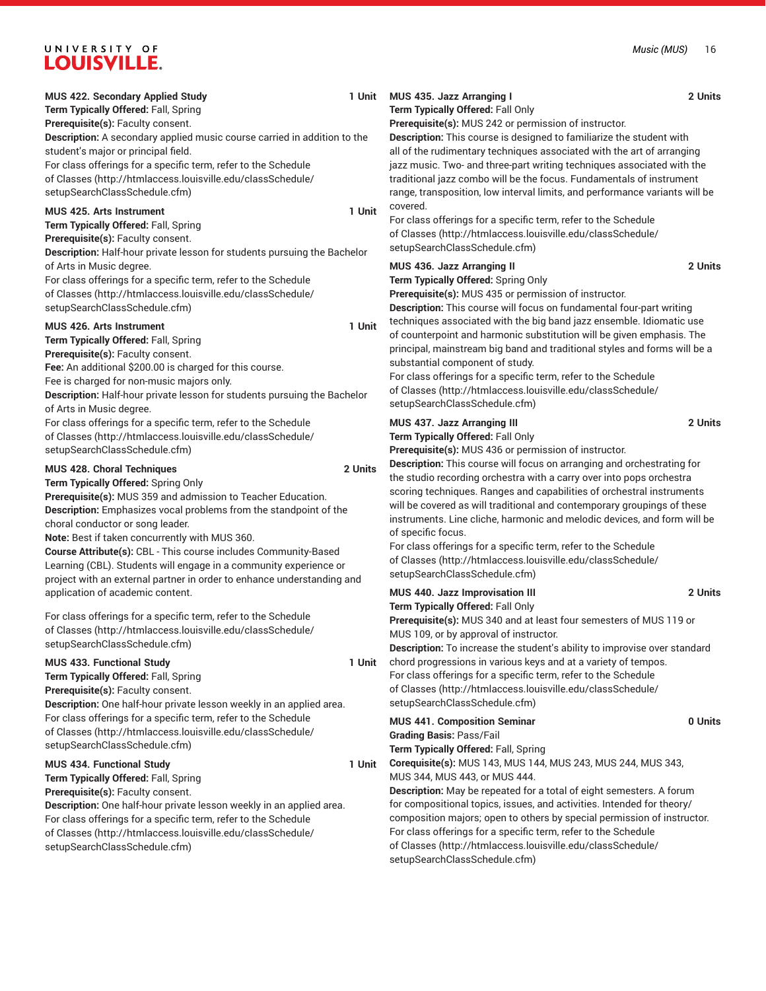**Term Typically Offered:** Fall, Spring **Prerequisite(s):** Faculty consent.

**Description:** A secondary applied music course carried in addition to the student's major or principal field. For class offerings for a specific term, refer to the [Schedule](http://htmlaccess.louisville.edu/classSchedule/setupSearchClassSchedule.cfm) [of Classes \(http://htmlaccess.louisville.edu/classSchedule/](http://htmlaccess.louisville.edu/classSchedule/setupSearchClassSchedule.cfm)

[setupSearchClassSchedule.cfm\)](http://htmlaccess.louisville.edu/classSchedule/setupSearchClassSchedule.cfm)

### **MUS 425. Arts Instrument 1 Unit**

**Term Typically Offered:** Fall, Spring **Prerequisite(s):** Faculty consent.

**Description:** Half-hour private lesson for students pursuing the Bachelor of Arts in Music degree.

For class offerings for a specific term, refer to the [Schedule](http://htmlaccess.louisville.edu/classSchedule/setupSearchClassSchedule.cfm) [of Classes \(http://htmlaccess.louisville.edu/classSchedule/](http://htmlaccess.louisville.edu/classSchedule/setupSearchClassSchedule.cfm) [setupSearchClassSchedule.cfm\)](http://htmlaccess.louisville.edu/classSchedule/setupSearchClassSchedule.cfm)

#### **MUS 426. Arts Instrument 1 Unit**

**Term Typically Offered:** Fall, Spring **Prerequisite(s):** Faculty consent. **Fee:** An additional \$200.00 is charged for this course. Fee is charged for non-music majors only. **Description:** Half-hour private lesson for students pursuing the Bachelor of Arts in Music degree.

For class offerings for a specific term, refer to the [Schedule](http://htmlaccess.louisville.edu/classSchedule/setupSearchClassSchedule.cfm) [of Classes \(http://htmlaccess.louisville.edu/classSchedule/](http://htmlaccess.louisville.edu/classSchedule/setupSearchClassSchedule.cfm) [setupSearchClassSchedule.cfm\)](http://htmlaccess.louisville.edu/classSchedule/setupSearchClassSchedule.cfm)

#### **MUS 428. Choral Techniques 2 Units**

**Term Typically Offered:** Spring Only

**Prerequisite(s):** MUS 359 and admission to Teacher Education. **Description:** Emphasizes vocal problems from the standpoint of the choral conductor or song leader.

**Note:** Best if taken concurrently with MUS 360.

**Course Attribute(s):** CBL - This course includes Community-Based Learning (CBL). Students will engage in a community experience or project with an external partner in order to enhance understanding and application of academic content.

For class offerings for a specific term, refer to the [Schedule](http://htmlaccess.louisville.edu/classSchedule/setupSearchClassSchedule.cfm) [of Classes \(http://htmlaccess.louisville.edu/classSchedule/](http://htmlaccess.louisville.edu/classSchedule/setupSearchClassSchedule.cfm) [setupSearchClassSchedule.cfm\)](http://htmlaccess.louisville.edu/classSchedule/setupSearchClassSchedule.cfm)

# **MUS 433. Functional Study 1 Unit Term Typically Offered:** Fall, Spring **Prerequisite(s):** Faculty consent. **Description:** One half-hour private lesson weekly in an applied area. For class offerings for a specific term, refer to the [Schedule](http://htmlaccess.louisville.edu/classSchedule/setupSearchClassSchedule.cfm) [of Classes \(http://htmlaccess.louisville.edu/classSchedule/](http://htmlaccess.louisville.edu/classSchedule/setupSearchClassSchedule.cfm) [setupSearchClassSchedule.cfm\)](http://htmlaccess.louisville.edu/classSchedule/setupSearchClassSchedule.cfm)

# **MUS 434. Functional Study 1 Unit**

**Term Typically Offered:** Fall, Spring

**Prerequisite(s):** Faculty consent.

**Description:** One half-hour private lesson weekly in an applied area. For class offerings for a specific term, refer to the [Schedule](http://htmlaccess.louisville.edu/classSchedule/setupSearchClassSchedule.cfm) [of Classes \(http://htmlaccess.louisville.edu/classSchedule/](http://htmlaccess.louisville.edu/classSchedule/setupSearchClassSchedule.cfm) [setupSearchClassSchedule.cfm\)](http://htmlaccess.louisville.edu/classSchedule/setupSearchClassSchedule.cfm)

### **MUS 435. Jazz Arranging I 2 Units Term Typically Offered:** Fall Only

**Prerequisite(s):** MUS 242 or permission of instructor.

**Description:** This course is designed to familiarize the student with all of the rudimentary techniques associated with the art of arranging jazz music. Two- and three-part writing techniques associated with the traditional jazz combo will be the focus. Fundamentals of instrument range, transposition, low interval limits, and performance variants will be covered.

For class offerings for a specific term, refer to the [Schedule](http://htmlaccess.louisville.edu/classSchedule/setupSearchClassSchedule.cfm) [of Classes](http://htmlaccess.louisville.edu/classSchedule/setupSearchClassSchedule.cfm) ([http://htmlaccess.louisville.edu/classSchedule/](http://htmlaccess.louisville.edu/classSchedule/setupSearchClassSchedule.cfm) [setupSearchClassSchedule.cfm\)](http://htmlaccess.louisville.edu/classSchedule/setupSearchClassSchedule.cfm)

# **MUS 436. Jazz Arranging II 2 Units**

**Term Typically Offered:** Spring Only

**Prerequisite(s):** MUS 435 or permission of instructor.

**Description:** This course will focus on fundamental four-part writing techniques associated with the big band jazz ensemble. Idiomatic use of counterpoint and harmonic substitution will be given emphasis. The principal, mainstream big band and traditional styles and forms will be a substantial component of study.

For class offerings for a specific term, refer to the [Schedule](http://htmlaccess.louisville.edu/classSchedule/setupSearchClassSchedule.cfm) [of Classes](http://htmlaccess.louisville.edu/classSchedule/setupSearchClassSchedule.cfm) ([http://htmlaccess.louisville.edu/classSchedule/](http://htmlaccess.louisville.edu/classSchedule/setupSearchClassSchedule.cfm) [setupSearchClassSchedule.cfm\)](http://htmlaccess.louisville.edu/classSchedule/setupSearchClassSchedule.cfm)

# **MUS 437. Jazz Arranging III 2 Units**

**Term Typically Offered:** Fall Only

[setupSearchClassSchedule.cfm\)](http://htmlaccess.louisville.edu/classSchedule/setupSearchClassSchedule.cfm)

**Prerequisite(s):** MUS 436 or permission of instructor.

**Description:** This course will focus on arranging and orchestrating for the studio recording orchestra with a carry over into pops orchestra scoring techniques. Ranges and capabilities of orchestral instruments will be covered as will traditional and contemporary groupings of these instruments. Line cliche, harmonic and melodic devices, and form will be of specific focus.

| MUS 440. Jazz Improvisation III                                                  | 2 Units |
|----------------------------------------------------------------------------------|---------|
| <b>Term Typically Offered: Fall Only</b>                                         |         |
| <b>Prerequisite(s): MUS 340 and at least four semesters of MUS 119 or</b>        |         |
| MUS 109, or by approval of instructor.                                           |         |
| <b>Description:</b> To increase the student's ability to improvise over standard |         |
| chord progressions in various keys and at a variety of tempos.                   |         |
| For class offerings for a specific term, refer to the Schedule                   |         |
| of Classes (http://htmlaccess.louisville.edu/classSchedule/                      |         |

| <b>MUS 441. Composition Seminar</b>                                         | 0 Units |
|-----------------------------------------------------------------------------|---------|
| <b>Grading Basis: Pass/Fail</b>                                             |         |
| Term Typically Offered: Fall, Spring                                        |         |
| Corequisite(s): MUS 143, MUS 144, MUS 243, MUS 244, MUS 343,                |         |
| MUS 344, MUS 443, or MUS 444.                                               |         |
| <b>Description:</b> May be repeated for a total of eight semesters. A forum |         |
| for compositional topics, issues, and activities. Intended for theory/      |         |
| composition majors; open to others by special permission of instructor.     |         |
| For class offerings for a specific term, refer to the Schedule              |         |
| of Classes (http://htmlaccess.louisville.edu/classSchedule/                 |         |
| setupSearchClassSchedule.cfm)                                               |         |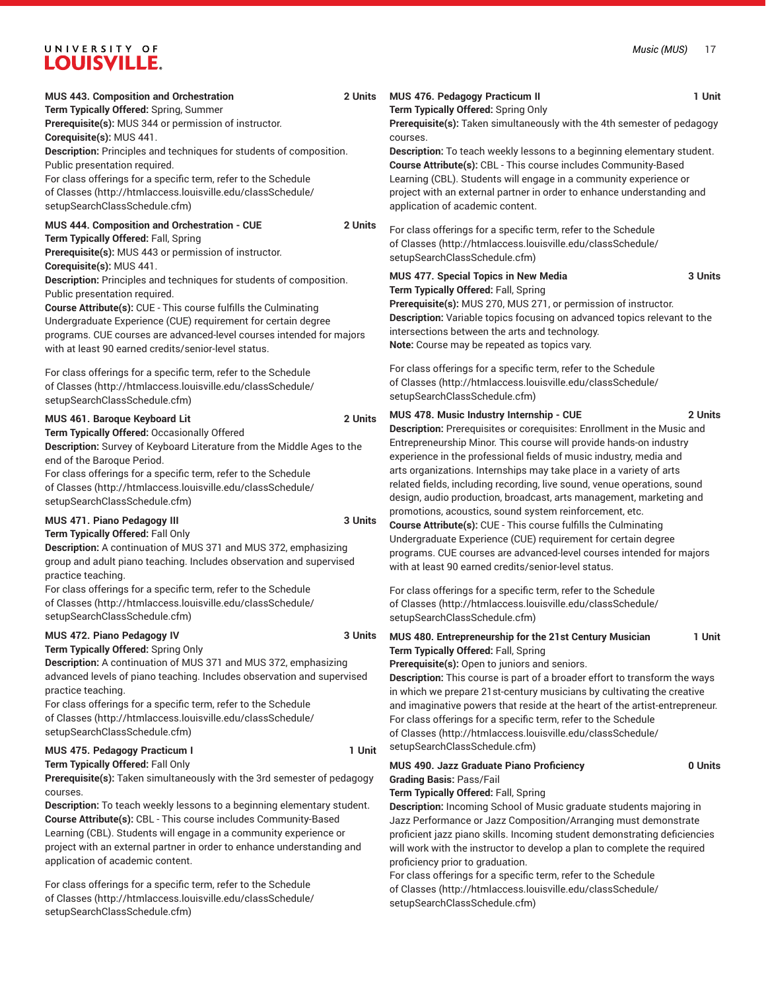| MUS 443. Composition and Orchestration<br>Term Typically Offered: Spring, Summer<br>Prerequisite(s): MUS 344 or permission of instructor.<br>Corequisite(s): MUS 441.<br>Description: Principles and techniques for students of composition.<br>Public presentation required.<br>For class offerings for a specific term, refer to the Schedule<br>of Classes (http://htmlaccess.louisville.edu/classSchedule/<br>setupSearchClassSchedule.cfm)                                                                                                                                                                                                              | 2 Units | MUS 476. Pedagogy Practicum II<br>Term Typically Offered: Spring Only<br>Prerequisite(s): Taken simultaneously with the 4th semester of pedagogy<br>courses.<br>Description: To teach weekly lessons to a beginning elementary student.<br>Course Attribute(s): CBL - This course includes Community-Based<br>Learning (CBL). Students will engage in a community experience or<br>project with an external partner in order to enhance understanding and<br>application of academic content.                                                                                                                                | 1 Unit  |
|--------------------------------------------------------------------------------------------------------------------------------------------------------------------------------------------------------------------------------------------------------------------------------------------------------------------------------------------------------------------------------------------------------------------------------------------------------------------------------------------------------------------------------------------------------------------------------------------------------------------------------------------------------------|---------|------------------------------------------------------------------------------------------------------------------------------------------------------------------------------------------------------------------------------------------------------------------------------------------------------------------------------------------------------------------------------------------------------------------------------------------------------------------------------------------------------------------------------------------------------------------------------------------------------------------------------|---------|
| MUS 444. Composition and Orchestration - CUE<br>Term Typically Offered: Fall, Spring<br>Prerequisite(s): MUS 443 or permission of instructor.<br>Corequisite(s): MUS 441.<br>Description: Principles and techniques for students of composition.<br>Public presentation required.<br><b>Course Attribute(s): CUE - This course fulfills the Culminating</b><br>Undergraduate Experience (CUE) requirement for certain degree<br>programs. CUE courses are advanced-level courses intended for majors<br>with at least 90 earned credits/senior-level status.                                                                                                 | 2 Units | For class offerings for a specific term, refer to the Schedule<br>of Classes (http://htmlaccess.louisville.edu/classSchedule/<br>setupSearchClassSchedule.cfm)<br>MUS 477. Special Topics in New Media<br>Term Typically Offered: Fall, Spring<br>Prerequisite(s): MUS 270, MUS 271, or permission of instructor.<br>Description: Variable topics focusing on advanced topics relevant to the<br>intersections between the arts and technology.<br>Note: Course may be repeated as topics vary.                                                                                                                              | 3 Units |
| For class offerings for a specific term, refer to the Schedule<br>of Classes (http://htmlaccess.louisville.edu/classSchedule/<br>setupSearchClassSchedule.cfm)                                                                                                                                                                                                                                                                                                                                                                                                                                                                                               |         | For class offerings for a specific term, refer to the Schedule<br>of Classes (http://htmlaccess.louisville.edu/classSchedule/<br>setupSearchClassSchedule.cfm)                                                                                                                                                                                                                                                                                                                                                                                                                                                               |         |
| MUS 461. Baroque Keyboard Lit<br>Term Typically Offered: Occasionally Offered<br>Description: Survey of Keyboard Literature from the Middle Ages to the<br>end of the Baroque Period.<br>For class offerings for a specific term, refer to the Schedule<br>of Classes (http://htmlaccess.louisville.edu/classSchedule/<br>setupSearchClassSchedule.cfm)                                                                                                                                                                                                                                                                                                      | 2 Units | MUS 478. Music Industry Internship - CUE<br>Description: Prerequisites or corequisites: Enrollment in the Music and<br>Entrepreneurship Minor. This course will provide hands-on industry<br>experience in the professional fields of music industry, media and<br>arts organizations. Internships may take place in a variety of arts<br>related fields, including recording, live sound, venue operations, sound<br>design, audio production, broadcast, arts management, marketing and                                                                                                                                    | 2 Units |
| MUS 471. Piano Pedagogy III<br>Term Typically Offered: Fall Only<br>Description: A continuation of MUS 371 and MUS 372, emphasizing<br>group and adult piano teaching. Includes observation and supervised<br>practice teaching.<br>For class offerings for a specific term, refer to the Schedule<br>of Classes (http://htmlaccess.louisville.edu/classSchedule/                                                                                                                                                                                                                                                                                            | 3 Units | promotions, acoustics, sound system reinforcement, etc.<br><b>Course Attribute(s): CUE - This course fulfills the Culminating</b><br>Undergraduate Experience (CUE) requirement for certain degree<br>programs. CUE courses are advanced-level courses intended for majors<br>with at least 90 earned credits/senior-level status.<br>For class offerings for a specific term, refer to the Schedule<br>of Classes (http://htmlaccess.louisville.edu/classSchedule/                                                                                                                                                          |         |
| setupSearchClassSchedule.cfm)                                                                                                                                                                                                                                                                                                                                                                                                                                                                                                                                                                                                                                |         | setupSearchClassSchedule.cfm)                                                                                                                                                                                                                                                                                                                                                                                                                                                                                                                                                                                                |         |
| MUS 472. Piano Pedagogy IV<br>Term Typically Offered: Spring Only<br>Description: A continuation of MUS 371 and MUS 372, emphasizing<br>advanced levels of piano teaching. Includes observation and supervised<br>practice teaching.<br>For class offerings for a specific term, refer to the Schedule<br>of Classes (http://htmlaccess.louisville.edu/classSchedule/<br>setupSearchClassSchedule.cfm)                                                                                                                                                                                                                                                       | 3 Units | MUS 480. Entrepreneurship for the 21st Century Musician<br>Term Typically Offered: Fall, Spring<br>Prerequisite(s): Open to juniors and seniors.<br>Description: This course is part of a broader effort to transform the ways<br>in which we prepare 21st-century musicians by cultivating the creative<br>and imaginative powers that reside at the heart of the artist-entrepreneur.<br>For class offerings for a specific term, refer to the Schedule<br>of Classes (http://htmlaccess.louisville.edu/classSchedule/<br>setupSearchClassSchedule.cfm)                                                                    | 1 Unit  |
| MUS 475. Pedagogy Practicum I<br>Term Typically Offered: Fall Only<br>Prerequisite(s): Taken simultaneously with the 3rd semester of pedagogy<br>courses.<br>Description: To teach weekly lessons to a beginning elementary student.<br>Course Attribute(s): CBL - This course includes Community-Based<br>Learning (CBL). Students will engage in a community experience or<br>project with an external partner in order to enhance understanding and<br>application of academic content.<br>For class offerings for a specific term, refer to the Schedule<br>of Classes (http://htmlaccess.louisville.edu/classSchedule/<br>setupSearchClassSchedule.cfm) | 1 Unit  | MUS 490. Jazz Graduate Piano Proficiency<br><b>Grading Basis: Pass/Fail</b><br>Term Typically Offered: Fall, Spring<br>Description: Incoming School of Music graduate students majoring in<br>Jazz Performance or Jazz Composition/Arranging must demonstrate<br>proficient jazz piano skills. Incoming student demonstrating deficiencies<br>will work with the instructor to develop a plan to complete the required<br>proficiency prior to graduation.<br>For class offerings for a specific term, refer to the Schedule<br>of Classes (http://htmlaccess.louisville.edu/classSchedule/<br>setupSearchClassSchedule.cfm) | 0 Units |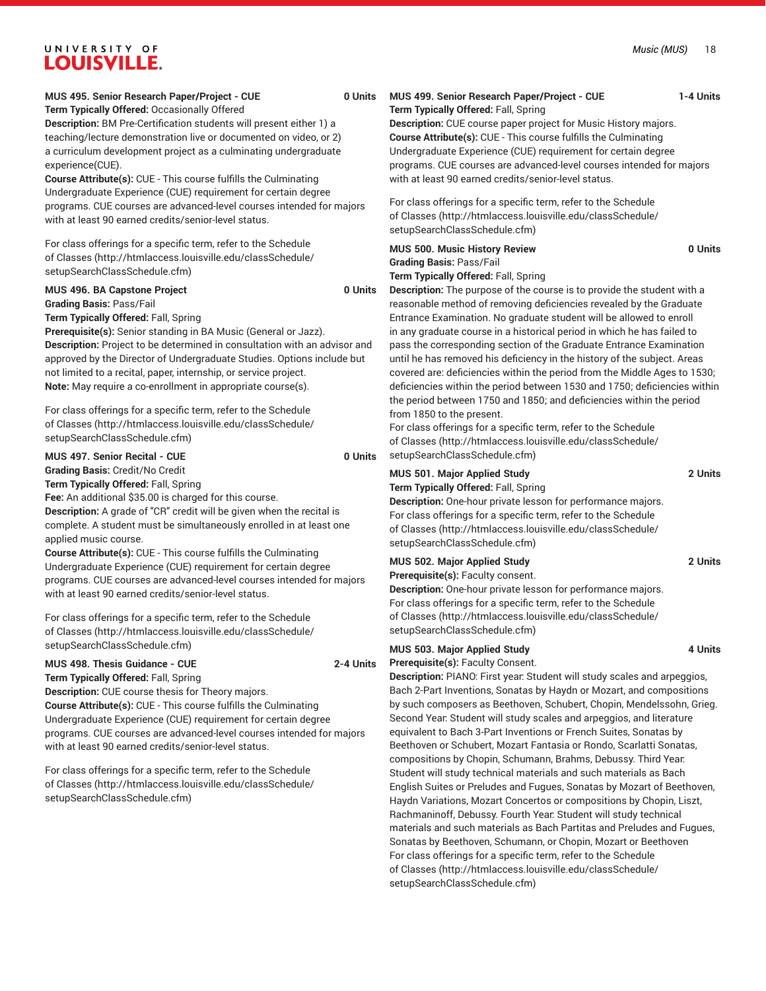### **MUS 495. Senior Research Paper/Project - CUE 0 Units Term Typically Offered:** Occasionally Offered

**Description:** BM Pre-Certification students will present either 1) a teaching/lecture demonstration live or documented on video, or 2) a curriculum development project as a culminating undergraduate experience(CUE).

**Course Attribute(s):** CUE - This course fulfills the Culminating Undergraduate Experience (CUE) requirement for certain degree programs. CUE courses are advanced-level courses intended for majors with at least 90 earned credits/senior-level status.

For class offerings for a specific term, refer to the [Schedule](http://htmlaccess.louisville.edu/classSchedule/setupSearchClassSchedule.cfm) [of Classes \(http://htmlaccess.louisville.edu/classSchedule/](http://htmlaccess.louisville.edu/classSchedule/setupSearchClassSchedule.cfm) [setupSearchClassSchedule.cfm\)](http://htmlaccess.louisville.edu/classSchedule/setupSearchClassSchedule.cfm)

#### **MUS 496. BA Capstone Project 0 Units Grading Basis:** Pass/Fail

**Term Typically Offered:** Fall, Spring

**Prerequisite(s):** Senior standing in BA Music (General or Jazz). **Description:** Project to be determined in consultation with an advisor and approved by the Director of Undergraduate Studies. Options include but not limited to a recital, paper, internship, or service project. **Note:** May require a co-enrollment in appropriate course(s).

For class offerings for a specific term, refer to the [Schedule](http://htmlaccess.louisville.edu/classSchedule/setupSearchClassSchedule.cfm) [of Classes \(http://htmlaccess.louisville.edu/classSchedule/](http://htmlaccess.louisville.edu/classSchedule/setupSearchClassSchedule.cfm) [setupSearchClassSchedule.cfm\)](http://htmlaccess.louisville.edu/classSchedule/setupSearchClassSchedule.cfm)

**MUS 497. Senior Recital - CUE 0 Units**

**Grading Basis:** Credit/No Credit

**Term Typically Offered:** Fall, Spring

**Fee:** An additional \$35.00 is charged for this course.

**Description:** A grade of "CR" credit will be given when the recital is complete. A student must be simultaneously enrolled in at least one applied music course.

**Course Attribute(s):** CUE - This course fulfills the Culminating Undergraduate Experience (CUE) requirement for certain degree programs. CUE courses are advanced-level courses intended for majors with at least 90 earned credits/senior-level status.

For class offerings for a specific term, refer to the [Schedule](http://htmlaccess.louisville.edu/classSchedule/setupSearchClassSchedule.cfm) [of Classes \(http://htmlaccess.louisville.edu/classSchedule/](http://htmlaccess.louisville.edu/classSchedule/setupSearchClassSchedule.cfm) [setupSearchClassSchedule.cfm\)](http://htmlaccess.louisville.edu/classSchedule/setupSearchClassSchedule.cfm)

#### **MUS 498. Thesis Guidance - CUE 2-4 Units Term Typically Offered:** Fall, Spring

**Description:** CUE course thesis for Theory majors. **Course Attribute(s):** CUE - This course fulfills the Culminating Undergraduate Experience (CUE) requirement for certain degree programs. CUE courses are advanced-level courses intended for majors with at least 90 earned credits/senior-level status.

For class offerings for a specific term, refer to the [Schedule](http://htmlaccess.louisville.edu/classSchedule/setupSearchClassSchedule.cfm) [of Classes \(http://htmlaccess.louisville.edu/classSchedule/](http://htmlaccess.louisville.edu/classSchedule/setupSearchClassSchedule.cfm) [setupSearchClassSchedule.cfm\)](http://htmlaccess.louisville.edu/classSchedule/setupSearchClassSchedule.cfm)

# **MUS 499. Senior Research Paper/Project - CUE 1-4 Units**

**Term Typically Offered:** Fall, Spring

**Description:** CUE course paper project for Music History majors. **Course Attribute(s):** CUE - This course fulfills the Culminating Undergraduate Experience (CUE) requirement for certain degree programs. CUE courses are advanced-level courses intended for majors with at least 90 earned credits/senior-level status.

For class offerings for a specific term, refer to the [Schedule](http://htmlaccess.louisville.edu/classSchedule/setupSearchClassSchedule.cfm) [of Classes](http://htmlaccess.louisville.edu/classSchedule/setupSearchClassSchedule.cfm) ([http://htmlaccess.louisville.edu/classSchedule/](http://htmlaccess.louisville.edu/classSchedule/setupSearchClassSchedule.cfm) [setupSearchClassSchedule.cfm\)](http://htmlaccess.louisville.edu/classSchedule/setupSearchClassSchedule.cfm)

# **Grading Basis:** Pass/Fail

**Description:** The purpose of the course is to provide the student with a reasonable method of removing deficiencies revealed by the Graduate Entrance Examination. No graduate student will be allowed to enroll in any graduate course in a historical period in which he has failed to pass the corresponding section of the Graduate Entrance Examination until he has removed his deficiency in the history of the subject. Areas covered are: deficiencies within the period from the Middle Ages to 1530; deficiencies within the period between 1530 and 1750; deficiencies within the period between 1750 and 1850; and deficiencies within the period from 1850 to the present.

For class offerings for a specific term, refer to the [Schedule](http://htmlaccess.louisville.edu/classSchedule/setupSearchClassSchedule.cfm) [of Classes](http://htmlaccess.louisville.edu/classSchedule/setupSearchClassSchedule.cfm) ([http://htmlaccess.louisville.edu/classSchedule/](http://htmlaccess.louisville.edu/classSchedule/setupSearchClassSchedule.cfm) [setupSearchClassSchedule.cfm\)](http://htmlaccess.louisville.edu/classSchedule/setupSearchClassSchedule.cfm)

**Description:** One-hour private lesson for performance majors. For class offerings for a specific term, refer to the [Schedule](http://htmlaccess.louisville.edu/classSchedule/setupSearchClassSchedule.cfm) [of Classes](http://htmlaccess.louisville.edu/classSchedule/setupSearchClassSchedule.cfm) ([http://htmlaccess.louisville.edu/classSchedule/](http://htmlaccess.louisville.edu/classSchedule/setupSearchClassSchedule.cfm) [setupSearchClassSchedule.cfm\)](http://htmlaccess.louisville.edu/classSchedule/setupSearchClassSchedule.cfm)

### **MUS 502. Major Applied Study 2 Units**

**Prerequisite(s):** Faculty consent.

**Description:** One-hour private lesson for performance majors. For class offerings for a specific term, refer to the [Schedule](http://htmlaccess.louisville.edu/classSchedule/setupSearchClassSchedule.cfm) [of Classes](http://htmlaccess.louisville.edu/classSchedule/setupSearchClassSchedule.cfm) ([http://htmlaccess.louisville.edu/classSchedule/](http://htmlaccess.louisville.edu/classSchedule/setupSearchClassSchedule.cfm) [setupSearchClassSchedule.cfm\)](http://htmlaccess.louisville.edu/classSchedule/setupSearchClassSchedule.cfm)

MUS 503. Major Applied Study **4 Units** 

**Prerequisite(s):** Faculty Consent.

**Description:** PIANO: First year: Student will study scales and arpeggios, Bach 2-Part Inventions, Sonatas by Haydn or Mozart, and compositions by such composers as Beethoven, Schubert, Chopin, Mendelssohn, Grieg. Second Year: Student will study scales and arpeggios, and literature equivalent to Bach 3-Part Inventions or French Suites, Sonatas by Beethoven or Schubert, Mozart Fantasia or Rondo, Scarlatti Sonatas, compositions by Chopin, Schumann, Brahms, Debussy. Third Year: Student will study technical materials and such materials as Bach English Suites or Preludes and Fugues, Sonatas by Mozart of Beethoven, Haydn Variations, Mozart Concertos or compositions by Chopin, Liszt, Rachmaninoff, Debussy. Fourth Year: Student will study technical materials and such materials as Bach Partitas and Preludes and Fugues, Sonatas by Beethoven, Schumann, or Chopin, Mozart or Beethoven For class offerings for a specific term, refer to the [Schedule](http://htmlaccess.louisville.edu/classSchedule/setupSearchClassSchedule.cfm) [of Classes](http://htmlaccess.louisville.edu/classSchedule/setupSearchClassSchedule.cfm) ([http://htmlaccess.louisville.edu/classSchedule/](http://htmlaccess.louisville.edu/classSchedule/setupSearchClassSchedule.cfm) [setupSearchClassSchedule.cfm\)](http://htmlaccess.louisville.edu/classSchedule/setupSearchClassSchedule.cfm)

# **MUS 500. Music History Review 0 Units Term Typically Offered:** Fall, Spring

**MUS 501. Major Applied Study 2 Units**

**Term Typically Offered:** Fall, Spring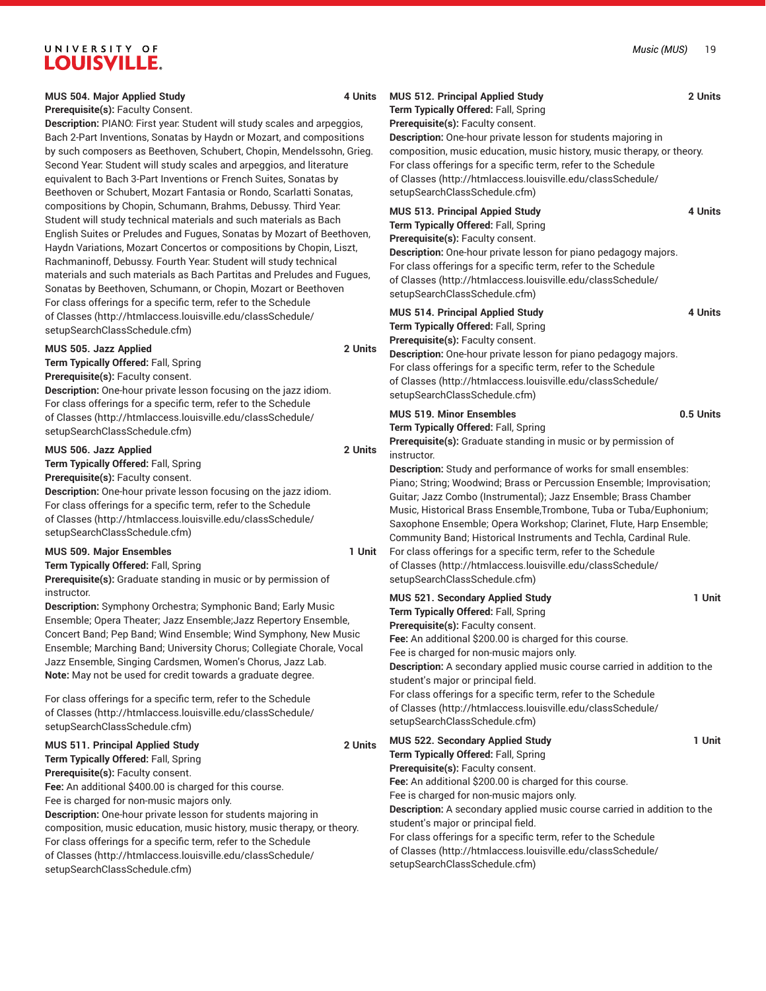| MUS 504. Major Applied Study<br>Prerequisite(s): Faculty Consent.<br>Description: PIANO: First year: Student will study scales and arpeggios,<br>Bach 2-Part Inventions, Sonatas by Haydn or Mozart, and compositions<br>by such composers as Beethoven, Schubert, Chopin, Mendelssohn, Grieg.<br>Second Year: Student will study scales and arpeggios, and literature<br>equivalent to Bach 3-Part Inventions or French Suites, Sonatas by<br>Beethoven or Schubert, Mozart Fantasia or Rondo, Scarlatti Sonatas, |                                                                                                                                                                                                                                                                                                                                                                                                                                                                                                                                                                         | 4 Units | <b>MUS 512. Principal Applied Study</b><br>Term Typically Offered: Fall, Spring<br>Prerequisite(s): Faculty consent.<br>Description: One-hour private lesson for students majoring in<br>composition, music education, music history, music therapy, or theory.<br>For class offerings for a specific term, refer to the Schedule<br>of Classes (http://htmlaccess.louisville.edu/classSchedule/<br>setupSearchClassSchedule.cfm)              | 2 Units   |
|--------------------------------------------------------------------------------------------------------------------------------------------------------------------------------------------------------------------------------------------------------------------------------------------------------------------------------------------------------------------------------------------------------------------------------------------------------------------------------------------------------------------|-------------------------------------------------------------------------------------------------------------------------------------------------------------------------------------------------------------------------------------------------------------------------------------------------------------------------------------------------------------------------------------------------------------------------------------------------------------------------------------------------------------------------------------------------------------------------|---------|------------------------------------------------------------------------------------------------------------------------------------------------------------------------------------------------------------------------------------------------------------------------------------------------------------------------------------------------------------------------------------------------------------------------------------------------|-----------|
|                                                                                                                                                                                                                                                                                                                                                                                                                                                                                                                    | compositions by Chopin, Schumann, Brahms, Debussy. Third Year:<br>Student will study technical materials and such materials as Bach<br>English Suites or Preludes and Fugues, Sonatas by Mozart of Beethoven,<br>Haydn Variations, Mozart Concertos or compositions by Chopin, Liszt,<br>Rachmaninoff, Debussy. Fourth Year: Student will study technical<br>materials and such materials as Bach Partitas and Preludes and Fugues,<br>Sonatas by Beethoven, Schumann, or Chopin, Mozart or Beethoven<br>For class offerings for a specific term, refer to the Schedule |         | <b>MUS 513. Principal Appied Study</b><br>Term Typically Offered: Fall, Spring<br>Prerequisite(s): Faculty consent.<br>Description: One-hour private lesson for piano pedagogy majors.<br>For class offerings for a specific term, refer to the Schedule<br>of Classes (http://htmlaccess.louisville.edu/classSchedule/<br>setupSearchClassSchedule.cfm)                                                                                       | 4 Units   |
|                                                                                                                                                                                                                                                                                                                                                                                                                                                                                                                    | of Classes (http://htmlaccess.louisville.edu/classSchedule/<br>setupSearchClassSchedule.cfm)                                                                                                                                                                                                                                                                                                                                                                                                                                                                            |         | <b>MUS 514. Principal Applied Study</b><br>Term Typically Offered: Fall, Spring                                                                                                                                                                                                                                                                                                                                                                | 4 Units   |
|                                                                                                                                                                                                                                                                                                                                                                                                                                                                                                                    | MUS 505. Jazz Applied<br>Term Typically Offered: Fall, Spring<br>Prerequisite(s): Faculty consent.<br>Description: One-hour private lesson focusing on the jazz idiom.<br>For class offerings for a specific term, refer to the Schedule                                                                                                                                                                                                                                                                                                                                | 2 Units | Prerequisite(s): Faculty consent.<br>Description: One-hour private lesson for piano pedagogy majors.<br>For class offerings for a specific term, refer to the Schedule<br>of Classes (http://htmlaccess.louisville.edu/classSchedule/<br>setupSearchClassSchedule.cfm)                                                                                                                                                                         |           |
|                                                                                                                                                                                                                                                                                                                                                                                                                                                                                                                    | of Classes (http://htmlaccess.louisville.edu/classSchedule/<br>setupSearchClassSchedule.cfm)                                                                                                                                                                                                                                                                                                                                                                                                                                                                            |         | <b>MUS 519. Minor Ensembles</b><br>Term Typically Offered: Fall, Spring<br>Prerequisite(s): Graduate standing in music or by permission of                                                                                                                                                                                                                                                                                                     | 0.5 Units |
|                                                                                                                                                                                                                                                                                                                                                                                                                                                                                                                    | MUS 506. Jazz Applied<br>Term Typically Offered: Fall, Spring<br>Prerequisite(s): Faculty consent.<br>Description: One-hour private lesson focusing on the jazz idiom.<br>For class offerings for a specific term, refer to the Schedule<br>of Classes (http://htmlaccess.louisville.edu/classSchedule/<br>setupSearchClassSchedule.cfm)                                                                                                                                                                                                                                | 2 Units | instructor.<br>Description: Study and performance of works for small ensembles:<br>Piano; String; Woodwind; Brass or Percussion Ensemble; Improvisation;<br>Guitar; Jazz Combo (Instrumental); Jazz Ensemble; Brass Chamber<br>Music, Historical Brass Ensemble, Trombone, Tuba or Tuba/Euphonium;<br>Saxophone Ensemble; Opera Workshop; Clarinet, Flute, Harp Ensemble;<br>Community Band; Historical Instruments and Techla, Cardinal Rule. |           |
|                                                                                                                                                                                                                                                                                                                                                                                                                                                                                                                    | <b>MUS 509. Major Ensembles</b><br>Term Typically Offered: Fall, Spring<br>Prerequisite(s): Graduate standing in music or by permission of                                                                                                                                                                                                                                                                                                                                                                                                                              | 1 Unit  | For class offerings for a specific term, refer to the Schedule<br>of Classes (http://htmlaccess.louisville.edu/classSchedule/<br>setupSearchClassSchedule.cfm)                                                                                                                                                                                                                                                                                 |           |
|                                                                                                                                                                                                                                                                                                                                                                                                                                                                                                                    | instructor.<br>Description: Symphony Orchestra; Symphonic Band; Early Music<br>Ensemble; Opera Theater; Jazz Ensemble; Jazz Repertory Ensemble,<br>Concert Band; Pep Band; Wind Ensemble; Wind Symphony, New Music<br>Ensemble; Marching Band; University Chorus; Collegiate Chorale, Vocal<br>Jazz Ensemble, Singing Cardsmen, Women's Chorus, Jazz Lab.<br>Note: May not be used for credit towards a graduate degree.                                                                                                                                                |         | MUS 521. Secondary Applied Study<br>Term Typically Offered: Fall, Spring<br>Prerequisite(s): Faculty consent.<br>Fee: An additional \$200.00 is charged for this course.<br>Fee is charged for non-music majors only.<br>Description: A secondary applied music course carried in addition to the<br>student's major or principal field.                                                                                                       | 1 Unit    |
|                                                                                                                                                                                                                                                                                                                                                                                                                                                                                                                    | For class offerings for a specific term, refer to the Schedule<br>of Classes (http://htmlaccess.louisville.edu/classSchedule/<br>setupSearchClassSchedule.cfm)                                                                                                                                                                                                                                                                                                                                                                                                          |         | For class offerings for a specific term, refer to the Schedule<br>of Classes (http://htmlaccess.louisville.edu/classSchedule/<br>setupSearchClassSchedule.cfm)                                                                                                                                                                                                                                                                                 |           |
|                                                                                                                                                                                                                                                                                                                                                                                                                                                                                                                    | MUS 511. Principal Applied Study<br>Term Typically Offered: Fall, Spring<br>Prerequisite(s): Faculty consent.<br>Fee: An additional \$400.00 is charged for this course.<br>Fee is charged for non-music majors only.<br>Description: One-hour private lesson for students majoring in                                                                                                                                                                                                                                                                                  | 2 Units | MUS 522. Secondary Applied Study<br>Term Typically Offered: Fall, Spring<br>Prerequisite(s): Faculty consent.<br>Fee: An additional \$200.00 is charged for this course.<br>Fee is charged for non-music majors only.<br>Description: A secondary applied music course carried in addition to the<br>student's major or principal field.                                                                                                       | 1 Unit    |
|                                                                                                                                                                                                                                                                                                                                                                                                                                                                                                                    | composition, music education, music history, music therapy, or theory.<br>For class offerings for a specific term, refer to the Schedule<br>of Classes (http://htmlaccess.louisville.edu/classSchedule/<br>setupSearchClassSchedule.cfm)                                                                                                                                                                                                                                                                                                                                |         | For class offerings for a specific term, refer to the Schedule<br>of Classes (http://htmlaccess.louisville.edu/classSchedule/<br>setupSearchClassSchedule.cfm)                                                                                                                                                                                                                                                                                 |           |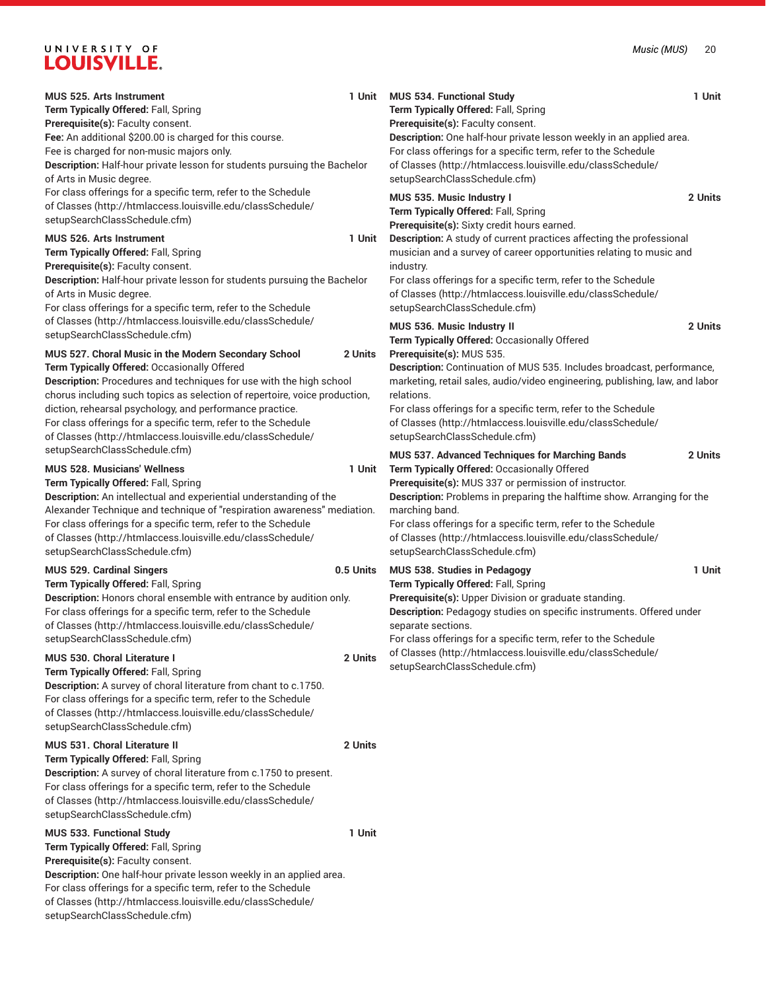| MUS 525. Arts Instrument                                                                                      |           | 1 Unit MUS 534. Functional Study                                                                          | 1 Unit  |
|---------------------------------------------------------------------------------------------------------------|-----------|-----------------------------------------------------------------------------------------------------------|---------|
| Term Typically Offered: Fall, Spring                                                                          |           | Term Typically Offered: Fall, Spring                                                                      |         |
| Prerequisite(s): Faculty consent.<br>Fee: An additional \$200.00 is charged for this course.                  |           | Prerequisite(s): Faculty consent.<br>Description: One half-hour private lesson weekly in an applied area. |         |
| Fee is charged for non-music majors only.                                                                     |           | For class offerings for a specific term, refer to the Schedule                                            |         |
| Description: Half-hour private lesson for students pursuing the Bachelor                                      |           | of Classes (http://htmlaccess.louisville.edu/classSchedule/                                               |         |
| of Arts in Music degree.                                                                                      |           | setupSearchClassSchedule.cfm)                                                                             |         |
| For class offerings for a specific term, refer to the Schedule                                                |           |                                                                                                           |         |
| of Classes (http://htmlaccess.louisville.edu/classSchedule/                                                   |           | MUS 535. Music Industry I                                                                                 | 2 Units |
| setupSearchClassSchedule.cfm)                                                                                 |           | Term Typically Offered: Fall, Spring                                                                      |         |
|                                                                                                               |           | Prerequisite(s): Sixty credit hours earned.                                                               |         |
| <b>MUS 526. Arts Instrument</b>                                                                               | 1 Unit    | Description: A study of current practices affecting the professional                                      |         |
| Term Typically Offered: Fall, Spring                                                                          |           | musician and a survey of career opportunities relating to music and                                       |         |
| Prerequisite(s): Faculty consent.<br>Description: Half-hour private lesson for students pursuing the Bachelor |           | industry.<br>For class offerings for a specific term, refer to the Schedule                               |         |
| of Arts in Music degree.                                                                                      |           | of Classes (http://htmlaccess.louisville.edu/classSchedule/                                               |         |
| For class offerings for a specific term, refer to the Schedule                                                |           | setupSearchClassSchedule.cfm)                                                                             |         |
| of Classes (http://htmlaccess.louisville.edu/classSchedule/                                                   |           |                                                                                                           |         |
| setupSearchClassSchedule.cfm)                                                                                 |           | MUS 536. Music Industry II                                                                                | 2 Units |
|                                                                                                               |           | Term Typically Offered: Occasionally Offered                                                              |         |
| MUS 527. Choral Music in the Modern Secondary School                                                          | 2 Units   | Prerequisite(s): MUS 535.                                                                                 |         |
| Term Typically Offered: Occasionally Offered                                                                  |           | Description: Continuation of MUS 535. Includes broadcast, performance,                                    |         |
| Description: Procedures and techniques for use with the high school                                           |           | marketing, retail sales, audio/video engineering, publishing, law, and labor                              |         |
| chorus including such topics as selection of repertoire, voice production,                                    |           | relations.                                                                                                |         |
| diction, rehearsal psychology, and performance practice.                                                      |           | For class offerings for a specific term, refer to the Schedule                                            |         |
| For class offerings for a specific term, refer to the Schedule                                                |           | of Classes (http://htmlaccess.louisville.edu/classSchedule/                                               |         |
| of Classes (http://htmlaccess.louisville.edu/classSchedule/                                                   |           | setupSearchClassSchedule.cfm)                                                                             |         |
| setupSearchClassSchedule.cfm)                                                                                 |           | MUS 537. Advanced Techniques for Marching Bands                                                           | 2 Units |
| <b>MUS 528. Musicians' Wellness</b>                                                                           | 1 Unit    | Term Typically Offered: Occasionally Offered                                                              |         |
| Term Typically Offered: Fall, Spring                                                                          |           | Prerequisite(s): MUS 337 or permission of instructor.                                                     |         |
| Description: An intellectual and experiential understanding of the                                            |           | Description: Problems in preparing the halftime show. Arranging for the                                   |         |
| Alexander Technique and technique of "respiration awareness" mediation.                                       |           | marching band.                                                                                            |         |
| For class offerings for a specific term, refer to the Schedule                                                |           | For class offerings for a specific term, refer to the Schedule                                            |         |
| of Classes (http://htmlaccess.louisville.edu/classSchedule/                                                   |           | of Classes (http://htmlaccess.louisville.edu/classSchedule/                                               |         |
| setupSearchClassSchedule.cfm)                                                                                 |           | setupSearchClassSchedule.cfm)                                                                             |         |
| <b>MUS 529. Cardinal Singers</b>                                                                              | 0.5 Units | MUS 538. Studies in Pedagogy                                                                              | 1 Unit  |
| Term Typically Offered: Fall, Spring                                                                          |           | Term Typically Offered: Fall, Spring                                                                      |         |
| Description: Honors choral ensemble with entrance by audition only.                                           |           | Prerequisite(s): Upper Division or graduate standing.                                                     |         |
| For class offerings for a specific term, refer to the Schedule                                                |           | Description: Pedagogy studies on specific instruments. Offered under                                      |         |
| of Classes (http://htmlaccess.louisville.edu/classSchedule/                                                   |           | separate sections.                                                                                        |         |
| setupSearchClassSchedule.cfm)                                                                                 |           | For class offerings for a specific term, refer to the Schedule                                            |         |
| MUS 530. Choral Literature I                                                                                  | 2 Units   | of Classes (http://htmlaccess.louisville.edu/classSchedule/                                               |         |
| Term Typically Offered: Fall, Spring                                                                          |           | setupSearchClassSchedule.cfm)                                                                             |         |
| Description: A survey of choral literature from chant to c.1750.                                              |           |                                                                                                           |         |
| For class offerings for a specific term, refer to the Schedule                                                |           |                                                                                                           |         |
| of Classes (http://htmlaccess.louisville.edu/classSchedule/                                                   |           |                                                                                                           |         |
| setupSearchClassSchedule.cfm)                                                                                 |           |                                                                                                           |         |
| MUS 531. Choral Literature II                                                                                 | 2 Units   |                                                                                                           |         |
| Term Typically Offered: Fall, Spring                                                                          |           |                                                                                                           |         |
| Description: A survey of choral literature from c.1750 to present.                                            |           |                                                                                                           |         |
| For class offerings for a specific term, refer to the Schedule                                                |           |                                                                                                           |         |
| of Classes (http://htmlaccess.louisville.edu/classSchedule/                                                   |           |                                                                                                           |         |
| setupSearchClassSchedule.cfm)                                                                                 |           |                                                                                                           |         |
| MUS 533. Functional Study                                                                                     | 1 Unit    |                                                                                                           |         |
| Term Typically Offered: Fall, Spring                                                                          |           |                                                                                                           |         |
| Prerequisite(s): Faculty consent.                                                                             |           |                                                                                                           |         |
| Description: One half-hour private lesson weekly in an applied area.                                          |           |                                                                                                           |         |
| For class offerings for a specific term, refer to the Schedule                                                |           |                                                                                                           |         |
| of Classes (http://htmlaccess.louisville.edu/classSchedule/                                                   |           |                                                                                                           |         |
| setupSearchClassSchedule.cfm)                                                                                 |           |                                                                                                           |         |

| Term Typically Offered: Fall, Spring<br>Prerequisite(s): Faculty consent.<br>Description: One half-hour private lesson weekly in an applied area.<br>For class offerings for a specific term, refer to the Schedule<br>of Classes (http://htmlaccess.louisville.edu/classSchedule/<br>setupSearchClassSchedule.cfm)                                                                                                                               |         |
|---------------------------------------------------------------------------------------------------------------------------------------------------------------------------------------------------------------------------------------------------------------------------------------------------------------------------------------------------------------------------------------------------------------------------------------------------|---------|
| MUS 535. Music Industry I<br>Term Typically Offered: Fall, Spring<br>Prerequisite(s): Sixty credit hours earned.<br>Description: A study of current practices affecting the professional<br>musician and a survey of career opportunities relating to music and<br>industry.<br>For class offerings for a specific term, refer to the Schedule<br>of Classes (http://htmlaccess.louisville.edu/classSchedule/<br>setupSearchClassSchedule.cfm)    | 2 Units |
| MUS 536. Music Industry II<br>Term Typically Offered: Occasionally Offered<br>Prerequisite(s): MUS 535.<br>Description: Continuation of MUS 535. Includes broadcast, performance,<br>marketing, retail sales, audio/video engineering, publishing, law, and labor<br>relations.<br>For class offerings for a specific term, refer to the Schedule<br>of Classes (http://htmlaccess.louisville.edu/classSchedule/<br>setupSearchClassSchedule.cfm) | 2 Units |
| MUS 537. Advanced Techniques for Marching Bands<br>Term Typically Offered: Occasionally Offered<br>Prerequisite(s): MUS 337 or permission of instructor.<br>Description: Problems in preparing the halftime show. Arranging for the<br>marching band.<br>For class offerings for a specific term, refer to the Schedule<br>of Classes (http://htmlaccess.louisville.edu/classSchedule/<br>setupSearchClassSchedule.cfm)                           | 2 Units |
| MUS 538. Studies in Pedagogy<br>Term Typically Offered: Fall, Spring<br>Prerequisite(s): Upper Division or graduate standing.<br>Description: Pedagogy studies on specific instruments. Offered under<br>separate sections.<br>For class offerings for a specific term, refer to the Schedule<br>of Classes (http://htmlaccess.louisville.edu/classSchedule/                                                                                      | 1 Unit  |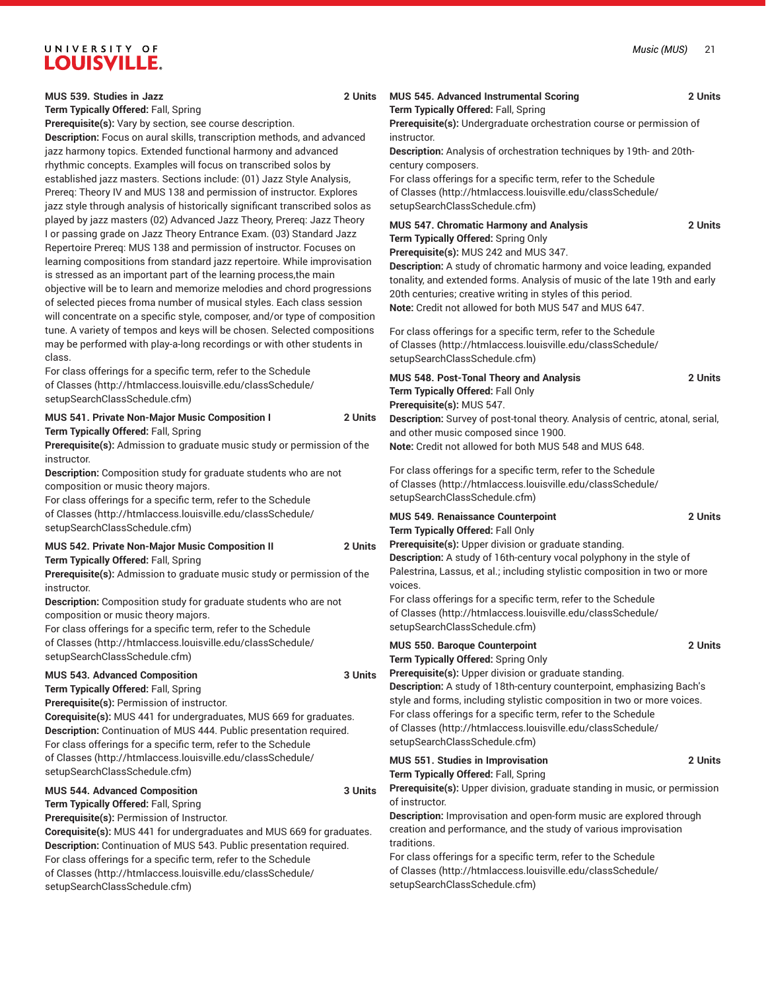| MUS 539. Studies in Jazz<br>Term Typically Offered: Fall, Spring                                                                                                                                                                                                                                                                                                                                                                                                                                                                                                                                        | MUS 545. Advanced Instrumental Scoring<br>2 Units<br>Term Typically Offered: Fall, Spring                                                                                                                                                                                                                                                                                                                                           | 2 Units |
|---------------------------------------------------------------------------------------------------------------------------------------------------------------------------------------------------------------------------------------------------------------------------------------------------------------------------------------------------------------------------------------------------------------------------------------------------------------------------------------------------------------------------------------------------------------------------------------------------------|-------------------------------------------------------------------------------------------------------------------------------------------------------------------------------------------------------------------------------------------------------------------------------------------------------------------------------------------------------------------------------------------------------------------------------------|---------|
| Prerequisite(s): Vary by section, see course description.<br>Description: Focus on aural skills, transcription methods, and advanced<br>jazz harmony topics. Extended functional harmony and advanced<br>rhythmic concepts. Examples will focus on transcribed solos by<br>established jazz masters. Sections include: (01) Jazz Style Analysis,<br>Prereq: Theory IV and MUS 138 and permission of instructor. Explores<br>jazz style through analysis of historically significant transcribed solos as                                                                                                | Prerequisite(s): Undergraduate orchestration course or permission of<br>instructor.<br>Description: Analysis of orchestration techniques by 19th- and 20th-<br>century composers.<br>For class offerings for a specific term, refer to the Schedule<br>of Classes (http://htmlaccess.louisville.edu/classSchedule/<br>setupSearchClassSchedule.cfm)                                                                                 |         |
| played by jazz masters (02) Advanced Jazz Theory, Prereq: Jazz Theory<br>I or passing grade on Jazz Theory Entrance Exam. (03) Standard Jazz<br>Repertoire Prereq: MUS 138 and permission of instructor. Focuses on<br>learning compositions from standard jazz repertoire. While improvisation<br>is stressed as an important part of the learning process, the main<br>objective will be to learn and memorize melodies and chord progressions<br>of selected pieces froma number of musical styles. Each class session<br>will concentrate on a specific style, composer, and/or type of composition | MUS 547. Chromatic Harmony and Analysis<br>Term Typically Offered: Spring Only<br>Prerequisite(s): MUS 242 and MUS 347.<br>Description: A study of chromatic harmony and voice leading, expanded<br>tonality, and extended forms. Analysis of music of the late 19th and early<br>20th centuries; creative writing in styles of this period.<br>Note: Credit not allowed for both MUS 547 and MUS 647.                              | 2 Units |
| tune. A variety of tempos and keys will be chosen. Selected compositions<br>may be performed with play-a-long recordings or with other students in<br>class.                                                                                                                                                                                                                                                                                                                                                                                                                                            | For class offerings for a specific term, refer to the Schedule<br>of Classes (http://htmlaccess.louisville.edu/classSchedule/<br>setupSearchClassSchedule.cfm)                                                                                                                                                                                                                                                                      |         |
| For class offerings for a specific term, refer to the Schedule<br>of Classes (http://htmlaccess.louisville.edu/classSchedule/<br>setupSearchClassSchedule.cfm)                                                                                                                                                                                                                                                                                                                                                                                                                                          | MUS 548. Post-Tonal Theory and Analysis<br>Term Typically Offered: Fall Only<br>Prerequisite(s): MUS 547.                                                                                                                                                                                                                                                                                                                           | 2 Units |
| MUS 541. Private Non-Major Music Composition I<br>Term Typically Offered: Fall, Spring<br>Prerequisite(s): Admission to graduate music study or permission of the<br>instructor.                                                                                                                                                                                                                                                                                                                                                                                                                        | 2 Units<br>Description: Survey of post-tonal theory. Analysis of centric, atonal, serial,<br>and other music composed since 1900.<br>Note: Credit not allowed for both MUS 548 and MUS 648.                                                                                                                                                                                                                                         |         |
| Description: Composition study for graduate students who are not<br>composition or music theory majors.<br>For class offerings for a specific term, refer to the Schedule                                                                                                                                                                                                                                                                                                                                                                                                                               | For class offerings for a specific term, refer to the Schedule<br>of Classes (http://htmlaccess.louisville.edu/classSchedule/<br>setupSearchClassSchedule.cfm)                                                                                                                                                                                                                                                                      |         |
| of Classes (http://htmlaccess.louisville.edu/classSchedule/<br>setupSearchClassSchedule.cfm)                                                                                                                                                                                                                                                                                                                                                                                                                                                                                                            | MUS 549. Renaissance Counterpoint<br>Term Typically Offered: Fall Only                                                                                                                                                                                                                                                                                                                                                              | 2 Units |
| MUS 542. Private Non-Major Music Composition II<br>Term Typically Offered: Fall, Spring<br>Prerequisite(s): Admission to graduate music study or permission of the<br>instructor.                                                                                                                                                                                                                                                                                                                                                                                                                       | Prerequisite(s): Upper division or graduate standing.<br>2 Units<br>Description: A study of 16th-century vocal polyphony in the style of<br>Palestrina, Lassus, et al.; including stylistic composition in two or more<br>voices.                                                                                                                                                                                                   |         |
| Description: Composition study for graduate students who are not<br>composition or music theory majors.<br>For class offerings for a specific term, refer to the Schedule                                                                                                                                                                                                                                                                                                                                                                                                                               | For class offerings for a specific term, refer to the Schedule<br>of Classes (http://htmlaccess.louisville.edu/classSchedule/<br>setupSearchClassSchedule.cfm)                                                                                                                                                                                                                                                                      |         |
| of Classes (http://htmlaccess.louisville.edu/classSchedule/<br>setupSearchClassSchedule.cfm)                                                                                                                                                                                                                                                                                                                                                                                                                                                                                                            | <b>MUS 550. Baroque Counterpoint</b><br>Term Typically Offered: Spring Only                                                                                                                                                                                                                                                                                                                                                         | 2 Units |
| <b>MUS 543. Advanced Composition</b><br>Term Typically Offered: Fall, Spring<br>Prerequisite(s): Permission of instructor.<br>Corequisite(s): MUS 441 for undergraduates, MUS 669 for graduates.<br>Description: Continuation of MUS 444. Public presentation required.<br>For class offerings for a specific term, refer to the Schedule                                                                                                                                                                                                                                                               | Prerequisite(s): Upper division or graduate standing.<br>3 Units<br>Description: A study of 18th-century counterpoint, emphasizing Bach's<br>style and forms, including stylistic composition in two or more voices.<br>For class offerings for a specific term, refer to the Schedule<br>of Classes (http://htmlaccess.louisville.edu/classSchedule/<br>setupSearchClassSchedule.cfm)                                              |         |
| of Classes (http://htmlaccess.louisville.edu/classSchedule/<br>setupSearchClassSchedule.cfm)                                                                                                                                                                                                                                                                                                                                                                                                                                                                                                            | MUS 551. Studies in Improvisation<br>Term Typically Offered: Fall, Spring                                                                                                                                                                                                                                                                                                                                                           | 2 Units |
| <b>MUS 544. Advanced Composition</b><br>Term Typically Offered: Fall, Spring<br>Prerequisite(s): Permission of Instructor.<br>Corequisite(s): MUS 441 for undergraduates and MUS 669 for graduates.<br>Description: Continuation of MUS 543. Public presentation required.<br>For class offerings for a specific term, refer to the Schedule<br>of Classes (http://htmlaccess.louisville.edu/classSchedule/<br>setupSearchClassSchedule.cfm)                                                                                                                                                            | Prerequisite(s): Upper division, graduate standing in music, or permission<br>3 Units<br>of instructor.<br>Description: Improvisation and open-form music are explored through<br>creation and performance, and the study of various improvisation<br>traditions.<br>For class offerings for a specific term, refer to the Schedule<br>of Classes (http://htmlaccess.louisville.edu/classSchedule/<br>setupSearchClassSchedule.cfm) |         |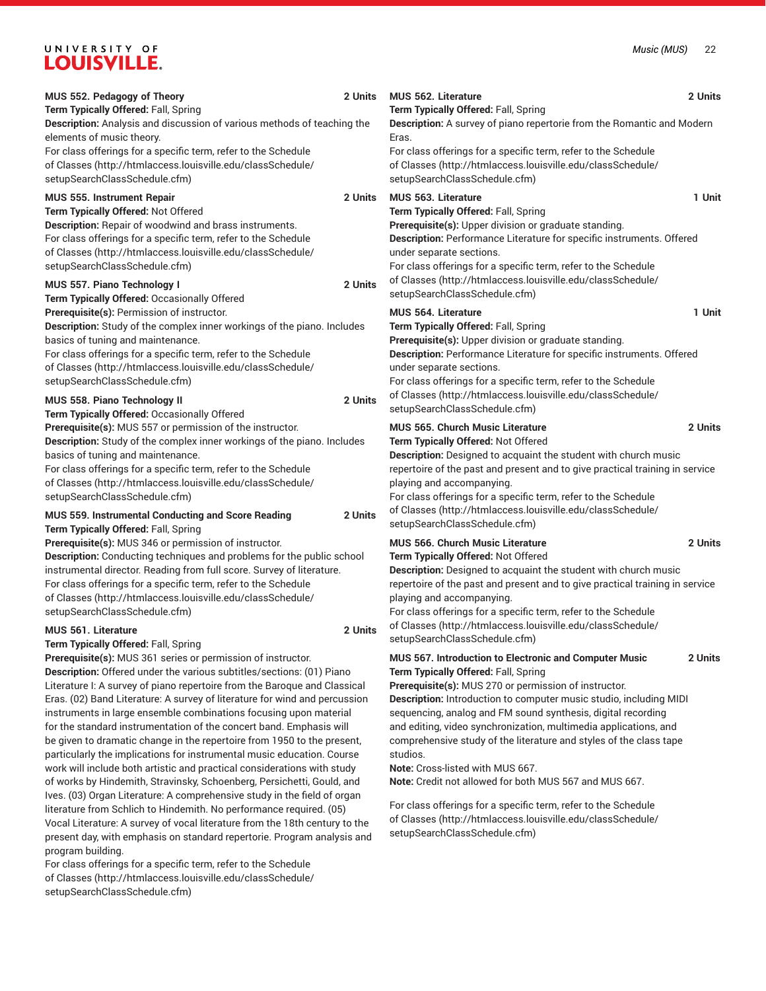| MUS 552. Pedagogy of Theory<br>Term Typically Offered: Fall, Spring<br>Description: Analysis and discussion of various methods of teaching the<br>elements of music theory.<br>For class offerings for a specific term, refer to the Schedule                                                                                                                                                                                                                                                                                                                                                                                                                                                                                                                                                                                                                                                                                                                                                                                    | 2 Units | <b>MUS 562. Literature</b><br>Term Typically Offered: Fall, Spring<br>Description: A survey of piano repertorie from the Romantic and Modern<br>Eras.<br>For class offerings for a specific term, refer to the Schedule                                                                                                                                                                                                                                                                                                                                                                                                                                                            | 2 Units |
|----------------------------------------------------------------------------------------------------------------------------------------------------------------------------------------------------------------------------------------------------------------------------------------------------------------------------------------------------------------------------------------------------------------------------------------------------------------------------------------------------------------------------------------------------------------------------------------------------------------------------------------------------------------------------------------------------------------------------------------------------------------------------------------------------------------------------------------------------------------------------------------------------------------------------------------------------------------------------------------------------------------------------------|---------|------------------------------------------------------------------------------------------------------------------------------------------------------------------------------------------------------------------------------------------------------------------------------------------------------------------------------------------------------------------------------------------------------------------------------------------------------------------------------------------------------------------------------------------------------------------------------------------------------------------------------------------------------------------------------------|---------|
| of Classes (http://htmlaccess.louisville.edu/classSchedule/<br>setupSearchClassSchedule.cfm)                                                                                                                                                                                                                                                                                                                                                                                                                                                                                                                                                                                                                                                                                                                                                                                                                                                                                                                                     |         | of Classes (http://htmlaccess.louisville.edu/classSchedule/<br>setupSearchClassSchedule.cfm)                                                                                                                                                                                                                                                                                                                                                                                                                                                                                                                                                                                       |         |
| <b>MUS 555. Instrument Repair</b><br>Term Typically Offered: Not Offered<br>Description: Repair of woodwind and brass instruments.<br>For class offerings for a specific term, refer to the Schedule<br>of Classes (http://htmlaccess.louisville.edu/classSchedule/<br>setupSearchClassSchedule.cfm)                                                                                                                                                                                                                                                                                                                                                                                                                                                                                                                                                                                                                                                                                                                             | 2 Units | <b>MUS 563. Literature</b><br>Term Typically Offered: Fall, Spring<br>Prerequisite(s): Upper division or graduate standing.<br>Description: Performance Literature for specific instruments. Offered<br>under separate sections.<br>For class offerings for a specific term, refer to the Schedule<br>of Classes (http://htmlaccess.louisville.edu/classSchedule/                                                                                                                                                                                                                                                                                                                  | 1 Unit  |
| <b>MUS 557. Piano Technology I</b><br>Term Typically Offered: Occasionally Offered                                                                                                                                                                                                                                                                                                                                                                                                                                                                                                                                                                                                                                                                                                                                                                                                                                                                                                                                               | 2 Units | setupSearchClassSchedule.cfm)                                                                                                                                                                                                                                                                                                                                                                                                                                                                                                                                                                                                                                                      |         |
| Prerequisite(s): Permission of instructor.<br>Description: Study of the complex inner workings of the piano. Includes<br>basics of tuning and maintenance.<br>For class offerings for a specific term, refer to the Schedule<br>of Classes (http://htmlaccess.louisville.edu/classSchedule/<br>setupSearchClassSchedule.cfm)                                                                                                                                                                                                                                                                                                                                                                                                                                                                                                                                                                                                                                                                                                     |         | <b>MUS 564. Literature</b><br>Term Typically Offered: Fall, Spring<br>Prerequisite(s): Upper division or graduate standing.<br>Description: Performance Literature for specific instruments. Offered<br>under separate sections.<br>For class offerings for a specific term, refer to the Schedule                                                                                                                                                                                                                                                                                                                                                                                 | 1 Unit  |
| MUS 558. Piano Technology II                                                                                                                                                                                                                                                                                                                                                                                                                                                                                                                                                                                                                                                                                                                                                                                                                                                                                                                                                                                                     | 2 Units | of Classes (http://htmlaccess.louisville.edu/classSchedule/<br>setupSearchClassSchedule.cfm)                                                                                                                                                                                                                                                                                                                                                                                                                                                                                                                                                                                       |         |
| Term Typically Offered: Occasionally Offered<br>Prerequisite(s): MUS 557 or permission of the instructor.<br>Description: Study of the complex inner workings of the piano. Includes<br>basics of tuning and maintenance.<br>For class offerings for a specific term, refer to the Schedule<br>of Classes (http://htmlaccess.louisville.edu/classSchedule/<br>setupSearchClassSchedule.cfm)<br>MUS 559. Instrumental Conducting and Score Reading<br>Term Typically Offered: Fall, Spring                                                                                                                                                                                                                                                                                                                                                                                                                                                                                                                                        | 2 Units | <b>MUS 565. Church Music Literature</b><br>Term Typically Offered: Not Offered<br>Description: Designed to acquaint the student with church music<br>repertoire of the past and present and to give practical training in service<br>playing and accompanying.<br>For class offerings for a specific term, refer to the Schedule<br>of Classes (http://htmlaccess.louisville.edu/classSchedule/<br>setupSearchClassSchedule.cfm)                                                                                                                                                                                                                                                   | 2 Units |
| Prerequisite(s): MUS 346 or permission of instructor.<br>Description: Conducting techniques and problems for the public school<br>instrumental director. Reading from full score. Survey of literature.<br>For class offerings for a specific term, refer to the Schedule<br>of Classes (http://htmlaccess.louisville.edu/classSchedule/<br>setupSearchClassSchedule.cfm)                                                                                                                                                                                                                                                                                                                                                                                                                                                                                                                                                                                                                                                        |         | <b>MUS 566. Church Music Literature</b><br>Term Typically Offered: Not Offered<br>Description: Designed to acquaint the student with church music<br>repertoire of the past and present and to give practical training in service<br>playing and accompanying.<br>For class offerings for a specific term, refer to the Schedule                                                                                                                                                                                                                                                                                                                                                   | 2 Units |
| <b>MUS 561. Literature</b>                                                                                                                                                                                                                                                                                                                                                                                                                                                                                                                                                                                                                                                                                                                                                                                                                                                                                                                                                                                                       | 2 Units | of Classes (http://htmlaccess.louisville.edu/classSchedule/<br>setupSearchClassSchedule.cfm)                                                                                                                                                                                                                                                                                                                                                                                                                                                                                                                                                                                       |         |
| Term Typically Offered: Fall, Spring<br>Prerequisite(s): MUS 361 series or permission of instructor.<br>Description: Offered under the various subtitles/sections: (01) Piano<br>Literature I: A survey of piano repertoire from the Baroque and Classical<br>Eras. (02) Band Literature: A survey of literature for wind and percussion<br>instruments in large ensemble combinations focusing upon material<br>for the standard instrumentation of the concert band. Emphasis will<br>be given to dramatic change in the repertoire from 1950 to the present,<br>particularly the implications for instrumental music education. Course<br>work will include both artistic and practical considerations with study<br>of works by Hindemith, Stravinsky, Schoenberg, Persichetti, Gould, and<br>Ives. (03) Organ Literature: A comprehensive study in the field of organ<br>literature from Schlich to Hindemith. No performance required. (05)<br>Vocal Literature: A survey of yocal literature from the 18th century to the |         | MUS 567. Introduction to Electronic and Computer Music<br>Term Typically Offered: Fall, Spring<br>Prerequisite(s): MUS 270 or permission of instructor.<br>Description: Introduction to computer music studio, including MIDI<br>sequencing, analog and FM sound synthesis, digital recording<br>and editing, video synchronization, multimedia applications, and<br>comprehensive study of the literature and styles of the class tape<br>studios.<br>Note: Cross-listed with MUS 667.<br>Note: Credit not allowed for both MUS 567 and MUS 667.<br>For class offerings for a specific term, refer to the Schedule<br>of Classes (http://htmlaccess.louisville.edu/classSchedule/ | 2 Units |

[setupSearchClassSchedule.cfm\)](http://htmlaccess.louisville.edu/classSchedule/setupSearchClassSchedule.cfm)

Vocal Literature: A survey of vocal literature from the 18th century to the present day, with emphasis on standard repertorie. Program analysis and program building.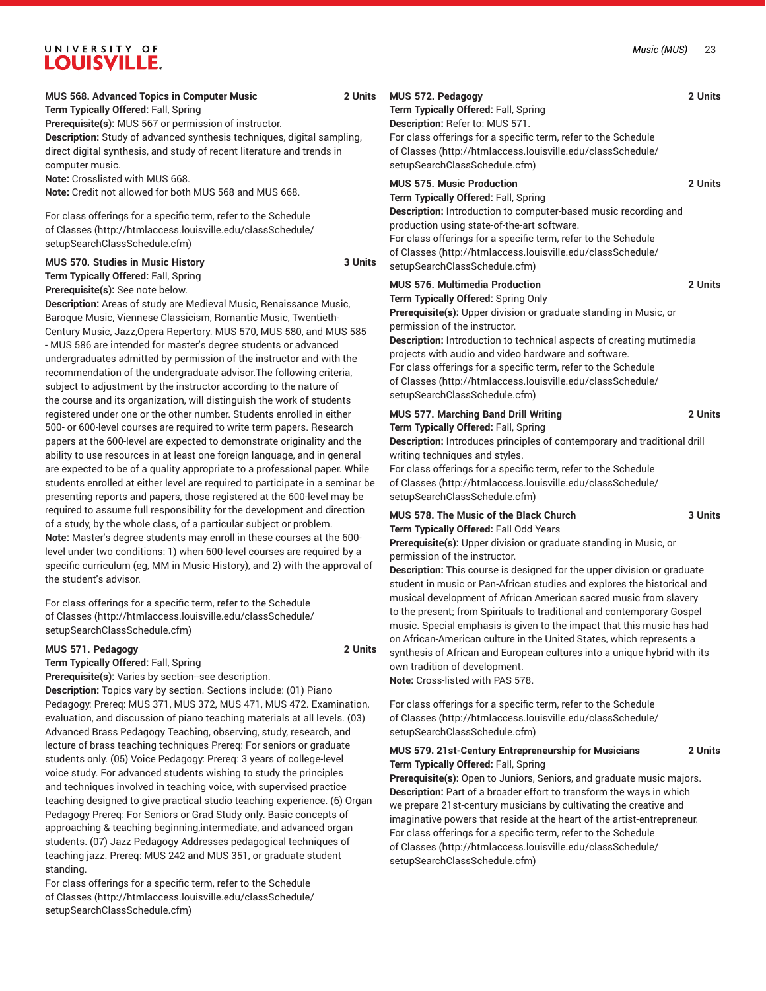# **MUS 568. Advanced Topics in Computer Music 2 Units**

**Term Typically Offered:** Fall, Spring

**Prerequisite(s):** MUS 567 or permission of instructor.

**Description:** Study of advanced synthesis techniques, digital sampling, direct digital synthesis, and study of recent literature and trends in computer music.

**Note:** Crosslisted with MUS 668.

**Note:** Credit not allowed for both MUS 568 and MUS 668.

For class offerings for a specific term, refer to the [Schedule](http://htmlaccess.louisville.edu/classSchedule/setupSearchClassSchedule.cfm) [of Classes \(http://htmlaccess.louisville.edu/classSchedule/](http://htmlaccess.louisville.edu/classSchedule/setupSearchClassSchedule.cfm) [setupSearchClassSchedule.cfm\)](http://htmlaccess.louisville.edu/classSchedule/setupSearchClassSchedule.cfm)

### **MUS 570. Studies in Music History 3 Units Term Typically Offered:** Fall, Spring **Prerequisite(s):** See note below.

**Description:** Areas of study are Medieval Music, Renaissance Music, Baroque Music, Viennese Classicism, Romantic Music, Twentieth-Century Music, Jazz,Opera Repertory. MUS 570, MUS 580, and MUS 585 - MUS 586 are intended for master's degree students or advanced undergraduates admitted by permission of the instructor and with the recommendation of the undergraduate advisor.The following criteria, subject to adjustment by the instructor according to the nature of the course and its organization, will distinguish the work of students registered under one or the other number. Students enrolled in either 500- or 600-level courses are required to write term papers. Research papers at the 600-level are expected to demonstrate originality and the ability to use resources in at least one foreign language, and in general are expected to be of a quality appropriate to a professional paper. While students enrolled at either level are required to participate in a seminar be presenting reports and papers, those registered at the 600-level may be required to assume full responsibility for the development and direction of a study, by the whole class, of a particular subject or problem. **Note:** Master's degree students may enroll in these courses at the 600 level under two conditions: 1) when 600-level courses are required by a specific curriculum (eg, MM in Music History), and 2) with the approval of the student's advisor.

For class offerings for a specific term, refer to the [Schedule](http://htmlaccess.louisville.edu/classSchedule/setupSearchClassSchedule.cfm) [of Classes \(http://htmlaccess.louisville.edu/classSchedule/](http://htmlaccess.louisville.edu/classSchedule/setupSearchClassSchedule.cfm) [setupSearchClassSchedule.cfm\)](http://htmlaccess.louisville.edu/classSchedule/setupSearchClassSchedule.cfm)

**Prerequisite(s):** Varies by section--see description.

### **MUS 571. Pedagogy 2 Units**

**Term Typically Offered:** Fall, Spring

**Description:** Topics vary by section. Sections include: (01) Piano Pedagogy: Prereq: MUS 371, MUS 372, MUS 471, MUS 472. Examination, evaluation, and discussion of piano teaching materials at all levels. (03) Advanced Brass Pedagogy Teaching, observing, study, research, and lecture of brass teaching techniques Prereq: For seniors or graduate students only. (05) Voice Pedagogy: Prereq: 3 years of college-level voice study. For advanced students wishing to study the principles and techniques involved in teaching voice, with supervised practice teaching designed to give practical studio teaching experience. (6) Organ Pedagogy Prereq: For Seniors or Grad Study only. Basic concepts of approaching & teaching beginning,intermediate, and advanced organ students. (07) Jazz Pedagogy Addresses pedagogical techniques of teaching jazz. Prereq: MUS 242 and MUS 351, or graduate student standing.

For class offerings for a specific term, refer to the [Schedule](http://htmlaccess.louisville.edu/classSchedule/setupSearchClassSchedule.cfm) [of Classes \(http://htmlaccess.louisville.edu/classSchedule/](http://htmlaccess.louisville.edu/classSchedule/setupSearchClassSchedule.cfm) [setupSearchClassSchedule.cfm\)](http://htmlaccess.louisville.edu/classSchedule/setupSearchClassSchedule.cfm)

**MUS 572. Pedagogy 2 Units Term Typically Offered:** Fall, Spring **Description:** Refer to: MUS 571.

For class offerings for a specific term, refer to the [Schedule](http://htmlaccess.louisville.edu/classSchedule/setupSearchClassSchedule.cfm) [of Classes](http://htmlaccess.louisville.edu/classSchedule/setupSearchClassSchedule.cfm) ([http://htmlaccess.louisville.edu/classSchedule/](http://htmlaccess.louisville.edu/classSchedule/setupSearchClassSchedule.cfm) [setupSearchClassSchedule.cfm\)](http://htmlaccess.louisville.edu/classSchedule/setupSearchClassSchedule.cfm)

### **MUS 575. Music Production 2 Units**

**Term Typically Offered:** Fall, Spring

**Description:** Introduction to computer-based music recording and production using state-of-the-art software. For class offerings for a specific term, refer to the [Schedule](http://htmlaccess.louisville.edu/classSchedule/setupSearchClassSchedule.cfm) [of Classes](http://htmlaccess.louisville.edu/classSchedule/setupSearchClassSchedule.cfm) ([http://htmlaccess.louisville.edu/classSchedule/](http://htmlaccess.louisville.edu/classSchedule/setupSearchClassSchedule.cfm) [setupSearchClassSchedule.cfm\)](http://htmlaccess.louisville.edu/classSchedule/setupSearchClassSchedule.cfm)

## **MUS 576. Multimedia Production 2 Units Term Typically Offered:** Spring Only

**Prerequisite(s):** Upper division or graduate standing in Music, or permission of the instructor.

**Description:** Introduction to technical aspects of creating mutimedia projects with audio and video hardware and software. For class offerings for a specific term, refer to the [Schedule](http://htmlaccess.louisville.edu/classSchedule/setupSearchClassSchedule.cfm) [of Classes](http://htmlaccess.louisville.edu/classSchedule/setupSearchClassSchedule.cfm) ([http://htmlaccess.louisville.edu/classSchedule/](http://htmlaccess.louisville.edu/classSchedule/setupSearchClassSchedule.cfm) [setupSearchClassSchedule.cfm\)](http://htmlaccess.louisville.edu/classSchedule/setupSearchClassSchedule.cfm)

## **MUS 577. Marching Band Drill Writing 2 Units Term Typically Offered:** Fall, Spring

**Description:** Introduces principles of contemporary and traditional drill writing techniques and styles.

For class offerings for a specific term, refer to the [Schedule](http://htmlaccess.louisville.edu/classSchedule/setupSearchClassSchedule.cfm) [of Classes](http://htmlaccess.louisville.edu/classSchedule/setupSearchClassSchedule.cfm) ([http://htmlaccess.louisville.edu/classSchedule/](http://htmlaccess.louisville.edu/classSchedule/setupSearchClassSchedule.cfm) [setupSearchClassSchedule.cfm\)](http://htmlaccess.louisville.edu/classSchedule/setupSearchClassSchedule.cfm)

## **MUS 578. The Music of the Black Church 3 Units Term Typically Offered:** Fall Odd Years

**Prerequisite(s):** Upper division or graduate standing in Music, or permission of the instructor.

**Description:** This course is designed for the upper division or graduate student in music or Pan-African studies and explores the historical and musical development of African American sacred music from slavery to the present; from Spirituals to traditional and contemporary Gospel music. Special emphasis is given to the impact that this music has had on African-American culture in the United States, which represents a synthesis of African and European cultures into a unique hybrid with its own tradition of development.

**Note:** Cross-listed with PAS 578.

For class offerings for a specific term, refer to the [Schedule](http://htmlaccess.louisville.edu/classSchedule/setupSearchClassSchedule.cfm) [of Classes](http://htmlaccess.louisville.edu/classSchedule/setupSearchClassSchedule.cfm) ([http://htmlaccess.louisville.edu/classSchedule/](http://htmlaccess.louisville.edu/classSchedule/setupSearchClassSchedule.cfm) [setupSearchClassSchedule.cfm\)](http://htmlaccess.louisville.edu/classSchedule/setupSearchClassSchedule.cfm)

## **MUS 579. 21st-Century Entrepreneurship for Musicians 2 Units Term Typically Offered:** Fall, Spring

**Prerequisite(s):** Open to Juniors, Seniors, and graduate music majors. **Description:** Part of a broader effort to transform the ways in which we prepare 21st-century musicians by cultivating the creative and imaginative powers that reside at the heart of the artist-entrepreneur. For class offerings for a specific term, refer to the [Schedule](http://htmlaccess.louisville.edu/classSchedule/setupSearchClassSchedule.cfm) [of Classes](http://htmlaccess.louisville.edu/classSchedule/setupSearchClassSchedule.cfm) ([http://htmlaccess.louisville.edu/classSchedule/](http://htmlaccess.louisville.edu/classSchedule/setupSearchClassSchedule.cfm) [setupSearchClassSchedule.cfm\)](http://htmlaccess.louisville.edu/classSchedule/setupSearchClassSchedule.cfm)